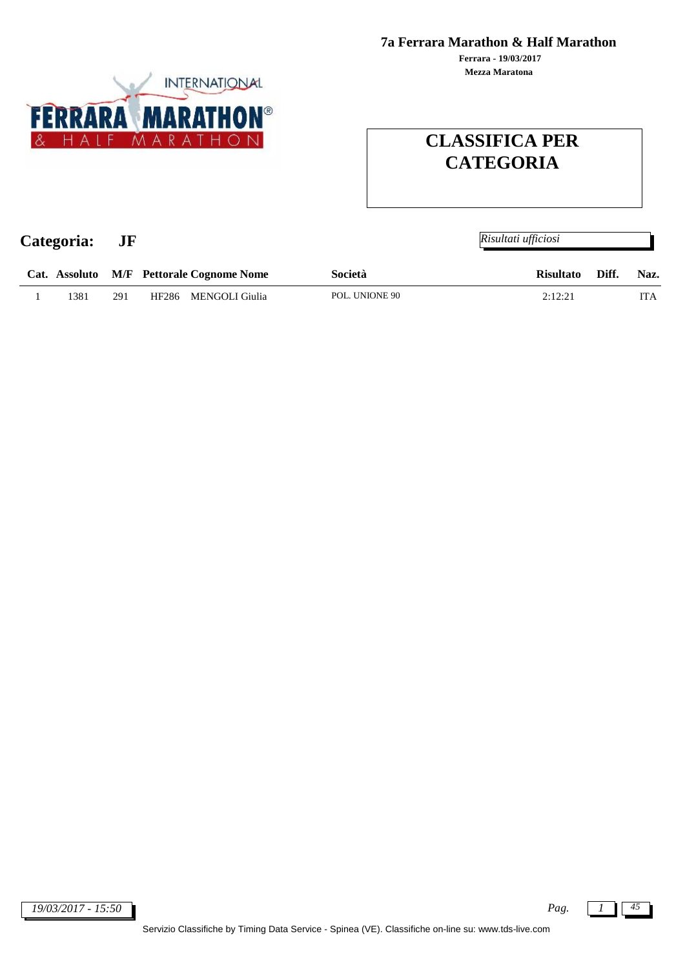**Mezza Maratona Ferrara - 19/03/2017**



# **CLASSIFICA PER CATEGORIA**

| Categoria: |      | JF  |                                          |                | Risultati ufficiosi       |            |
|------------|------|-----|------------------------------------------|----------------|---------------------------|------------|
|            |      |     | Cat. Assoluto M/F Pettorale Cognome Nome | Società        | Diff.<br><b>Risultato</b> | Naz.       |
|            | 1381 | 291 | MENGOLI Giulia<br>HF286                  | POL. UNIONE 90 | 2:12:21                   | <b>ITA</b> |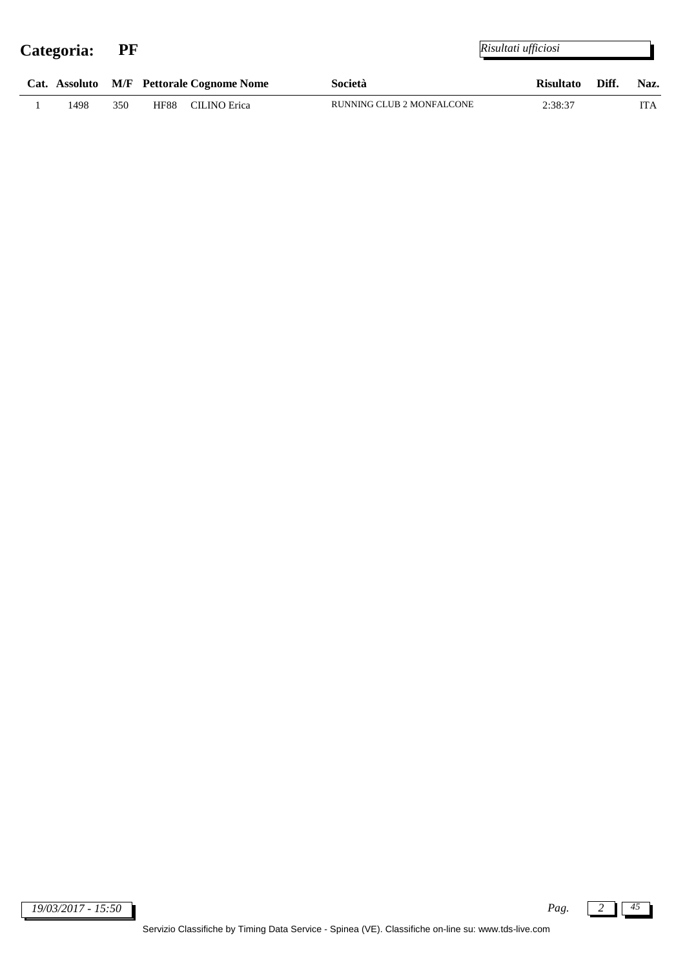|      |     |             | Cat. Assoluto M/F Pettorale Cognome Nome | Società |                           | Risultato Diff. | Naz. |
|------|-----|-------------|------------------------------------------|---------|---------------------------|-----------------|------|
| 1498 | 350 | <b>HF88</b> | CILINO Erica                             |         | RUNNING CLUB 2 MONFALCONE | 2:38:37         | TTA. |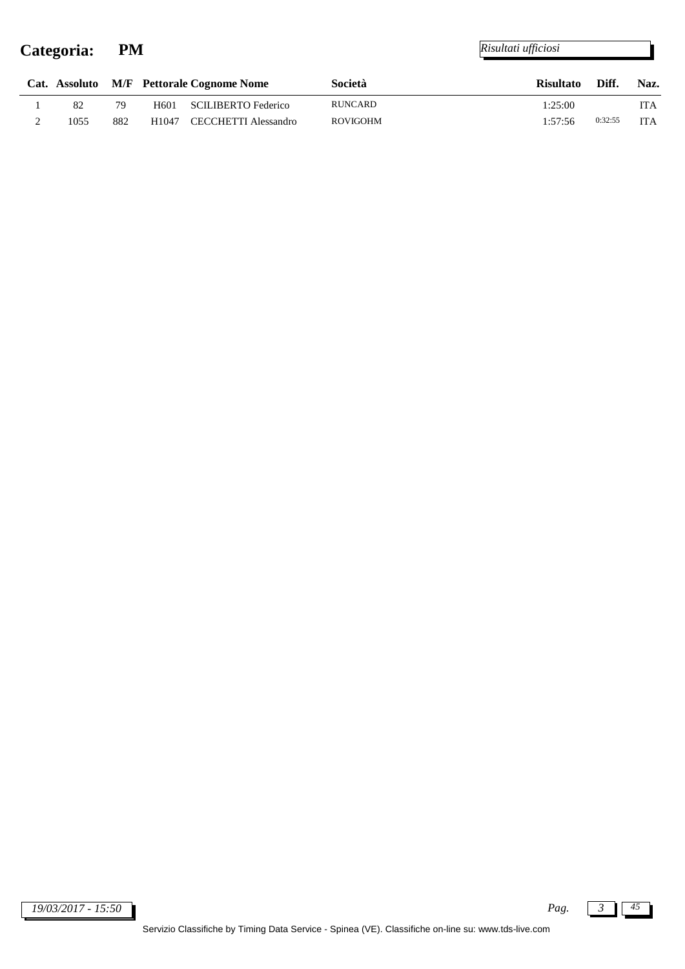j.

|      |     |                  | Cat. Assoluto M/F Pettorale Cognome Nome | Società  | <b>Risultato</b> | Diff.   | Naz.       |
|------|-----|------------------|------------------------------------------|----------|------------------|---------|------------|
| 82   | 79  | H <sub>601</sub> | SCILIBERTO Federico                      | RUNCARD  | 1:25:00          |         | ITA        |
| 1055 | 882 |                  | H <sub>1047</sub> CECCHETTI Alessandro   | ROVIGOHM | 1:57:56          | 0:32:55 | <b>ITA</b> |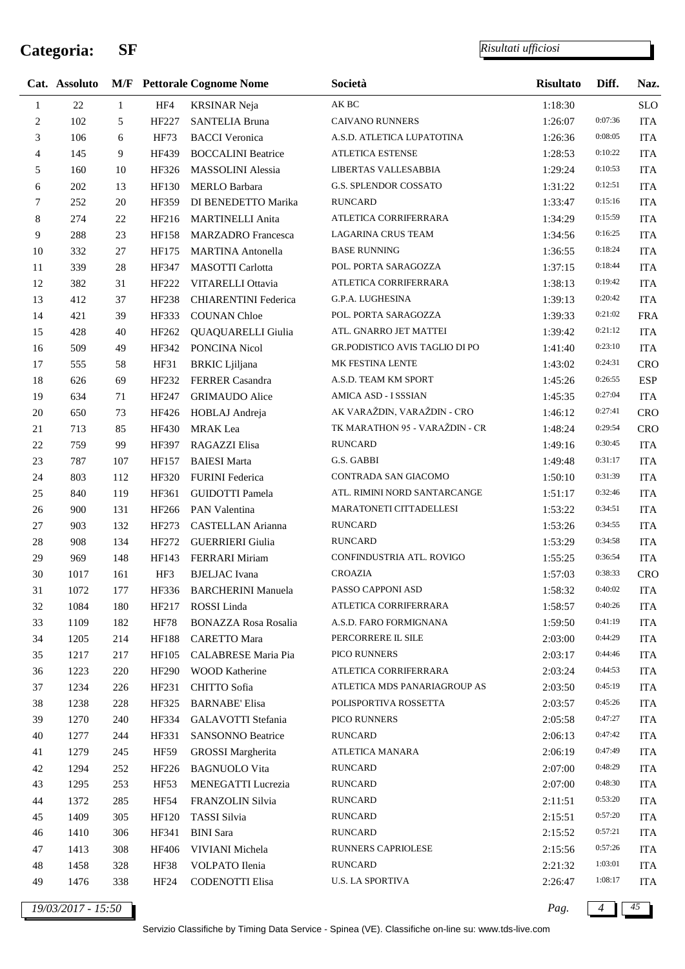j.

*Risultati ufficiosi*

|                | Cat. Assoluto |              |              | <b>M/F</b> Pettorale Cognome Nome | Società                        | <b>Risultato</b> | Diff.   | Naz.       |
|----------------|---------------|--------------|--------------|-----------------------------------|--------------------------------|------------------|---------|------------|
| $\mathbf{1}$   | $22\,$        | $\mathbf{1}$ | HF4          | <b>KRSINAR Neja</b>               | AK BC                          | 1:18:30          |         | <b>SLO</b> |
| $\overline{c}$ | 102           | 5            | HF227        | <b>SANTELIA Bruna</b>             | <b>CAIVANO RUNNERS</b>         | 1:26:07          | 0:07:36 | <b>ITA</b> |
| 3              | 106           | 6            | <b>HF73</b>  | <b>BACCI</b> Veronica             | A.S.D. ATLETICA LUPATOTINA     | 1:26:36          | 0:08:05 | <b>ITA</b> |
| 4              | 145           | 9            | HF439        | <b>BOCCALINI Beatrice</b>         | <b>ATLETICA ESTENSE</b>        | 1:28:53          | 0:10:22 | <b>ITA</b> |
| 5              | 160           | 10           | HF326        | <b>MASSOLINI</b> Alessia          | LIBERTAS VALLESABBIA           | 1:29:24          | 0:10:53 | <b>ITA</b> |
| 6              | 202           | 13           | HF130        | <b>MERLO Barbara</b>              | G.S. SPLENDOR COSSATO          | 1:31:22          | 0:12:51 | <b>ITA</b> |
| 7              | 252           | 20           | HF359        | DI BENEDETTO Marika               | <b>RUNCARD</b>                 | 1:33:47          | 0:15:16 | <b>ITA</b> |
| 8              | 274           | 22           | HF216        | <b>MARTINELLI Anita</b>           | ATLETICA CORRIFERRARA          | 1:34:29          | 0:15:59 | <b>ITA</b> |
| 9              | 288           | 23           | HF158        | <b>MARZADRO</b> Francesca         | LAGARINA CRUS TEAM             | 1:34:56          | 0:16:25 | <b>ITA</b> |
| 10             | 332           | 27           | HF175        | <b>MARTINA</b> Antonella          | <b>BASE RUNNING</b>            | 1:36:55          | 0:18:24 | <b>ITA</b> |
| 11             | 339           | 28           | HF347        | MASOTTI Carlotta                  | POL. PORTA SARAGOZZA           | 1:37:15          | 0:18:44 | <b>ITA</b> |
| 12             | 382           | 31           | HF222        | VITARELLI Ottavia                 | ATLETICA CORRIFERRARA          | 1:38:13          | 0:19:42 | <b>ITA</b> |
| 13             | 412           | 37           | HF238        | <b>CHIARENTINI Federica</b>       | G.P.A. LUGHESINA               | 1:39:13          | 0:20:42 | <b>ITA</b> |
| 14             | 421           | 39           | HF333        | <b>COUNAN Chloe</b>               | POL. PORTA SARAGOZZA           | 1:39:33          | 0:21:02 | <b>FRA</b> |
| 15             | 428           | 40           | HF262        | <b>QUAQUARELLI Giulia</b>         | ATL. GNARRO JET MATTEI         | 1:39:42          | 0:21:12 | <b>ITA</b> |
| 16             | 509           | 49           | HF342        | PONCINA Nicol                     | GR.PODISTICO AVIS TAGLIO DI PO | 1:41:40          | 0:23:10 | <b>ITA</b> |
| 17             | 555           | 58           | HF31         | <b>BRKIC</b> Ljiljana             | MK FESTINA LENTE               | 1:43:02          | 0:24:31 | <b>CRO</b> |
| 18             | 626           | 69           | HF232        | FERRER Casandra                   | A.S.D. TEAM KM SPORT           | 1:45:26          | 0:26:55 | <b>ESP</b> |
| 19             | 634           | 71           | HF247        | <b>GRIMAUDO</b> Alice             | AMICA ASD - I SSSIAN           | 1:45:35          | 0:27:04 | <b>ITA</b> |
| 20             | 650           | 73           | HF426        | HOBLAJ Andreja                    | AK VARAŽDIN, VARAŽDIN - CRO    | 1:46:12          | 0:27:41 | <b>CRO</b> |
| 21             | 713           | 85           | HF430        | <b>MRAK</b> Lea                   | TK MARATHON 95 - VARAŽDIN - CR | 1:48:24          | 0:29:54 | <b>CRO</b> |
| $22\,$         | 759           | 99           | HF397        | RAGAZZI Elisa                     | <b>RUNCARD</b>                 | 1:49:16          | 0:30:45 | <b>ITA</b> |
| 23             | 787           | 107          | HF157        | <b>BAIESI</b> Marta               | G.S. GABBI                     | 1:49:48          | 0:31:17 | <b>ITA</b> |
| 24             | 803           | 112          | HF320        | <b>FURINI</b> Federica            | CONTRADA SAN GIACOMO           | 1:50:10          | 0:31:39 | <b>ITA</b> |
| 25             | 840           | 119          | HF361        | <b>GUIDOTTI Pamela</b>            | ATL. RIMINI NORD SANTARCANGE   | 1:51:17          | 0:32:46 | <b>ITA</b> |
| 26             | 900           | 131          | HF266        | PAN Valentina                     | MARATONETI CITTADELLESI        | 1:53:22          | 0:34:51 | <b>ITA</b> |
| 27             | 903           | 132          | HF273        | CASTELLAN Arianna                 | <b>RUNCARD</b>                 | 1:53:26          | 0:34:55 | <b>ITA</b> |
| 28             | 908           | 134          | HF272        | <b>GUERRIERI</b> Giulia           | RUNCARD                        | 1:53:29          | 0:34:58 | <b>ITA</b> |
| 29             | 969           | 148          | HF143        | FERRARI Miriam                    | CONFINDUSTRIA ATL. ROVIGO      | 1:55:25          | 0:36:54 | <b>ITA</b> |
| 30             | 1017          | 161          | HF3          | <b>BJELJAC</b> Ivana              | <b>CROAZIA</b>                 | 1:57:03          | 0:38:33 | <b>CRO</b> |
| 31             | 1072          | 177          | HF336        | <b>BARCHERINI Manuela</b>         | PASSO CAPPONI ASD              | 1:58:32          | 0:40:02 | ITA        |
| 32             | 1084          | 180          | HF217        | ROSSI Linda                       | ATLETICA CORRIFERRARA          | 1:58:57          | 0:40:26 | <b>ITA</b> |
| 33             | 1109          | 182          | <b>HF78</b>  | <b>BONAZZA Rosa Rosalia</b>       | A.S.D. FARO FORMIGNANA         | 1:59:50          | 0:41:19 | <b>ITA</b> |
| 34             | 1205          | 214          | <b>HF188</b> | <b>CARETTO</b> Mara               | PERCORRERE IL SILE             | 2:03:00          | 0:44:29 | <b>ITA</b> |
| 35             | 1217          | 217          | HF105        | <b>CALABRESE Maria Pia</b>        | PICO RUNNERS                   | 2:03:17          | 0:44:46 | <b>ITA</b> |
| 36             | 1223          | 220          | HF290        | <b>WOOD Katherine</b>             | ATLETICA CORRIFERRARA          | 2:03:24          | 0:44:53 | <b>ITA</b> |
| 37             | 1234          | 226          | HF231        | CHITTO Sofia                      | ATLETICA MDS PANARIAGROUP AS   | 2:03:50          | 0:45:19 | <b>ITA</b> |
| 38             | 1238          | 228          | HF325        | <b>BARNABE' Elisa</b>             | POLISPORTIVA ROSSETTA          | 2:03:57          | 0:45:26 | <b>ITA</b> |
| 39             | 1270          | 240          | HF334        | GALAVOTTI Stefania                | PICO RUNNERS                   | 2:05:58          | 0:47:27 | <b>ITA</b> |
| 40             | 1277          | 244          | HF331        | <b>SANSONNO Beatrice</b>          | <b>RUNCARD</b>                 | 2:06:13          | 0:47:42 | <b>ITA</b> |
| 41             | 1279          | 245          | HF59         | <b>GROSSI</b> Margherita          | ATLETICA MANARA                | 2:06:19          | 0:47:49 | <b>ITA</b> |
| 42             | 1294          | 252          | HF226        | <b>BAGNUOLO Vita</b>              | RUNCARD                        | 2:07:00          | 0:48:29 | <b>ITA</b> |
| 43             | 1295          | 253          | HF53         | MENEGATTI Lucrezia                | <b>RUNCARD</b>                 | 2:07:00          | 0:48:30 | <b>ITA</b> |
| 44             | 1372          | 285          | HF54         | FRANZOLIN Silvia                  | RUNCARD                        | 2:11:51          | 0:53:20 | <b>ITA</b> |
| 45             | 1409          | 305          | <b>HF120</b> | TASSI Silvia                      | <b>RUNCARD</b>                 | 2:15:51          | 0:57:20 | <b>ITA</b> |
| 46             | 1410          | 306          | HF341        | <b>BINI</b> Sara                  | <b>RUNCARD</b>                 | 2:15:52          | 0:57:21 | <b>ITA</b> |
| 47             | 1413          | 308          | HF406        | VIVIANI Michela                   | RUNNERS CAPRIOLESE             | 2:15:56          | 0:57:26 | <b>ITA</b> |
| 48             | 1458          | 328          | HF38         | VOLPATO Ilenia                    | <b>RUNCARD</b>                 | 2:21:32          | 1:03:01 | <b>ITA</b> |
| 49             | 1476          | 338          | HF24         | CODENOTTI Elisa                   | <b>U.S. LA SPORTIVA</b>        | 2:26:47          | 1:08:17 | <b>ITA</b> |
|                |               |              |              |                                   |                                |                  |         |            |

*19/03/2017 - 15:50 Pag. 4 45*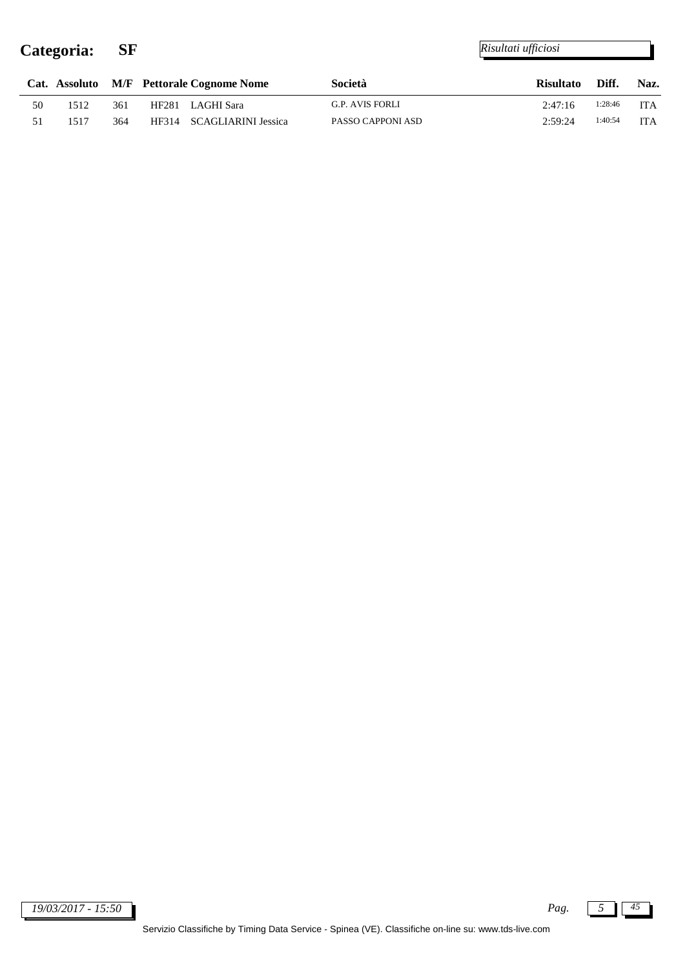j.

|    |      |     | Cat. Assoluto M/F Pettorale Cognome Nome | Società                | <b>Risultato</b> | Diff.   | Naz.       |
|----|------|-----|------------------------------------------|------------------------|------------------|---------|------------|
| 50 | 512  | 361 | HF281 LAGHI Sara                         | <b>G.P. AVIS FORLI</b> | 2:47:16          | 1:28:46 | <b>ITA</b> |
|    | 517ء | 364 | HF314 SCAGLIARINI Jessica                | PASSO CAPPONI ASD      | 2:59:24          | 1:40:54 | ITA        |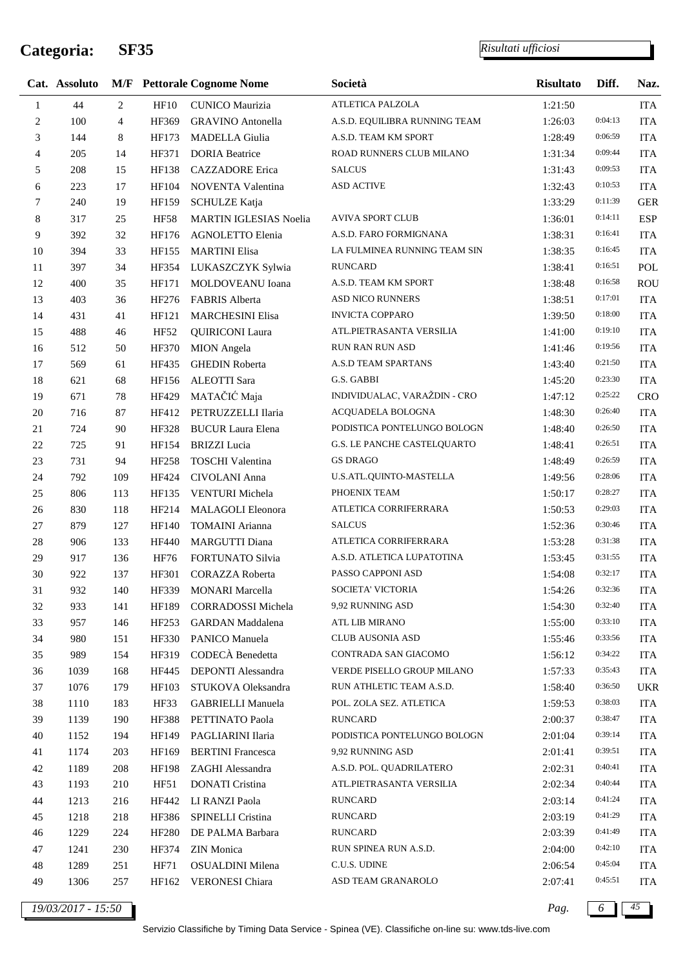#### *Risultati ufficiosi*

|                | Cat. Assoluto |                |              | <b>M/F</b> Pettorale Cognome Nome | Società                       | <b>Risultato</b> | Diff.   | Naz.       |
|----------------|---------------|----------------|--------------|-----------------------------------|-------------------------------|------------------|---------|------------|
| 1              | 44            | 2              | HF10         | <b>CUNICO Maurizia</b>            | ATLETICA PALZOLA              | 1:21:50          |         | <b>ITA</b> |
| $\overline{c}$ | 100           | $\overline{4}$ | HF369        | <b>GRAVINO</b> Antonella          | A.S.D. EQUILIBRA RUNNING TEAM | 1:26:03          | 0:04:13 | <b>ITA</b> |
| 3              | 144           | 8              | HF173        | <b>MADELLA</b> Giulia             | A.S.D. TEAM KM SPORT          | 1:28:49          | 0:06:59 | <b>ITA</b> |
| 4              | 205           | 14             | HF371        | <b>DORIA</b> Beatrice             | ROAD RUNNERS CLUB MILANO      | 1:31:34          | 0:09:44 | <b>ITA</b> |
| 5              | 208           | 15             | HF138        | <b>CAZZADORE</b> Erica            | <b>SALCUS</b>                 | 1:31:43          | 0:09:53 | <b>ITA</b> |
| 6              | 223           | 17             | HF104        | NOVENTA Valentina                 | <b>ASD ACTIVE</b>             | 1:32:43          | 0:10:53 | <b>ITA</b> |
| 7              | 240           | 19             | HF159        | <b>SCHULZE Katja</b>              |                               | 1:33:29          | 0:11:39 | <b>GER</b> |
| 8              | 317           | 25             | <b>HF58</b>  | MARTIN IGLESIAS Noelia            | <b>AVIVA SPORT CLUB</b>       | 1:36:01          | 0:14:11 | <b>ESP</b> |
| 9              | 392           | 32             | HF176        | AGNOLETTO Elenia                  | A.S.D. FARO FORMIGNANA        | 1:38:31          | 0:16:41 | <b>ITA</b> |
| 10             | 394           | 33             | HF155        | <b>MARTINI Elisa</b>              | LA FULMINEA RUNNING TEAM SIN  | 1:38:35          | 0:16:45 | <b>ITA</b> |
| 11             | 397           | 34             | HF354        | LUKASZCZYK Sylwia                 | <b>RUNCARD</b>                | 1:38:41          | 0:16:51 | POL        |
| 12             | 400           | 35             | HF171        | MOLDOVEANU Ioana                  | A.S.D. TEAM KM SPORT          | 1:38:48          | 0:16:58 | ROU        |
| 13             | 403           | 36             | HF276        | FABRIS Alberta                    | <b>ASD NICO RUNNERS</b>       | 1:38:51          | 0:17:01 | <b>ITA</b> |
| 14             | 431           | 41             | HF121        | <b>MARCHESINI Elisa</b>           | <b>INVICTA COPPARO</b>        | 1:39:50          | 0:18:00 | <b>ITA</b> |
| 15             | 488           | 46             | HF52         | <b>QUIRICONI</b> Laura            | ATL.PIETRASANTA VERSILIA      | 1:41:00          | 0:19:10 | <b>ITA</b> |
| 16             | 512           | 50             | HF370        | <b>MION</b> Angela                | <b>RUN RAN RUN ASD</b>        | 1:41:46          | 0:19:56 | <b>ITA</b> |
| 17             | 569           | 61             | HF435        | <b>GHEDIN Roberta</b>             | A.S.D TEAM SPARTANS           | 1:43:40          | 0:21:50 | <b>ITA</b> |
| 18             | 621           | 68             | HF156        | <b>ALEOTTI Sara</b>               | G.S. GABBI                    | 1:45:20          | 0:23:30 | <b>ITA</b> |
| 19             | 671           | 78             | HF429        | MATAČIĆ Maja                      | INDIVIDUALAC, VARAŽDIN - CRO  | 1:47:12          | 0:25:22 | <b>CRO</b> |
| 20             | 716           | 87             | HF412        | PETRUZZELLI Ilaria                | ACQUADELA BOLOGNA             | 1:48:30          | 0:26:40 | <b>ITA</b> |
| 21             | 724           | 90             | HF328        | <b>BUCUR Laura Elena</b>          | PODISTICA PONTELUNGO BOLOGN   | 1:48:40          | 0:26:50 | <b>ITA</b> |
| 22             | 725           | 91             | HF154        | <b>BRIZZI</b> Lucia               | G.S. LE PANCHE CASTELQUARTO   | 1:48:41          | 0:26:51 | <b>ITA</b> |
| 23             | 731           | 94             | HF258        | <b>TOSCHI</b> Valentina           | <b>GS DRAGO</b>               | 1:48:49          | 0:26:59 | <b>ITA</b> |
| 24             | 792           | 109            | HF424        | CIVOLANI Anna                     | U.S.ATL.QUINTO-MASTELLA       | 1:49:56          | 0:28:06 | <b>ITA</b> |
| 25             | 806           | 113            | HF135        | VENTURI Michela                   | PHOENIX TEAM                  | 1:50:17          | 0:28:27 | <b>ITA</b> |
| $26\,$         | 830           | 118            | HF214        | MALAGOLI Eleonora                 | ATLETICA CORRIFERRARA         | 1:50:53          | 0:29:03 | <b>ITA</b> |
| 27             | 879           | 127            | HF140        | <b>TOMAINI</b> Arianna            | <b>SALCUS</b>                 | 1:52:36          | 0:30:46 | <b>ITA</b> |
| 28             | 906           | 133            | <b>HF440</b> | <b>MARGUTTI Diana</b>             | ATLETICA CORRIFERRARA         | 1:53:28          | 0:31:38 | <b>ITA</b> |
| 29             | 917           | 136            | HF76         | FORTUNATO Silvia                  | A.S.D. ATLETICA LUPATOTINA    | 1:53:45          | 0:31:55 | <b>ITA</b> |
| 30             | 922           | 137            | HF301        | <b>CORAZZA Roberta</b>            | PASSO CAPPONI ASD             | 1:54:08          | 0:32:17 | <b>ITA</b> |
| 31             | 932           | 140            | HF339        | <b>MONARI</b> Marcella            | SOCIETA' VICTORIA             | 1:54:26          | 0:32:36 | <b>ITA</b> |
| 32             | 933           | 141            | HF189        | <b>CORRADOSSI</b> Michela         | 9,92 RUNNING ASD              | 1:54:30          | 0:32:40 | <b>ITA</b> |
| 33             | 957           | 146            | HF253        | GARDAN Maddalena                  | ATL LIB MIRANO                | 1:55:00          | 0:33:10 | <b>ITA</b> |
| 34             | 980           | 151            | HF330        | PANICO Manuela                    | <b>CLUB AUSONIA ASD</b>       | 1:55:46          | 0:33:56 | <b>ITA</b> |
| 35             | 989           | 154            | HF319        | CODECÀ Benedetta                  | CONTRADA SAN GIACOMO          | 1:56:12          | 0:34:22 | <b>ITA</b> |
| 36             | 1039          | 168            | HF445        | DEPONTI Alessandra                | VERDE PISELLO GROUP MILANO    | 1:57:33          | 0:35:43 | <b>ITA</b> |
| 37             | 1076          | 179            | HF103        | STUKOVA Oleksandra                | RUN ATHLETIC TEAM A.S.D.      | 1:58:40          | 0:36:50 | <b>UKR</b> |
| 38             | 1110          | 183            | HF33         | <b>GABRIELLI Manuela</b>          | POL. ZOLA SEZ. ATLETICA       | 1:59:53          | 0:38:03 | <b>ITA</b> |
| 39             | 1139          | 190            | HF388        | PETTINATO Paola                   | <b>RUNCARD</b>                | 2:00:37          | 0:38:47 | <b>ITA</b> |
| 40             | 1152          | 194            | HF149        | PAGLIARINI Ilaria                 | PODISTICA PONTELUNGO BOLOGN   | 2:01:04          | 0:39:14 | <b>ITA</b> |
| 41             | 1174          | 203            | HF169        | <b>BERTINI</b> Francesca          | 9,92 RUNNING ASD              | 2:01:41          | 0:39:51 | <b>ITA</b> |
| 42             | 1189          | 208            | HF198        | ZAGHI Alessandra                  | A.S.D. POL. QUADRILATERO      | 2:02:31          | 0:40:41 | <b>ITA</b> |
| 43             | 1193          | 210            | <b>HF51</b>  | <b>DONATI</b> Cristina            | ATL.PIETRASANTA VERSILIA      | 2:02:34          | 0:40:44 | <b>ITA</b> |
| 44             | 1213          | 216            | HF442        | LI RANZI Paola                    | <b>RUNCARD</b>                | 2:03:14          | 0:41:24 | <b>ITA</b> |
| 45             | 1218          | 218            | HF386        | SPINELLI Cristina                 | <b>RUNCARD</b>                | 2:03:19          | 0:41:29 | <b>ITA</b> |
| 46             | 1229          | 224            | HF280        | DE PALMA Barbara                  | <b>RUNCARD</b>                | 2:03:39          | 0:41:49 | <b>ITA</b> |
| 47             | 1241          | 230            | HF374        | ZIN Monica                        | RUN SPINEA RUN A.S.D.         | 2:04:00          | 0:42:10 | <b>ITA</b> |
| 48             | 1289          | 251            | <b>HF71</b>  | OSUALDINI Milena                  | C.U.S. UDINE                  | 2:06:54          | 0:45:04 | <b>ITA</b> |
| 49             | 1306          | 257            | HF162        | VERONESI Chiara                   | ASD TEAM GRANAROLO            | 2:07:41          | 0:45:51 | <b>ITA</b> |

*19/03/2017 - 15:50 Pag. 6 45*

Servizio Classifiche by Timing Data Service - Spinea (VE). Classifiche on-line su: www.tds-live.com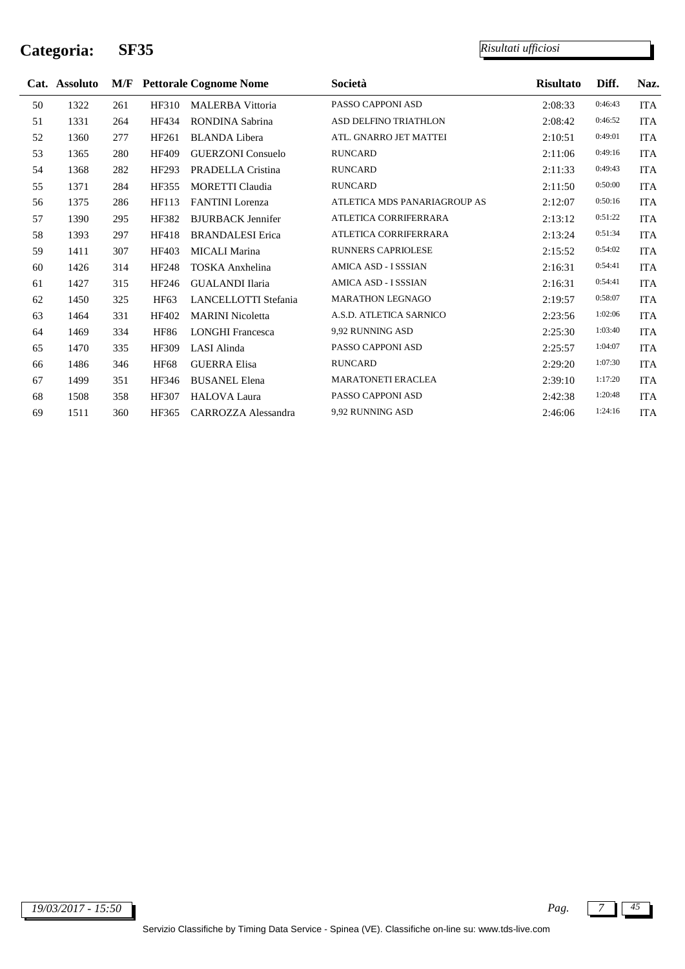j.

|    | Cat. Assoluto |     |              | <b>M/F</b> Pettorale Cognome Nome | Società                      | <b>Risultato</b> | Diff.   | Naz.       |
|----|---------------|-----|--------------|-----------------------------------|------------------------------|------------------|---------|------------|
| 50 | 1322          | 261 | HF310        | <b>MALERBA Vittoria</b>           | PASSO CAPPONI ASD            | 2:08:33          | 0:46:43 | <b>ITA</b> |
| 51 | 1331          | 264 | HF434        | RONDINA Sabrina                   | ASD DELFINO TRIATHLON        | 2:08:42          | 0:46:52 | <b>ITA</b> |
| 52 | 1360          | 277 | HF261        | <b>BLANDA Libera</b>              | ATL. GNARRO JET MATTEI       | 2:10:51          | 0:49:01 | <b>ITA</b> |
| 53 | 1365          | 280 | <b>HF409</b> | <b>GUERZONI</b> Consuelo          | <b>RUNCARD</b>               | 2:11:06          | 0:49:16 | <b>ITA</b> |
| 54 | 1368          | 282 | HF293        | PRADELLA Cristina                 | <b>RUNCARD</b>               | 2:11:33          | 0:49:43 | <b>ITA</b> |
| 55 | 1371          | 284 | HF355        | <b>MORETTI Claudia</b>            | <b>RUNCARD</b>               | 2:11:50          | 0:50:00 | <b>ITA</b> |
| 56 | 1375          | 286 | HF113        | <b>FANTINI</b> Lorenza            | ATLETICA MDS PANARIAGROUP AS | 2:12:07          | 0:50:16 | <b>ITA</b> |
| 57 | 1390          | 295 | HF382        | <b>BJURBACK Jennifer</b>          | ATLETICA CORRIFERRARA        | 2:13:12          | 0:51:22 | <b>ITA</b> |
| 58 | 1393          | 297 | HF418        | <b>BRANDALESI</b> Erica           | ATLETICA CORRIFERRARA        | 2:13:24          | 0:51:34 | <b>ITA</b> |
| 59 | 1411          | 307 | HF403        | MICALI Marina                     | <b>RUNNERS CAPRIOLESE</b>    | 2:15:52          | 0:54:02 | <b>ITA</b> |
| 60 | 1426          | 314 | HF248        | <b>TOSKA</b> Anxhelina            | AMICA ASD - I SSSIAN         | 2:16:31          | 0:54:41 | <b>ITA</b> |
| 61 | 1427          | 315 | HF246        | <b>GUALANDI Ilaria</b>            | AMICA ASD - I SSSIAN         | 2:16:31          | 0:54:41 | ITA        |
| 62 | 1450          | 325 | <b>HF63</b>  | LANCELLOTTI Stefania              | <b>MARATHON LEGNAGO</b>      | 2:19:57          | 0:58:07 | <b>ITA</b> |
| 63 | 1464          | 331 | HF402        | <b>MARINI</b> Nicoletta           | A.S.D. ATLETICA SARNICO      | 2:23:56          | 1:02:06 | <b>ITA</b> |
| 64 | 1469          | 334 | <b>HF86</b>  | <b>LONGHI Francesca</b>           | 9,92 RUNNING ASD             | 2:25:30          | 1:03:40 | <b>ITA</b> |
| 65 | 1470          | 335 | HF309        | LASI Alinda                       | PASSO CAPPONI ASD            | 2:25:57          | 1:04:07 | <b>ITA</b> |
| 66 | 1486          | 346 | <b>HF68</b>  | <b>GUERRA Elisa</b>               | <b>RUNCARD</b>               | 2:29:20          | 1:07:30 | <b>ITA</b> |
| 67 | 1499          | 351 | HF346        | <b>BUSANEL Elena</b>              | <b>MARATONETI ERACLEA</b>    | 2:39:10          | 1:17:20 | <b>ITA</b> |
| 68 | 1508          | 358 | HF307        | <b>HALOVA Laura</b>               | PASSO CAPPONI ASD            | 2:42:38          | 1:20:48 | <b>ITA</b> |
| 69 | 1511          | 360 | HF365        | CARROZZA Alessandra               | 9,92 RUNNING ASD             | 2:46:06          | 1:24:16 | <b>ITA</b> |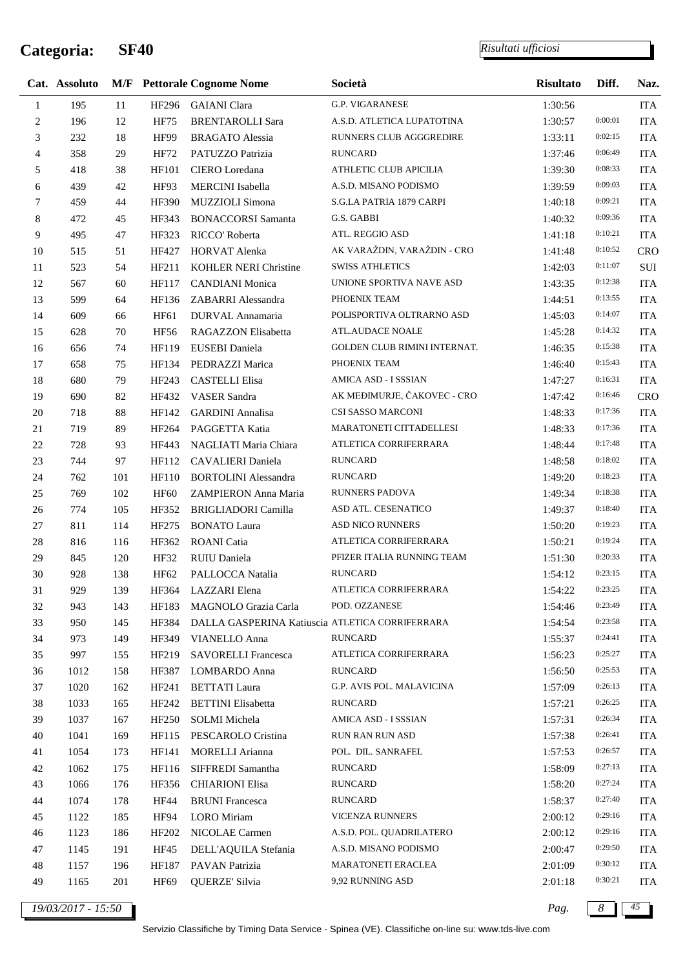*Risultati ufficiosi*

|                | Cat. Assoluto |     |              | <b>M/F</b> Pettorale Cognome Nome               | Società                      | <b>Risultato</b> | Diff.   | Naz.       |
|----------------|---------------|-----|--------------|-------------------------------------------------|------------------------------|------------------|---------|------------|
| $\mathbf{1}$   | 195           | 11  | HF296        | <b>GAIANI</b> Clara                             | <b>G.P. VIGARANESE</b>       | 1:30:56          |         | <b>ITA</b> |
| $\sqrt{2}$     | 196           | 12  | HF75         | <b>BRENTAROLLI Sara</b>                         | A.S.D. ATLETICA LUPATOTINA   | 1:30:57          | 0:00:01 | <b>ITA</b> |
| 3              | 232           | 18  | HF99         | <b>BRAGATO</b> Alessia                          | RUNNERS CLUB AGGGREDIRE      | 1:33:11          | 0:02:15 | <b>ITA</b> |
| $\overline{4}$ | 358           | 29  | HF72         | PATUZZO Patrizia                                | RUNCARD                      | 1:37:46          | 0:06:49 | <b>ITA</b> |
| 5              | 418           | 38  | HF101        | CIERO Loredana                                  | ATHLETIC CLUB APICILIA       | 1:39:30          | 0:08:33 | <b>ITA</b> |
| 6              | 439           | 42  | HF93         | MERCINI Isabella                                | A.S.D. MISANO PODISMO        | 1:39:59          | 0:09:03 | <b>ITA</b> |
| $\tau$         | 459           | 44  | HF390        | MUZZIOLI Simona                                 | S.G.LA PATRIA 1879 CARPI     | 1:40:18          | 0:09:21 | <b>ITA</b> |
| 8              | 472           | 45  | HF343        | <b>BONACCORSI Samanta</b>                       | G.S. GABBI                   | 1:40:32          | 0:09:36 | <b>ITA</b> |
| 9              | 495           | 47  | HF323        | RICCO' Roberta                                  | ATL. REGGIO ASD              | 1:41:18          | 0:10:21 | <b>ITA</b> |
| 10             | 515           | 51  | HF427        | HORVAT Alenka                                   | AK VARAŽDIN, VARAŽDIN - CRO  | 1:41:48          | 0:10:52 | <b>CRO</b> |
| 11             | 523           | 54  | HF211        | KOHLER NERI Christine                           | <b>SWISS ATHLETICS</b>       | 1:42:03          | 0:11:07 | $\rm SUI$  |
| 12             | 567           | 60  | HF117        | <b>CANDIANI</b> Monica                          | UNIONE SPORTIVA NAVE ASD     | 1:43:35          | 0:12:38 | <b>ITA</b> |
| 13             | 599           | 64  | HF136        | ZABARRI Alessandra                              | PHOENIX TEAM                 | 1:44:51          | 0:13:55 | <b>ITA</b> |
| 14             | 609           | 66  | HF61         | DURVAL Annamaria                                | POLISPORTIVA OLTRARNO ASD    | 1:45:03          | 0:14:07 | <b>ITA</b> |
| 15             | 628           | 70  | <b>HF56</b>  | RAGAZZON Elisabetta                             | <b>ATL.AUDACE NOALE</b>      | 1:45:28          | 0:14:32 | <b>ITA</b> |
| 16             | 656           | 74  | HF119        | EUSEBI Daniela                                  | GOLDEN CLUB RIMINI INTERNAT. | 1:46:35          | 0:15:38 | <b>ITA</b> |
| 17             | 658           | 75  | HF134        | PEDRAZZI Marica                                 | PHOENIX TEAM                 | 1:46:40          | 0:15:43 | <b>ITA</b> |
| 18             | 680           | 79  | HF243        | <b>CASTELLI Elisa</b>                           | AMICA ASD - I SSSIAN         | 1:47:27          | 0:16:31 | <b>ITA</b> |
| 19             | 690           | 82  | HF432        | <b>VASER</b> Sandra                             | AK MEĐIMURJE, ČAKOVEC - CRO  | 1:47:42          | 0:16:46 | <b>CRO</b> |
| $20\,$         | 718           | 88  | HF142        | <b>GARDINI</b> Annalisa                         | CSI SASSO MARCONI            | 1:48:33          | 0:17:36 | <b>ITA</b> |
| 21             | 719           | 89  |              | HF264 PAGGETTA Katia                            | MARATONETI CITTADELLESI      | 1:48:33          | 0:17:36 | <b>ITA</b> |
| $22\,$         | 728           | 93  | HF443        | NAGLIATI Maria Chiara                           | ATLETICA CORRIFERRARA        | 1:48:44          | 0:17:48 | <b>ITA</b> |
| 23             | 744           | 97  | HF112        | CAVALIERI Daniela                               | <b>RUNCARD</b>               | 1:48:58          | 0:18:02 | <b>ITA</b> |
| 24             | 762           | 101 | <b>HF110</b> | <b>BORTOLINI</b> Alessandra                     | <b>RUNCARD</b>               | 1:49:20          | 0:18:23 | <b>ITA</b> |
| 25             | 769           | 102 | HF60         | ZAMPIERON Anna Maria                            | <b>RUNNERS PADOVA</b>        | 1:49:34          | 0:18:38 | <b>ITA</b> |
| $26\,$         | 774           | 105 | HF352        | <b>BRIGLIADORI Camilla</b>                      | ASD ATL. CESENATICO          | 1:49:37          | 0:18:40 | <b>ITA</b> |
| 27             | 811           | 114 | HF275        | <b>BONATO Laura</b>                             | <b>ASD NICO RUNNERS</b>      | 1:50:20          | 0:19:23 | <b>ITA</b> |
| $28\,$         | 816           | 116 | HF362        | <b>ROANI</b> Catia                              | ATLETICA CORRIFERRARA        | 1:50:21          | 0:19:24 | <b>ITA</b> |
| 29             | 845           | 120 | HF32         | RUIU Daniela                                    | PFIZER ITALIA RUNNING TEAM   | 1:51:30          | 0:20:33 | <b>ITA</b> |
| 30             | 928           | 138 | HF62         | PALLOCCA Natalia                                | <b>RUNCARD</b>               | 1:54:12          | 0:23:15 | <b>ITA</b> |
| 31             | 929           | 139 | HF364        | LAZZARI Elena                                   | ATLETICA CORRIFERRARA        | 1:54:22          | 0:23:25 | <b>ITA</b> |
| 32             | 943           | 143 | HF183        | MAGNOLO Grazia Carla                            | POD. OZZANESE                | 1:54:46          | 0:23:49 | <b>ITA</b> |
| 33             | 950           | 145 | HF384        | DALLA GASPERINA Katiuscia ATLETICA CORRIFERRARA |                              | 1:54:54          | 0:23:58 | <b>ITA</b> |
| 34             | 973           | 149 | HF349        | <b>VIANELLO Anna</b>                            | <b>RUNCARD</b>               | 1:55:37          | 0:24:41 | <b>ITA</b> |
| 35             | 997           | 155 | HF219        | <b>SAVORELLI Francesca</b>                      | ATLETICA CORRIFERRARA        | 1:56:23          | 0:25:27 | <b>ITA</b> |
| 36             | 1012          | 158 | HF387        | LOMBARDO Anna                                   | <b>RUNCARD</b>               | 1:56:50          | 0:25:53 | <b>ITA</b> |
| 37             | 1020          | 162 | HF241        | <b>BETTATI</b> Laura                            | G.P. AVIS POL. MALAVICINA    | 1:57:09          | 0:26:13 | <b>ITA</b> |
| 38             | 1033          | 165 | HF242        | <b>BETTINI</b> Elisabetta                       | <b>RUNCARD</b>               | 1:57:21          | 0:26:25 | <b>ITA</b> |
| 39             | 1037          | 167 | HF250        | <b>SOLMI</b> Michela                            | AMICA ASD - I SSSIAN         | 1:57:31          | 0:26:34 | <b>ITA</b> |
| 40             | 1041          | 169 | HF115        | PESCAROLO Cristina                              | <b>RUN RAN RUN ASD</b>       | 1:57:38          | 0:26:41 | <b>ITA</b> |
| 41             | 1054          | 173 | HF141        | <b>MORELLI</b> Arianna                          | POL. DIL. SANRAFEL           | 1:57:53          | 0:26:57 | <b>ITA</b> |
| 42             | 1062          | 175 | HF116        | SIFFREDI Samantha                               | <b>RUNCARD</b>               | 1:58:09          | 0:27:13 | <b>ITA</b> |
| 43             | 1066          | 176 | HF356        | <b>CHIARIONI Elisa</b>                          | <b>RUNCARD</b>               | 1:58:20          | 0:27:24 | <b>ITA</b> |
| 44             | 1074          | 178 | HF44         | <b>BRUNI</b> Francesca                          | <b>RUNCARD</b>               | 1:58:37          | 0:27:40 | <b>ITA</b> |
| 45             | 1122          | 185 | HF94         | LORO Miriam                                     | <b>VICENZA RUNNERS</b>       | 2:00:12          | 0:29:16 | <b>ITA</b> |
| 46             | 1123          | 186 | HF202        | NICOLAE Carmen                                  | A.S.D. POL. QUADRILATERO     | 2:00:12          | 0:29:16 | <b>ITA</b> |
| 47             | 1145          | 191 | HF45         | DELL'AQUILA Stefania                            | A.S.D. MISANO PODISMO        | 2:00:47          | 0:29:50 | <b>ITA</b> |
| 48             | 1157          | 196 | HF187        | PAVAN Patrizia                                  | MARATONETI ERACLEA           | 2:01:09          | 0:30:12 | <b>ITA</b> |
| 49             | 1165          | 201 | HF69         | QUERZE' Silvia                                  | 9,92 RUNNING ASD             | 2:01:18          | 0:30:21 | <b>ITA</b> |
|                |               |     |              |                                                 |                              |                  |         |            |

*19/03/2017 - 15:50 Pag. 8 45*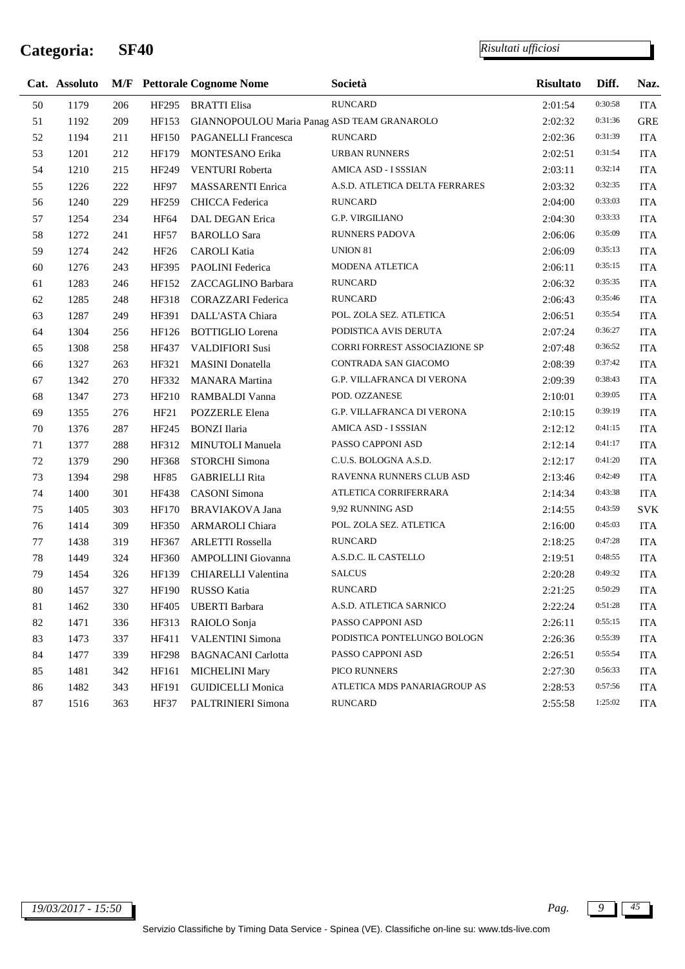j.

|        | Cat. Assoluto |     |                  | <b>M/F</b> Pettorale Cognome Nome           | Società                              | <b>Risultato</b> | Diff.   | Naz.       |
|--------|---------------|-----|------------------|---------------------------------------------|--------------------------------------|------------------|---------|------------|
| 50     | 1179          | 206 |                  | HF295 BRATTI Elisa                          | <b>RUNCARD</b>                       | 2:01:54          | 0:30:58 | <b>ITA</b> |
| 51     | 1192          | 209 | HF153            | GIANNOPOULOU Maria Panag ASD TEAM GRANAROLO |                                      | 2:02:32          | 0:31:36 | <b>GRE</b> |
| 52     | 1194          | 211 | <b>HF150</b>     | PAGANELLI Francesca                         | <b>RUNCARD</b>                       | 2:02:36          | 0:31:39 | <b>ITA</b> |
| 53     | 1201          | 212 | HF179            | MONTESANO Erika                             | <b>URBAN RUNNERS</b>                 | 2:02:51          | 0:31:54 | <b>ITA</b> |
| 54     | 1210          | 215 | HF249            | VENTURI Roberta                             | AMICA ASD - I SSSIAN                 | 2:03:11          | 0:32:14 | <b>ITA</b> |
| 55     | 1226          | 222 | HF97             | MASSARENTI Enrica                           | A.S.D. ATLETICA DELTA FERRARES       | 2:03:32          | 0:32:35 | <b>ITA</b> |
| 56     | 1240          | 229 | HF259            | CHICCA Federica                             | <b>RUNCARD</b>                       | 2:04:00          | 0:33:03 | <b>ITA</b> |
| 57     | 1254          | 234 | HF64             | DAL DEGAN Erica                             | <b>G.P. VIRGILIANO</b>               | 2:04:30          | 0:33:33 | <b>ITA</b> |
| 58     | 1272          | 241 | <b>HF57</b>      | <b>BAROLLO</b> Sara                         | <b>RUNNERS PADOVA</b>                | 2:06:06          | 0:35:09 | <b>ITA</b> |
| 59     | 1274          | 242 | HF <sub>26</sub> | <b>CAROLI</b> Katia                         | UNION 81                             | 2:06:09          | 0:35:13 | <b>ITA</b> |
| 60     | 1276          | 243 | HF395            | PAOLINI Federica                            | MODENA ATLETICA                      | 2:06:11          | 0:35:15 | <b>ITA</b> |
| 61     | 1283          | 246 | HF152            | ZACCAGLINO Barbara                          | <b>RUNCARD</b>                       | 2:06:32          | 0:35:35 | <b>ITA</b> |
| 62     | 1285          | 248 | HF318            | <b>CORAZZARI</b> Federica                   | <b>RUNCARD</b>                       | 2:06:43          | 0:35:46 | <b>ITA</b> |
| 63     | 1287          | 249 | HF391            | DALL'ASTA Chiara                            | POL. ZOLA SEZ. ATLETICA              | 2:06:51          | 0:35:54 | <b>ITA</b> |
| 64     | 1304          | 256 | HF126            | <b>BOTTIGLIO</b> Lorena                     | PODISTICA AVIS DERUTA                | 2:07:24          | 0:36:27 | <b>ITA</b> |
| 65     | 1308          | 258 | HF437            | <b>VALDIFIORI Susi</b>                      | <b>CORRI FORREST ASSOCIAZIONE SP</b> | 2:07:48          | 0:36:52 | ITA        |
| 66     | 1327          | 263 | HF321            | <b>MASINI</b> Donatella                     | CONTRADA SAN GIACOMO                 | 2:08:39          | 0:37:42 | <b>ITA</b> |
| 67     | 1342          | 270 | HF332            | <b>MANARA</b> Martina                       | G.P. VILLAFRANCA DI VERONA           | 2:09:39          | 0:38:43 | <b>ITA</b> |
| 68     | 1347          | 273 | HF210            | RAMBALDI Vanna                              | POD. OZZANESE                        | 2:10:01          | 0:39:05 | <b>ITA</b> |
| 69     | 1355          | 276 | HF21             | POZZERLE Elena                              | <b>G.P. VILLAFRANCA DI VERONA</b>    | 2:10:15          | 0:39:19 | <b>ITA</b> |
| $70\,$ | 1376          | 287 | HF245            | <b>BONZI</b> Ilaria                         | AMICA ASD - I SSSIAN                 | 2:12:12          | 0:41:15 | <b>ITA</b> |
| 71     | 1377          | 288 | HF312            | MINUTOLI Manuela                            | PASSO CAPPONI ASD                    | 2:12:14          | 0:41:17 | ITA        |
| 72     | 1379          | 290 | HF368            | STORCHI Simona                              | C.U.S. BOLOGNA A.S.D.                | 2:12:17          | 0:41:20 | <b>ITA</b> |
| 73     | 1394          | 298 | <b>HF85</b>      | <b>GABRIELLI Rita</b>                       | RAVENNA RUNNERS CLUB ASD             | 2:13:46          | 0:42:49 | <b>ITA</b> |
| 74     | 1400          | 301 | HF438            | <b>CASONI</b> Simona                        | ATLETICA CORRIFERRARA                | 2:14:34          | 0:43:38 | <b>ITA</b> |
| 75     | 1405          | 303 | <b>HF170</b>     | <b>BRAVIAKOVA Jana</b>                      | 9,92 RUNNING ASD                     | 2:14:55          | 0:43:59 | <b>SVK</b> |
| 76     | 1414          | 309 | HF350            | ARMAROLI Chiara                             | POL. ZOLA SEZ. ATLETICA              | 2:16:00          | 0:45:03 | ITA        |
| 77     | 1438          | 319 | HF367            | <b>ARLETTI Rossella</b>                     | <b>RUNCARD</b>                       | 2:18:25          | 0:47:28 | <b>ITA</b> |
| 78     | 1449          | 324 | HF360            | AMPOLLINI Giovanna                          | A.S.D.C. IL CASTELLO                 | 2:19:51          | 0:48:55 | <b>ITA</b> |
| 79     | 1454          | 326 | HF139            | CHIARELLI Valentina                         | <b>SALCUS</b>                        | 2:20:28          | 0:49:32 | <b>ITA</b> |
| 80     | 1457          | 327 |                  | HF190 RUSSO Katia                           | <b>RUNCARD</b>                       | 2:21:25          | 0:50:29 | <b>ITA</b> |
| 81     | 1462          | 330 |                  | HF405 UBERTI Barbara                        | A.S.D. ATLETICA SARNICO              | 2:22:24          | 0:51:28 | <b>ITA</b> |
| 82     | 1471          | 336 | HF313            | RAIOLO Sonja                                | PASSO CAPPONI ASD                    | 2:26:11          | 0:55:15 | ITA        |
| 83     | 1473          | 337 | HF411            | <b>VALENTINI</b> Simona                     | PODISTICA PONTELUNGO BOLOGN          | 2:26:36          | 0:55:39 | <b>ITA</b> |
| 84     | 1477          | 339 | HF298            | <b>BAGNACANI</b> Carlotta                   | PASSO CAPPONI ASD                    | 2:26:51          | 0:55:54 | <b>ITA</b> |
| 85     | 1481          | 342 | HF161            | <b>MICHELINI Mary</b>                       | PICO RUNNERS                         | 2:27:30          | 0:56:33 | <b>ITA</b> |
| 86     | 1482          | 343 | HF191            | <b>GUIDICELLI Monica</b>                    | ATLETICA MDS PANARIAGROUP AS         | 2:28:53          | 0:57:56 | <b>ITA</b> |
| 87     | 1516          | 363 | <b>HF37</b>      | PALTRINIERI Simona                          | <b>RUNCARD</b>                       | 2:55:58          | 1:25:02 | <b>ITA</b> |
|        |               |     |                  |                                             |                                      |                  |         |            |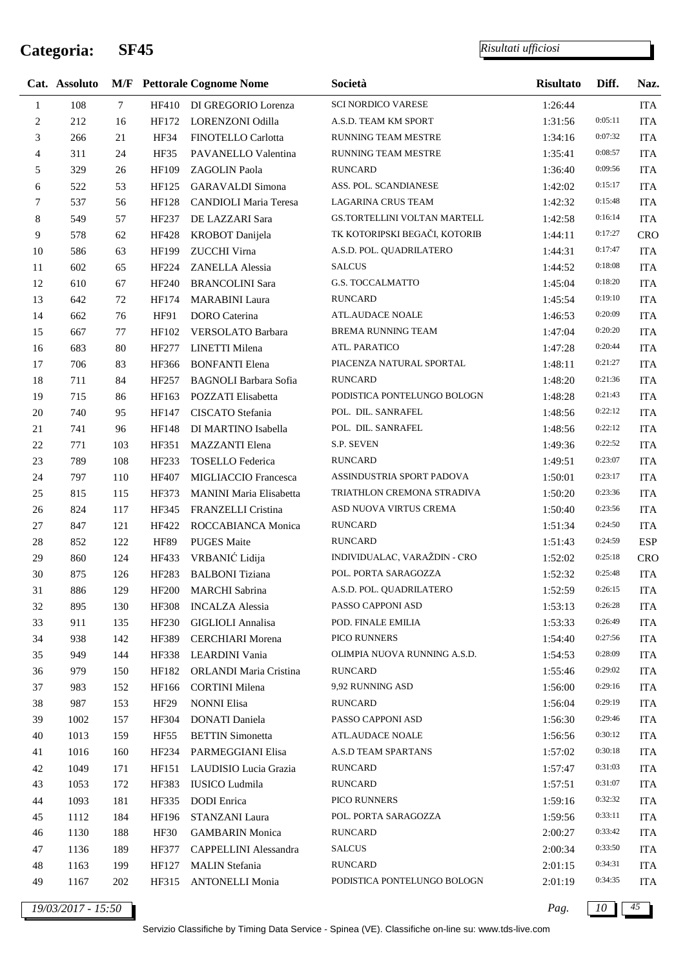*Risultati ufficiosi*

|                | Cat. Assoluto |                 |              | <b>M/F</b> Pettorale Cognome Nome | Società                       | <b>Risultato</b> | Diff.   | Naz.       |
|----------------|---------------|-----------------|--------------|-----------------------------------|-------------------------------|------------------|---------|------------|
| 1              | 108           | $7\phantom{.0}$ |              | HF410 DI GREGORIO Lorenza         | <b>SCI NORDICO VARESE</b>     | 1:26:44          |         | <b>ITA</b> |
| $\overline{c}$ | 212           | 16              | HF172        | LORENZONI Odilla                  | A.S.D. TEAM KM SPORT          | 1:31:56          | 0:05:11 | <b>ITA</b> |
| 3              | 266           | 21              | HF34         | FINOTELLO Carlotta                | RUNNING TEAM MESTRE           | 1:34:16          | 0:07:32 | <b>ITA</b> |
| $\overline{4}$ | 311           | 24              | <b>HF35</b>  | PAVANELLO Valentina               | RUNNING TEAM MESTRE           | 1:35:41          | 0:08:57 | <b>ITA</b> |
| 5              | 329           | 26              | HF109        | ZAGOLIN Paola                     | <b>RUNCARD</b>                | 1:36:40          | 0:09:56 | <b>ITA</b> |
| 6              | 522           | 53              | HF125        | <b>GARAVALDI</b> Simona           | ASS. POL. SCANDIANESE         | 1:42:02          | 0:15:17 | <b>ITA</b> |
| 7              | 537           | 56              | HF128        | <b>CANDIOLI Maria Teresa</b>      | <b>LAGARINA CRUS TEAM</b>     | 1:42:32          | 0:15:48 | <b>ITA</b> |
| 8              | 549           | 57              | HF237        | DE LAZZARI Sara                   | GS.TORTELLINI VOLTAN MARTELL  | 1:42:58          | 0:16:14 | <b>ITA</b> |
| 9              | 578           | 62              | HF428        | <b>KROBOT</b> Danijela            | TK KOTORIPSKI BEGAČI, KOTORIB | 1:44:11          | 0:17:27 | <b>CRO</b> |
| 10             | 586           | 63              | HF199        | ZUCCHI Virna                      | A.S.D. POL. QUADRILATERO      | 1:44:31          | 0:17:47 | <b>ITA</b> |
| 11             | 602           | 65              | HF224        | ZANELLA Alessia                   | <b>SALCUS</b>                 | 1:44:52          | 0:18:08 | <b>ITA</b> |
| $12\,$         | 610           | 67              | HF240        | <b>BRANCOLINI Sara</b>            | <b>G.S. TOCCALMATTO</b>       | 1:45:04          | 0:18:20 | <b>ITA</b> |
| 13             | 642           | 72              | HF174        | <b>MARABINI</b> Laura             | <b>RUNCARD</b>                | 1:45:54          | 0:19:10 | <b>ITA</b> |
| 14             | 662           | 76              | HF91         | <b>DORO</b> Caterina              | ATL.AUDACE NOALE              | 1:46:53          | 0:20:09 | <b>ITA</b> |
| 15             | 667           | 77              | HF102        | VERSOLATO Barbara                 | <b>BREMA RUNNING TEAM</b>     | 1:47:04          | 0:20:20 | <b>ITA</b> |
| 16             | 683           | 80              | HF277        | LINETTI Milena                    | ATL. PARATICO                 | 1:47:28          | 0:20:44 | <b>ITA</b> |
| 17             | 706           | 83              | HF366        | <b>BONFANTI Elena</b>             | PIACENZA NATURAL SPORTAL      | 1:48:11          | 0:21:27 | <b>ITA</b> |
| $18\,$         | 711           | 84              | HF257        | <b>BAGNOLI Barbara Sofia</b>      | <b>RUNCARD</b>                | 1:48:20          | 0:21:36 | <b>ITA</b> |
| 19             | 715           | 86              | HF163        | POZZATI Elisabetta                | PODISTICA PONTELUNGO BOLOGN   | 1:48:28          | 0:21:43 | <b>ITA</b> |
| 20             | 740           | 95              | HF147        | CISCATO Stefania                  | POL. DIL. SANRAFEL            | 1:48:56          | 0:22:12 | <b>ITA</b> |
| 21             | 741           | 96              | HF148        | DI MARTINO Isabella               | POL. DIL. SANRAFEL            | 1:48:56          | 0:22:12 | <b>ITA</b> |
| $22\,$         | 771           | 103             | HF351        | <b>MAZZANTI</b> Elena             | S.P. SEVEN                    | 1:49:36          | 0:22:52 | <b>ITA</b> |
| 23             | 789           | 108             | HF233        | <b>TOSELLO</b> Federica           | <b>RUNCARD</b>                | 1:49:51          | 0:23:07 | <b>ITA</b> |
| 24             | 797           | 110             | HF407        | MIGLIACCIO Francesca              | ASSINDUSTRIA SPORT PADOVA     | 1:50:01          | 0:23:17 | <b>ITA</b> |
| 25             | 815           | 115             | HF373        | MANINI Maria Elisabetta           | TRIATHLON CREMONA STRADIVA    | 1:50:20          | 0:23:36 | <b>ITA</b> |
| 26             | 824           | 117             | HF345        | FRANZELLI Cristina                | ASD NUOVA VIRTUS CREMA        | 1:50:40          | 0:23:56 | <b>ITA</b> |
| 27             | 847           | 121             | HF422        | ROCCABIANCA Monica                | <b>RUNCARD</b>                | 1:51:34          | 0:24:50 | <b>ITA</b> |
| $28\,$         | 852           | 122             | <b>HF89</b>  | <b>PUGES</b> Maite                | <b>RUNCARD</b>                | 1:51:43          | 0:24:59 | <b>ESP</b> |
| 29             | 860           | 124             | HF433        | VRBANIĆ Lidija                    | INDIVIDUALAC, VARAŽDIN - CRO  | 1:52:02          | 0:25:18 | <b>CRO</b> |
| 30             | 875           | 126             | HF283        | <b>BALBONI</b> Tiziana            | POL. PORTA SARAGOZZA          | 1:52:32          | 0:25:48 | <b>ITA</b> |
| 31             | 886           | 129             | <b>HF200</b> | <b>MARCHI</b> Sabrina             | A.S.D. POL. QUADRILATERO      | 1:52:59          | 0:26:15 | <b>ITA</b> |
| 32             | 895           | 130             | <b>HF308</b> | <b>INCALZA</b> Alessia            | PASSO CAPPONI ASD             | 1:53:13          | 0:26:28 | ITA        |
| 33             | 911           | 135             | HF230        | <b>GIGLIOLI</b> Annalisa          | POD. FINALE EMILIA            | 1:53:33          | 0:26:49 | ITA        |
| 34             | 938           | 142             | HF389        | <b>CERCHIARI</b> Morena           | PICO RUNNERS                  | 1:54:40          | 0:27:56 | <b>ITA</b> |
| 35             | 949           | 144             | HF338        | LEARDINI Vania                    | OLIMPIA NUOVA RUNNING A.S.D.  | 1:54:53          | 0:28:09 | ITA        |
| 36             | 979           | 150             | HF182        | ORLANDI Maria Cristina            | <b>RUNCARD</b>                | 1:55:46          | 0:29:02 | <b>ITA</b> |
| 37             | 983           | 152             | HF166        | <b>CORTINI</b> Milena             | 9,92 RUNNING ASD              | 1:56:00          | 0:29:16 | <b>ITA</b> |
| 38             | 987           | 153             | HF29         | <b>NONNI Elisa</b>                | <b>RUNCARD</b>                | 1:56:04          | 0:29:19 | ITA        |
| 39             | 1002          | 157             | HF304        | DONATI Daniela                    | PASSO CAPPONI ASD             | 1:56:30          | 0:29:46 | ITA        |
| 40             | 1013          | 159             | HF55         | <b>BETTIN</b> Simonetta           | ATL.AUDACE NOALE              | 1:56:56          | 0:30:12 | <b>ITA</b> |
| 41             | 1016          | 160             | HF234        | PARMEGGIANI Elisa                 | A.S.D TEAM SPARTANS           | 1:57:02          | 0:30:18 | <b>ITA</b> |
| 42             | 1049          | 171             | HF151        | LAUDISIO Lucia Grazia             | <b>RUNCARD</b>                | 1:57:47          | 0:31:03 | ITA        |
| 43             | 1053          | 172             | HF383        | <b>IUSICO</b> Ludmila             | <b>RUNCARD</b>                | 1:57:51          | 0:31:07 | <b>ITA</b> |
| 44             | 1093          | 181             | HF335        | <b>DODI</b> Enrica                | PICO RUNNERS                  | 1:59:16          | 0:32:32 | <b>ITA</b> |
| 45             | 1112          | 184             | HF196        | STANZANI Laura                    | POL. PORTA SARAGOZZA          | 1:59:56          | 0:33:11 | ITA        |
| 46             | 1130          | 188             | HF30         | <b>GAMBARIN</b> Monica            | <b>RUNCARD</b>                | 2:00:27          | 0:33:42 | ITA        |
| 47             | 1136          | 189             | HF377        | CAPPELLINI Alessandra             | <b>SALCUS</b>                 | 2:00:34          | 0:33:50 | <b>ITA</b> |
| 48             | 1163          | 199             | HF127        | <b>MALIN</b> Stefania             | <b>RUNCARD</b>                | 2:01:15          | 0:34:31 | ITA        |
|                |               |                 |              |                                   | PODISTICA PONTELUNGO BOLOGN   |                  | 0:34:35 |            |
| 49             | 1167          | 202             | HF315        | <b>ANTONELLI Monia</b>            |                               | 2:01:19          |         | ITA        |

*19/03/2017 - 15:50 Pag. 10 45*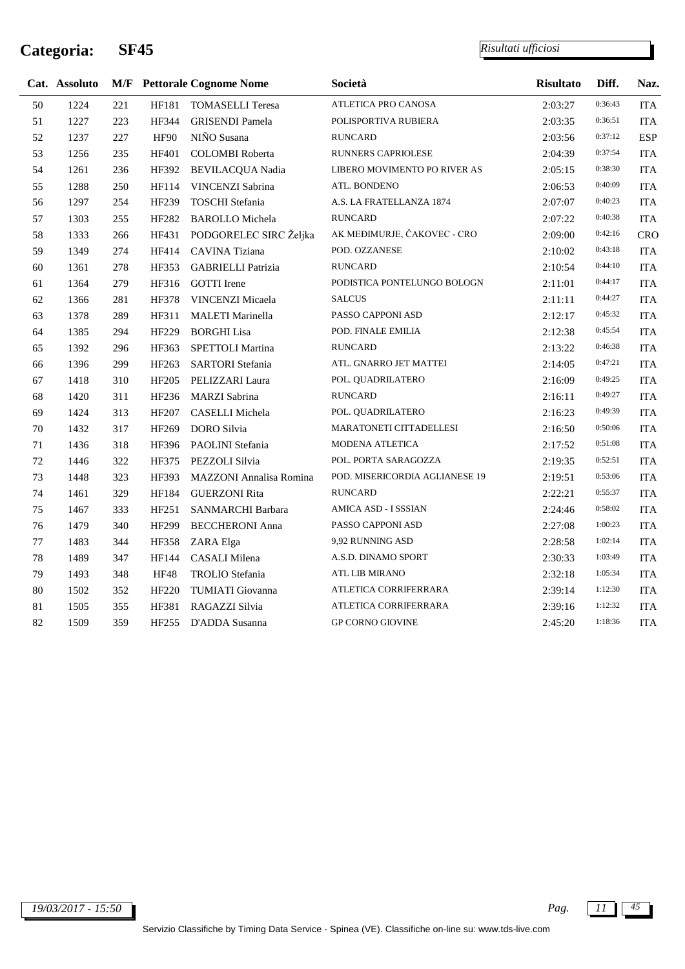j.

|        | Cat. Assoluto |     |              | <b>M/F</b> Pettorale Cognome Nome | Società                        | <b>Risultato</b> | Diff.   | Naz.       |
|--------|---------------|-----|--------------|-----------------------------------|--------------------------------|------------------|---------|------------|
| 50     | 1224          | 221 | <b>HF181</b> | <b>TOMASELLI Teresa</b>           | ATLETICA PRO CANOSA            | 2:03:27          | 0:36:43 | <b>ITA</b> |
| 51     | 1227          | 223 | HF344        | <b>GRISENDI Pamela</b>            | POLISPORTIVA RUBIERA           | 2:03:35          | 0:36:51 | <b>ITA</b> |
| 52     | 1237          | 227 | HF90         | NIÑO Susana                       | <b>RUNCARD</b>                 | 2:03:56          | 0:37:12 | <b>ESP</b> |
| 53     | 1256          | 235 | HF401        | <b>COLOMBI</b> Roberta            | RUNNERS CAPRIOLESE             | 2:04:39          | 0:37:54 | <b>ITA</b> |
| 54     | 1261          | 236 | HF392        | BEVILACQUA Nadia                  | LIBERO MOVIMENTO PO RIVER AS   | 2:05:15          | 0:38:30 | <b>ITA</b> |
| 55     | 1288          | 250 | HF114        | VINCENZI Sabrina                  | ATL. BONDENO                   | 2:06:53          | 0:40:09 | <b>ITA</b> |
| 56     | 1297          | 254 | HF239        | <b>TOSCHI</b> Stefania            | A.S. LA FRATELLANZA 1874       | 2:07:07          | 0:40:23 | <b>ITA</b> |
| 57     | 1303          | 255 | HF282        | <b>BAROLLO</b> Michela            | <b>RUNCARD</b>                 | 2:07:22          | 0:40:38 | <b>ITA</b> |
| 58     | 1333          | 266 | HF431        | PODGORELEC SIRC Željka            | AK MEĐIMURJE, ČAKOVEC - CRO    | 2:09:00          | 0:42:16 | <b>CRO</b> |
| 59     | 1349          | 274 | HF414        | CAVINA Tiziana                    | POD. OZZANESE                  | 2:10:02          | 0:43:18 | <b>ITA</b> |
| 60     | 1361          | 278 | HF353        | <b>GABRIELLI Patrizia</b>         | <b>RUNCARD</b>                 | 2:10:54          | 0:44:10 | <b>ITA</b> |
| 61     | 1364          | 279 | HF316        | <b>GOTTI</b> Irene                | PODISTICA PONTELUNGO BOLOGN    | 2:11:01          | 0:44:17 | <b>ITA</b> |
| 62     | 1366          | 281 | <b>HF378</b> | VINCENZI Micaela                  | <b>SALCUS</b>                  | 2:11:11          | 0:44:27 | <b>ITA</b> |
| 63     | 1378          | 289 | HF311        | <b>MALETI Marinella</b>           | PASSO CAPPONI ASD              | 2:12:17          | 0:45:32 | <b>ITA</b> |
| 64     | 1385          | 294 | HF229        | <b>BORGHI</b> Lisa                | POD. FINALE EMILIA             | 2:12:38          | 0:45:54 | <b>ITA</b> |
| 65     | 1392          | 296 | HF363        | SPETTOLI Martina                  | <b>RUNCARD</b>                 | 2:13:22          | 0:46:38 | <b>ITA</b> |
| 66     | 1396          | 299 | HF263        | <b>SARTORI</b> Stefania           | ATL. GNARRO JET MATTEI         | 2:14:05          | 0:47:21 | <b>ITA</b> |
| 67     | 1418          | 310 | HF205        | PELIZZARI Laura                   | POL. QUADRILATERO              | 2:16:09          | 0:49:25 | <b>ITA</b> |
| 68     | 1420          | 311 | HF236        | <b>MARZI</b> Sabrina              | <b>RUNCARD</b>                 | 2:16:11          | 0:49:27 | <b>ITA</b> |
| 69     | 1424          | 313 | HF207        | CASELLI Michela                   | POL. QUADRILATERO              | 2:16:23          | 0:49:39 | <b>ITA</b> |
| 70     | 1432          | 317 | HF269        | DORO Silvia                       | MARATONETI CITTADELLESI        | 2:16:50          | 0:50:06 | <b>ITA</b> |
| 71     | 1436          | 318 | HF396        | PAOLINI Stefania                  | MODENA ATLETICA                | 2:17:52          | 0:51:08 | <b>ITA</b> |
| 72     | 1446          | 322 | HF375        | PEZZOLI Silvia                    | POL. PORTA SARAGOZZA           | 2:19:35          | 0:52:51 | <b>ITA</b> |
| 73     | 1448          | 323 | HF393        | MAZZONI Annalisa Romina           | POD. MISERICORDIA AGLIANESE 19 | 2:19:51          | 0:53:06 | <b>ITA</b> |
| 74     | 1461          | 329 | HF184        | <b>GUERZONI Rita</b>              | <b>RUNCARD</b>                 | 2:22:21          | 0:55:37 | <b>ITA</b> |
| 75     | 1467          | 333 | HF251        | SANMARCHI Barbara                 | AMICA ASD - I SSSIAN           | 2:24:46          | 0:58:02 | <b>ITA</b> |
| 76     | 1479          | 340 | HF299        | <b>BECCHERONI Anna</b>            | PASSO CAPPONI ASD              | 2:27:08          | 1:00:23 | <b>ITA</b> |
| $77\,$ | 1483          | 344 | HF358        | ZARA Elga                         | 9,92 RUNNING ASD               | 2:28:58          | 1:02:14 | <b>ITA</b> |
| 78     | 1489          | 347 | HF144        | <b>CASALI</b> Milena              | A.S.D. DINAMO SPORT            | 2:30:33          | 1:03:49 | <b>ITA</b> |
| 79     | 1493          | 348 | <b>HF48</b>  | TROLIO Stefania                   | ATL LIB MIRANO                 | 2:32:18          | 1:05:34 | <b>ITA</b> |
| 80     | 1502          | 352 | HF220        | TUMIATI Giovanna                  | ATLETICA CORRIFERRARA          | 2:39:14          | 1:12:30 | <b>ITA</b> |
| 81     | 1505          | 355 | HF381        | RAGAZZI Silvia                    | ATLETICA CORRIFERRARA          | 2:39:16          | 1:12:32 | <b>ITA</b> |
| 82     | 1509          | 359 | HF255        | D'ADDA Susanna                    | <b>GP CORNO GIOVINE</b>        | 2:45:20          | 1:18:36 | <b>ITA</b> |
|        |               |     |              |                                   |                                |                  |         |            |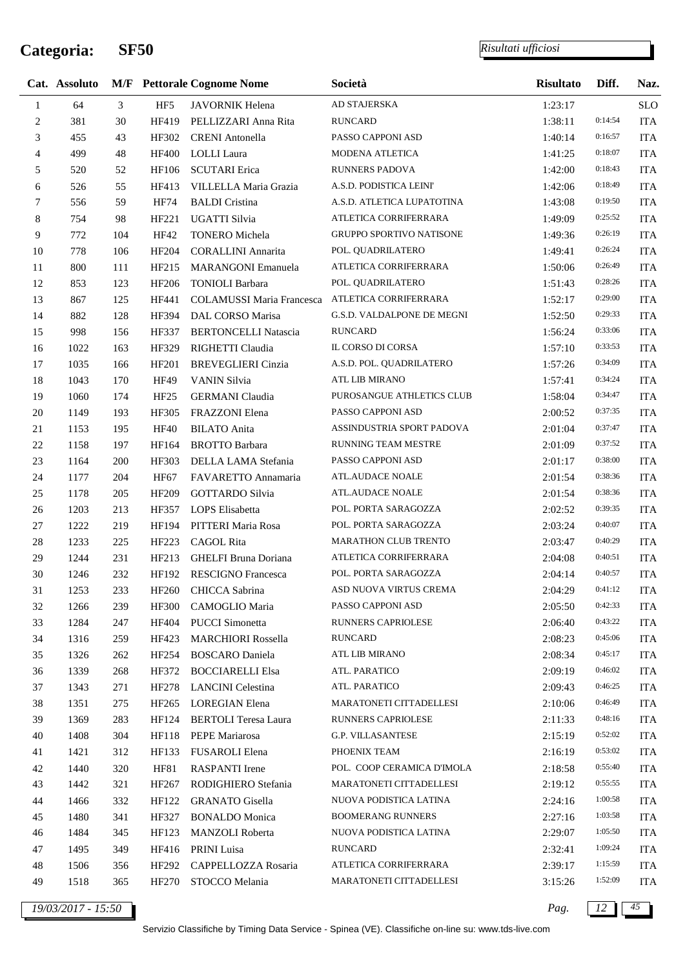l,

*Risultati ufficiosi*

|                | Cat. Assoluto |                |                  | <b>M/F</b> Pettorale Cognome Nome | Società                         | <b>Risultato</b> | Diff.   | Naz.       |
|----------------|---------------|----------------|------------------|-----------------------------------|---------------------------------|------------------|---------|------------|
| $\mathbf{1}$   | 64            | $\overline{3}$ | HF <sub>5</sub>  | JAVORNIK Helena                   | AD STAJERSKA                    | 1:23:17          |         | <b>SLO</b> |
| $\sqrt{2}$     | 381           | 30             | HF419            | PELLIZZARI Anna Rita              | <b>RUNCARD</b>                  | 1:38:11          | 0:14:54 | <b>ITA</b> |
| 3              | 455           | 43             | HF302            | <b>CRENI</b> Antonella            | PASSO CAPPONI ASD               | 1:40:14          | 0:16:57 | <b>ITA</b> |
| $\overline{4}$ | 499           | 48             | <b>HF400</b>     | <b>LOLLI</b> Laura                | MODENA ATLETICA                 | 1:41:25          | 0:18:07 | <b>ITA</b> |
| 5              | 520           | 52             | HF106            | <b>SCUTARI</b> Erica              | <b>RUNNERS PADOVA</b>           | 1:42:00          | 0:18:43 | <b>ITA</b> |
| 6              | 526           | 55             | HF413            | VILLELLA Maria Grazia             | A.S.D. PODISTICA LEINI'         | 1:42:06          | 0:18:49 | <b>ITA</b> |
| 7              | 556           | 59             | <b>HF74</b>      | <b>BALDI</b> Cristina             | A.S.D. ATLETICA LUPATOTINA      | 1:43:08          | 0:19:50 | <b>ITA</b> |
| 8              | 754           | 98             | HF221            | UGATTI Silvia                     | ATLETICA CORRIFERRARA           | 1:49:09          | 0:25:52 | <b>ITA</b> |
| 9              | 772           | 104            | HF42             | TONERO Michela                    | <b>GRUPPO SPORTIVO NATISONE</b> | 1:49:36          | 0:26:19 | <b>ITA</b> |
| 10             | 778           | 106            | HF204            | <b>CORALLINI Annarita</b>         | POL. QUADRILATERO               | 1:49:41          | 0:26:24 | <b>ITA</b> |
| 11             | 800           | 111            | HF215            | <b>MARANGONI</b> Emanuela         | ATLETICA CORRIFERRARA           | 1:50:06          | 0:26:49 | <b>ITA</b> |
| 12             | 853           | 123            | HF206            | <b>TONIOLI Barbara</b>            | POL. QUADRILATERO               | 1:51:43          | 0:28:26 | <b>ITA</b> |
| 13             | 867           | 125            | HF441            | COLAMUSSI Maria Francesca         | ATLETICA CORRIFERRARA           | 1:52:17          | 0:29:00 | <b>ITA</b> |
| 14             | 882           | 128            | HF394            | DAL CORSO Marisa                  | G.S.D. VALDALPONE DE MEGNI      | 1:52:50          | 0:29:33 | <b>ITA</b> |
| 15             | 998           | 156            | HF337            | <b>BERTONCELLI Natascia</b>       | <b>RUNCARD</b>                  | 1:56:24          | 0:33:06 | <b>ITA</b> |
| 16             | 1022          | 163            | HF329            | RIGHETTI Claudia                  | IL CORSO DI CORSA               | 1:57:10          | 0:33:53 | <b>ITA</b> |
| 17             | 1035          | 166            | HF201            | <b>BREVEGLIERI</b> Cinzia         | A.S.D. POL. QUADRILATERO        | 1:57:26          | 0:34:09 | <b>ITA</b> |
| 18             | 1043          | 170            | HF49             | <b>VANIN Silvia</b>               | <b>ATL LIB MIRANO</b>           | 1:57:41          | 0:34:24 | <b>ITA</b> |
| 19             | 1060          | 174            | HF <sub>25</sub> | <b>GERMANI</b> Claudia            | PUROSANGUE ATHLETICS CLUB       | 1:58:04          | 0:34:47 | <b>ITA</b> |
| $20\,$         | 1149          | 193            | HF305            | FRAZZONI Elena                    | PASSO CAPPONI ASD               | 2:00:52          | 0:37:35 | <b>ITA</b> |
| 21             | 1153          | 195            | HF40             | <b>BILATO</b> Anita               | ASSINDUSTRIA SPORT PADOVA       | 2:01:04          | 0:37:47 | <b>ITA</b> |
| 22             | 1158          | 197            | HF164            | <b>BROTTO Barbara</b>             | RUNNING TEAM MESTRE             | 2:01:09          | 0:37:52 | <b>ITA</b> |
| 23             | 1164          | 200            | HF303            | DELLA LAMA Stefania               | PASSO CAPPONI ASD               | 2:01:17          | 0:38:00 | <b>ITA</b> |
| 24             | 1177          | 204            | HF67             | FAVARETTO Annamaria               | ATL.AUDACE NOALE                | 2:01:54          | 0:38:36 | <b>ITA</b> |
| 25             | 1178          | 205            | HF209            | <b>GOTTARDO Silvia</b>            | ATL.AUDACE NOALE                | 2:01:54          | 0:38:36 | <b>ITA</b> |
| 26             | 1203          | 213            | HF357            | LOPS Elisabetta                   | POL. PORTA SARAGOZZA            | 2:02:52          | 0:39:35 | <b>ITA</b> |
| 27             | 1222          | 219            | HF194            | PITTERI Maria Rosa                | POL. PORTA SARAGOZZA            | 2:03:24          | 0:40:07 | <b>ITA</b> |
| $28\,$         | 1233          | 225            | HF223            | CAGOL Rita                        | <b>MARATHON CLUB TRENTO</b>     | 2:03:47          | 0:40:29 | <b>ITA</b> |
| 29             | 1244          | 231            | HF213            | <b>GHELFI Bruna Doriana</b>       | ATLETICA CORRIFERRARA           | 2:04:08          | 0:40:51 | <b>ITA</b> |
| 30             | 1246          | 232            | HF192            | RESCIGNO Francesca                | POL. PORTA SARAGOZZA            | 2:04:14          | 0:40:57 | <b>ITA</b> |
| 31             | 1253          | 233            | HF260            | CHICCA Sabrina                    | ASD NUOVA VIRTUS CREMA          | 2:04:29          | 0:41:12 | <b>ITA</b> |
| 32             | 1266          | 239            | <b>HF300</b>     | CAMOGLIO Maria                    | PASSO CAPPONI ASD               | 2:05:50          | 0:42:33 | <b>ITA</b> |
| 33             | 1284          | 247            | HF404            | <b>PUCCI</b> Simonetta            | <b>RUNNERS CAPRIOLESE</b>       | 2:06:40          | 0:43:22 | <b>ITA</b> |
| 34             | 1316          | 259            | HF423            | <b>MARCHIORI Rossella</b>         | <b>RUNCARD</b>                  | 2:08:23          | 0:45:06 | <b>ITA</b> |
| 35             | 1326          | 262            | HF254            | <b>BOSCARO</b> Daniela            | ATL LIB MIRANO                  | 2:08:34          | 0:45:17 | <b>ITA</b> |
| 36             | 1339          | 268            | HF372            | <b>BOCCIARELLI Elsa</b>           | ATL. PARATICO                   | 2:09:19          | 0:46:02 | <b>ITA</b> |
| 37             | 1343          | 271            | HF278            | <b>LANCINI</b> Celestina          | ATL. PARATICO                   | 2:09:43          | 0:46:25 | <b>ITA</b> |
| 38             | 1351          | 275            | HF265            | <b>LOREGIAN Elena</b>             | MARATONETI CITTADELLESI         | 2:10:06          | 0:46:49 | <b>ITA</b> |
| 39             | 1369          | 283            | HF124            | <b>BERTOLI</b> Teresa Laura       | RUNNERS CAPRIOLESE              | 2:11:33          | 0:48:16 | <b>ITA</b> |
| 40             | 1408          | 304            | HF118            | PEPE Mariarosa                    | <b>G.P. VILLASANTESE</b>        | 2:15:19          | 0:52:02 | <b>ITA</b> |
| 41             | 1421          | 312            | HF133            | FUSAROLI Elena                    | PHOENIX TEAM                    | 2:16:19          | 0:53:02 | <b>ITA</b> |
| 42             | 1440          | 320            | <b>HF81</b>      | <b>RASPANTI</b> Irene             | POL. COOP CERAMICA D'IMOLA      | 2:18:58          | 0:55:40 | <b>ITA</b> |
| 43             | 1442          | 321            | HF267            | RODIGHIERO Stefania               | MARATONETI CITTADELLESI         | 2:19:12          | 0:55:55 | <b>ITA</b> |
| 44             | 1466          | 332            | HF122            | <b>GRANATO</b> Gisella            | NUOVA PODISTICA LATINA          | 2:24:16          | 1:00:58 | <b>ITA</b> |
| 45             | 1480          | 341            | HF327            | <b>BONALDO</b> Monica             | <b>BOOMERANG RUNNERS</b>        | 2:27:16          | 1:03:58 | <b>ITA</b> |
| 46             | 1484          | 345            | HF123            | MANZOLI Roberta                   | NUOVA PODISTICA LATINA          | 2:29:07          | 1:05:50 | <b>ITA</b> |
| 47             | 1495          | 349            | HF416            | PRINI Luisa                       | <b>RUNCARD</b>                  | 2:32:41          | 1:09:24 | <b>ITA</b> |
| 48             | 1506          | 356            | HF292            | CAPPELLOZZA Rosaria               | ATLETICA CORRIFERRARA           | 2:39:17          | 1:15:59 | <b>ITA</b> |
| 49             | 1518          | 365            | HF270            | STOCCO Melania                    | MARATONETI CITTADELLESI         | 3:15:26          | 1:52:09 | <b>ITA</b> |
|                |               |                |                  |                                   |                                 |                  |         |            |

*19/03/2017 - 15:50 Pag. 12 45*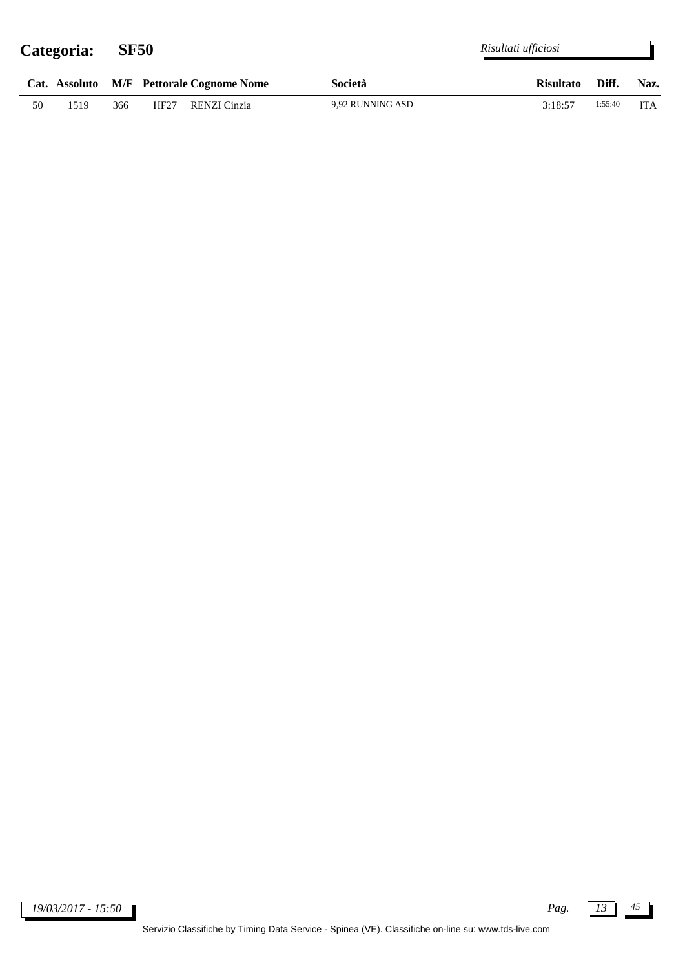$\overline{a}$ 

|    |      |     | Cat. Assoluto M/F Pettorale Cognome Nome |              | Società          | Risultato Diff. |               | Naz. |
|----|------|-----|------------------------------------------|--------------|------------------|-----------------|---------------|------|
| 50 | 1519 | 366 | HF27                                     | RENZI Cinzia | 9,92 RUNNING ASD | 3:18:57         | $1:55:40$ ITA |      |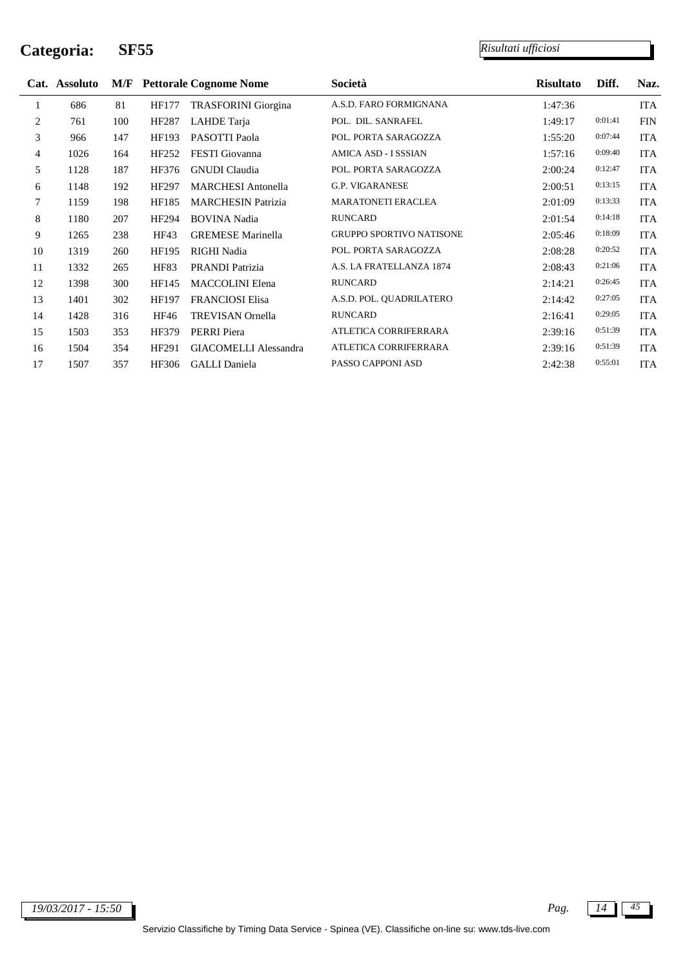j.

|    | Cat. Assoluto |     |             | <b>M/F</b> Pettorale Cognome Nome | Società                         | <b>Risultato</b> | Diff.   | Naz.       |
|----|---------------|-----|-------------|-----------------------------------|---------------------------------|------------------|---------|------------|
| 1  | 686           | 81  | HF177       | <b>TRASFORINI</b> Giorgina        | A.S.D. FARO FORMIGNANA          | 1:47:36          |         | <b>ITA</b> |
| 2  | 761           | 100 | HF287       | LAHDE Tarja                       | POL. DIL. SANRAFEL              | 1:49:17          | 0:01:41 | <b>FIN</b> |
| 3  | 966           | 147 | HF193       | PASOTTI Paola                     | POL. PORTA SARAGOZZA            | 1:55:20          | 0:07:44 | <b>ITA</b> |
| 4  | 1026          | 164 | HF252       | <b>FESTI</b> Giovanna             | AMICA ASD - I SSSIAN            | 1:57:16          | 0:09:40 | <b>ITA</b> |
| 5  | 1128          | 187 | HF376       | <b>GNUDI</b> Claudia              | POL. PORTA SARAGOZZA            | 2:00:24          | 0:12:47 | <b>ITA</b> |
| 6  | 1148          | 192 | HF297       | <b>MARCHESI</b> Antonella         | <b>G.P. VIGARANESE</b>          | 2:00:51          | 0:13:15 | <b>ITA</b> |
| 7  | 1159          | 198 | HF185       | <b>MARCHESIN Patrizia</b>         | <b>MARATONETI ERACLEA</b>       | 2:01:09          | 0:13:33 | <b>ITA</b> |
| 8  | 1180          | 207 | HF294       | <b>BOVINA</b> Nadia               | <b>RUNCARD</b>                  | 2:01:54          | 0:14:18 | <b>ITA</b> |
| 9  | 1265          | 238 | HF43        | <b>GREMESE Marinella</b>          | <b>GRUPPO SPORTIVO NATISONE</b> | 2:05:46          | 0:18:09 | <b>ITA</b> |
| 10 | 1319          | 260 | HF195       | RIGHI Nadia                       | POL. PORTA SARAGOZZA            | 2:08:28          | 0:20:52 | <b>ITA</b> |
| 11 | 1332          | 265 | <b>HF83</b> | PRANDI Patrizia                   | A.S. LA FRATELLANZA 1874        | 2:08:43          | 0:21:06 | <b>ITA</b> |
| 12 | 1398          | 300 | HF145       | <b>MACCOLINI Elena</b>            | <b>RUNCARD</b>                  | 2:14:21          | 0:26:45 | <b>ITA</b> |
| 13 | 1401          | 302 | HF197       | <b>FRANCIOSI Elisa</b>            | A.S.D. POL. QUADRILATERO        | 2:14:42          | 0:27:05 | <b>ITA</b> |
| 14 | 1428          | 316 | HF46        | <b>TREVISAN</b> Ornella           | <b>RUNCARD</b>                  | 2:16:41          | 0:29:05 | <b>ITA</b> |
| 15 | 1503          | 353 | HF379       | <b>PERRI</b> Piera                | ATLETICA CORRIFERRARA           | 2:39:16          | 0:51:39 | <b>ITA</b> |
| 16 | 1504          | 354 | HF291       | <b>GIACOMELLI Alessandra</b>      | ATLETICA CORRIFERRARA           | 2:39:16          | 0:51:39 | <b>ITA</b> |
| 17 | 1507          | 357 | HF306       | <b>GALLI</b> Daniela              | PASSO CAPPONI ASD               | 2:42:38          | 0:55:01 | <b>ITA</b> |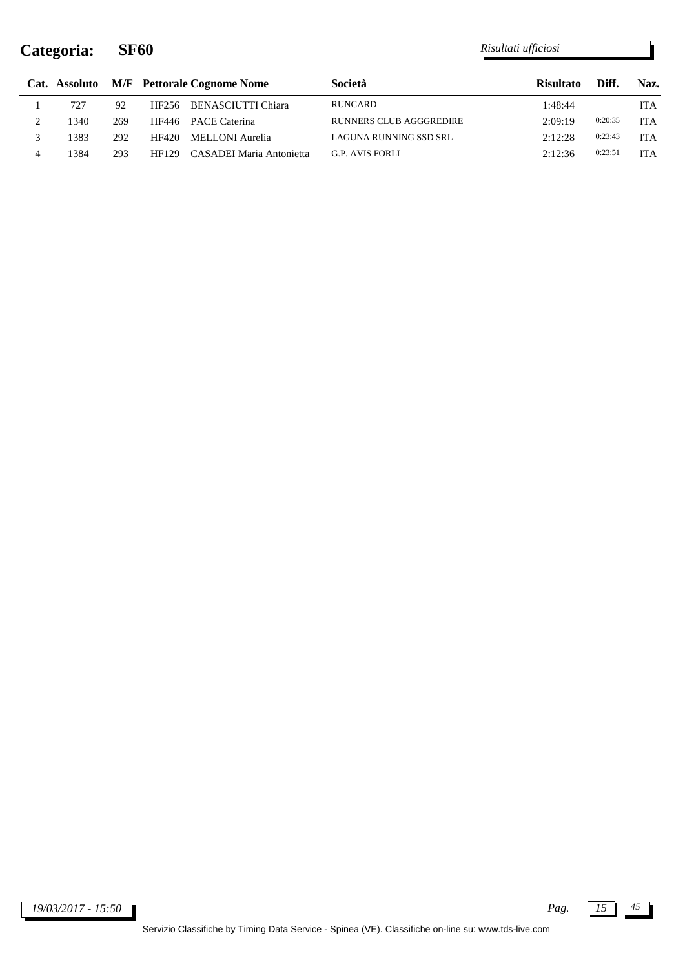|   |      |     |       | Cat. Assoluto M/F Pettorale Cognome Nome | Società                        | <b>Risultato</b> | Diff.   | Naz.       |
|---|------|-----|-------|------------------------------------------|--------------------------------|------------------|---------|------------|
|   | 727  | 92  |       | HF256 BENASCIUTTI Chiara                 | <b>RUNCARD</b>                 | 1:48:44          |         | <b>ITA</b> |
| ∠ | 1340 | 269 | HF446 | <b>PACE Caterina</b>                     | <b>RUNNERS CLUB AGGGREDIRE</b> | 2:09:19          | 0:20:35 | <b>ITA</b> |
|   | 1383 | 292 | HF420 | MELLONI Aurelia                          | LAGUNA RUNNING SSD SRL         | 2:12:28          | 0:23:43 | <b>ITA</b> |
| 4 | 1384 | 293 | HF129 | CASADEI Maria Antonietta                 | <b>G.P. AVIS FORLI</b>         | 2:12:36          | 0:23:51 | <b>ITA</b> |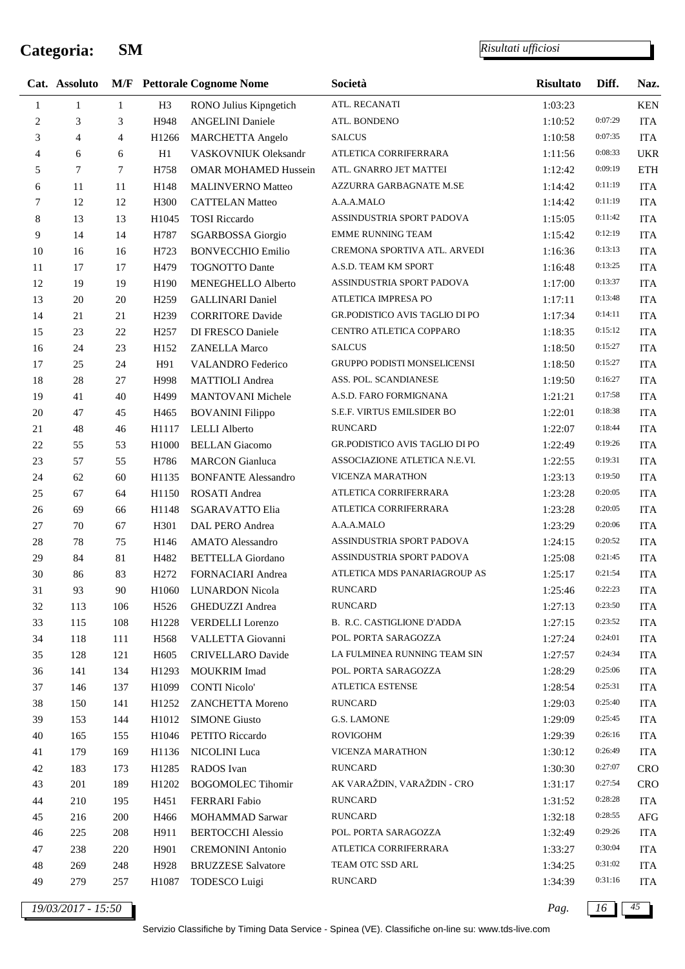l,

*Risultati ufficiosi*

|                | Cat. Assoluto |                |                   | <b>M/F</b> Pettorale Cognome Nome | Società                            | <b>Risultato</b> | Diff.   | Naz.       |
|----------------|---------------|----------------|-------------------|-----------------------------------|------------------------------------|------------------|---------|------------|
| $\mathbf{1}$   | $\mathbf{1}$  | $\mathbf{1}$   | H <sub>3</sub>    | RONO Julius Kipngetich            | ATL. RECANATI                      | 1:03:23          |         | <b>KEN</b> |
| $\overline{c}$ | 3             | 3              | H948              | <b>ANGELINI</b> Daniele           | ATL. BONDENO                       | 1:10:52          | 0:07:29 | <b>ITA</b> |
| 3              | 4             | $\overline{4}$ | H1266             | MARCHETTA Angelo                  | <b>SALCUS</b>                      | 1:10:58          | 0:07:35 | <b>ITA</b> |
| $\overline{4}$ | 6             | 6              | H1                | VASKOVNIUK Oleksandr              | ATLETICA CORRIFERRARA              | 1:11:56          | 0:08:33 | <b>UKR</b> |
| 5              | 7             | $\tau$         | H758              | <b>OMAR MOHAMED Hussein</b>       | ATL. GNARRO JET MATTEI             | 1:12:42          | 0:09:19 | <b>ETH</b> |
| 6              | 11            | 11             | H148              | MALINVERNO Matteo                 | AZZURRA GARBAGNATE M.SE            | 1:14:42          | 0:11:19 | <b>ITA</b> |
| $\tau$         | 12            | 12             | H <sub>300</sub>  | <b>CATTELAN Matteo</b>            | A.A.A.MALO                         | 1:14:42          | 0:11:19 | <b>ITA</b> |
| 8              | 13            | 13             | H1045             | <b>TOSI Riccardo</b>              | ASSINDUSTRIA SPORT PADOVA          | 1:15:05          | 0:11:42 | <b>ITA</b> |
| 9              | 14            | 14             | H787              | <b>SGARBOSSA</b> Giorgio          | <b>EMME RUNNING TEAM</b>           | 1:15:42          | 0:12:19 | <b>ITA</b> |
| $10\,$         | 16            | 16             | H723              | <b>BONVECCHIO Emilio</b>          | CREMONA SPORTIVA ATL. ARVEDI       | 1:16:36          | 0:13:13 | <b>ITA</b> |
| 11             | 17            | 17             | H479              | <b>TOGNOTTO Dante</b>             | A.S.D. TEAM KM SPORT               | 1:16:48          | 0:13:25 | <b>ITA</b> |
| 12             | 19            | 19             | H190              | MENEGHELLO Alberto                | ASSINDUSTRIA SPORT PADOVA          | 1:17:00          | 0:13:37 | <b>ITA</b> |
| 13             | 20            | 20             | H <sub>259</sub>  | <b>GALLINARI</b> Daniel           | ATLETICA IMPRESA PO                | 1:17:11          | 0:13:48 | <b>ITA</b> |
| 14             | 21            | 21             | H <sub>239</sub>  | <b>CORRITORE Davide</b>           | GR.PODISTICO AVIS TAGLIO DI PO     | 1:17:34          | 0:14:11 | <b>ITA</b> |
| 15             | $23\,$        | 22             | H <sub>257</sub>  | DI FRESCO Daniele                 | CENTRO ATLETICA COPPARO            | 1:18:35          | 0:15:12 | <b>ITA</b> |
| 16             | 24            | 23             | H152              | <b>ZANELLA Marco</b>              | <b>SALCUS</b>                      | 1:18:50          | 0:15:27 | <b>ITA</b> |
| 17             | 25            | 24             | H91               | VALANDRO Federico                 | <b>GRUPPO PODISTI MONSELICENSI</b> | 1:18:50          | 0:15:27 | <b>ITA</b> |
| 18             | $28\,$        | 27             | H998              | <b>MATTIOLI</b> Andrea            | ASS. POL. SCANDIANESE              | 1:19:50          | 0:16:27 | <b>ITA</b> |
| 19             | 41            | 40             | H499              | MANTOVANI Michele                 | A.S.D. FARO FORMIGNANA             | 1:21:21          | 0:17:58 | <b>ITA</b> |
| 20             | 47            | 45             | H465              | <b>BOVANINI Filippo</b>           | S.E.F. VIRTUS EMILSIDER BO         | 1:22:01          | 0:18:38 | <b>ITA</b> |
| 21             | 48            | 46             | H1117             | <b>LELLI</b> Alberto              | <b>RUNCARD</b>                     | 1:22:07          | 0:18:44 | <b>ITA</b> |
| $22\,$         | 55            | 53             | H1000             | <b>BELLAN</b> Giacomo             | GR.PODISTICO AVIS TAGLIO DI PO     | 1:22:49          | 0:19:26 | <b>ITA</b> |
| 23             | 57            | 55             | H786              | <b>MARCON</b> Gianluca            | ASSOCIAZIONE ATLETICA N.E.VI.      | 1:22:55          | 0:19:31 | <b>ITA</b> |
| 24             | 62            | 60             | H1135             | <b>BONFANTE Alessandro</b>        | <b>VICENZA MARATHON</b>            | 1:23:13          | 0:19:50 | <b>ITA</b> |
| 25             | 67            | 64             | H1150             | ROSATI Andrea                     | ATLETICA CORRIFERRARA              | 1:23:28          | 0:20:05 | <b>ITA</b> |
| 26             | 69            | 66             | H1148             | SGARAVATTO Elia                   | ATLETICA CORRIFERRARA              | 1:23:28          | 0:20:05 | <b>ITA</b> |
| 27             | 70            | 67             | H301              | DAL PERO Andrea                   | A.A.A.MALO                         | 1:23:29          | 0:20:06 | <b>ITA</b> |
| $28\,$         | $78\,$        | 75             | H146              | <b>AMATO</b> Alessandro           | ASSINDUSTRIA SPORT PADOVA          | 1:24:15          | 0:20:52 | <b>ITA</b> |
| 29             | 84            | $81\,$         | H482              | <b>BETTELLA</b> Giordano          | ASSINDUSTRIA SPORT PADOVA          | 1:25:08          | 0:21:45 | <b>ITA</b> |
| 30             | 86            | 83             | H <sub>272</sub>  | FORNACIARI Andrea                 | ATLETICA MDS PANARIAGROUP AS       | 1:25:17          | 0:21:54 | <b>ITA</b> |
| 31             | 93            | 90             | H <sub>1060</sub> | <b>LUNARDON Nicola</b>            | <b>RUNCARD</b>                     | 1:25:46          | 0:22:23 | ITA        |
| 32             | 113           | 106            | H <sub>526</sub>  | GHEDUZZI Andrea                   | <b>RUNCARD</b>                     | 1:27:13          | 0:23:50 | <b>ITA</b> |
| 33             | 115           | 108            | H1228             | <b>VERDELLI</b> Lorenzo           | B. R.C. CASTIGLIONE D'ADDA         | 1:27:15          | 0:23:52 | <b>ITA</b> |
| 34             | 118           | 111            | H <sub>568</sub>  | VALLETTA Giovanni                 | POL. PORTA SARAGOZZA               | 1:27:24          | 0:24:01 | <b>ITA</b> |
| 35             | 128           | 121            | H <sub>605</sub>  | CRIVELLARO Davide                 | LA FULMINEA RUNNING TEAM SIN       | 1:27:57          | 0:24:34 | <b>ITA</b> |
| 36             | 141           | 134            | H1293             | <b>MOUKRIM</b> Imad               | POL. PORTA SARAGOZZA               | 1:28:29          | 0:25:06 | <b>ITA</b> |
| 37             | 146           | 137            | H1099             | <b>CONTI Nicolo'</b>              | ATLETICA ESTENSE                   | 1:28:54          | 0:25:31 | <b>ITA</b> |
| 38             | 150           | 141            | H1252             | ZANCHETTA Moreno                  | <b>RUNCARD</b>                     | 1:29:03          | 0:25:40 | <b>ITA</b> |
| 39             | 153           | 144            | H1012             | <b>SIMONE Giusto</b>              | <b>G.S. LAMONE</b>                 | 1:29:09          | 0:25:45 | <b>ITA</b> |
| 40             | 165           | 155            | H1046             | PETITO Riccardo                   | <b>ROVIGOHM</b>                    | 1:29:39          | 0:26:16 | <b>ITA</b> |
| 41             | 179           | 169            | H1136             | NICOLINI Luca                     | VICENZA MARATHON                   | 1:30:12          | 0:26:49 | <b>ITA</b> |
| 42             | 183           | 173            | H1285             | RADOS Ivan                        | <b>RUNCARD</b>                     | 1:30:30          | 0:27:07 | <b>CRO</b> |
| 43             | 201           | 189            | H1202             | <b>BOGOMOLEC Tihomir</b>          | AK VARAŽDIN, VARAŽDIN - CRO        | 1:31:17          | 0:27:54 | <b>CRO</b> |
| 44             | 210           | 195            | H451              | FERRARI Fabio                     | <b>RUNCARD</b>                     | 1:31:52          | 0:28:28 | <b>ITA</b> |
| 45             | 216           | 200            | H466              | MOHAMMAD Sarwar                   | <b>RUNCARD</b>                     | 1:32:18          | 0:28:55 | AFG        |
| 46             | 225           | 208            | H911              | <b>BERTOCCHI Alessio</b>          | POL. PORTA SARAGOZZA               | 1:32:49          | 0:29:26 | <b>ITA</b> |
| 47             | 238           | 220            | H901              | <b>CREMONINI</b> Antonio          | ATLETICA CORRIFERRARA              | 1:33:27          | 0:30:04 | <b>ITA</b> |
| 48             | 269           | 248            | H928              | <b>BRUZZESE Salvatore</b>         | TEAM OTC SSD ARL                   | 1:34:25          | 0:31:02 | <b>ITA</b> |
| 49             | 279           | 257            | H1087             | TODESCO Luigi                     | <b>RUNCARD</b>                     | 1:34:39          | 0:31:16 | <b>ITA</b> |
|                |               |                |                   |                                   |                                    |                  |         |            |

*19/03/2017 - 15:50 Pag. 16 45*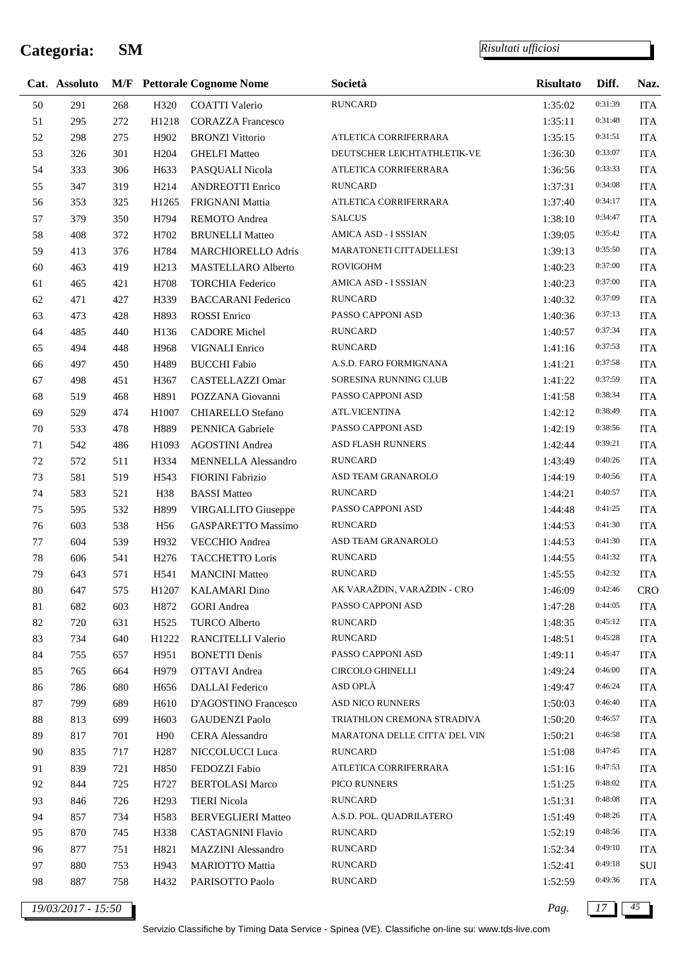#### *Risultati ufficiosi*

|        | Cat. Assoluto |     |                   | <b>M/F</b> Pettorale Cognome Nome | Società                       | <b>Risultato</b> | Diff.   | Naz.       |
|--------|---------------|-----|-------------------|-----------------------------------|-------------------------------|------------------|---------|------------|
| 50     | 291           | 268 | H320              | <b>COATTI Valerio</b>             | <b>RUNCARD</b>                | 1:35:02          | 0:31:39 | <b>ITA</b> |
| 51     | 295           | 272 | H1218             | <b>CORAZZA Francesco</b>          |                               | 1:35:11          | 0:31:48 | <b>ITA</b> |
| 52     | 298           | 275 | H902              | <b>BRONZI Vittorio</b>            | ATLETICA CORRIFERRARA         | 1:35:15          | 0:31:51 | <b>ITA</b> |
| 53     | 326           | 301 | H <sub>204</sub>  | <b>GHELFI</b> Matteo              | DEUTSCHER LEICHTATHLETIK-VE   | 1:36:30          | 0:33:07 | <b>ITA</b> |
| 54     | 333           | 306 | H633              | PASQUALI Nicola                   | ATLETICA CORRIFERRARA         | 1:36:56          | 0:33:33 | <b>ITA</b> |
| 55     | 347           | 319 | H <sub>2</sub> 14 | <b>ANDREOTTI Enrico</b>           | <b>RUNCARD</b>                | 1:37:31          | 0:34:08 | <b>ITA</b> |
| 56     | 353           | 325 | H1265             | FRIGNANI Mattia                   | ATLETICA CORRIFERRARA         | 1:37:40          | 0:34:17 | <b>ITA</b> |
| 57     | 379           | 350 | H794              | REMOTO Andrea                     | <b>SALCUS</b>                 | 1:38:10          | 0:34:47 | <b>ITA</b> |
| 58     | 408           | 372 | H702              | <b>BRUNELLI Matteo</b>            | AMICA ASD - I SSSIAN          | 1:39:05          | 0:35:42 | <b>ITA</b> |
| 59     | 413           | 376 | H784              | MARCHIORELLO Adris                | MARATONETI CITTADELLESI       | 1:39:13          | 0:35:50 | <b>ITA</b> |
| 60     | 463           | 419 | H <sub>2</sub> 13 | MASTELLARO Alberto                | <b>ROVIGOHM</b>               | 1:40:23          | 0:37:00 | <b>ITA</b> |
| 61     | 465           | 421 | H708              | <b>TORCHIA Federico</b>           | AMICA ASD - I SSSIAN          | 1:40:23          | 0:37:00 | <b>ITA</b> |
| 62     | 471           | 427 | H339              | <b>BACCARANI Federico</b>         | <b>RUNCARD</b>                | 1:40:32          | 0:37:09 | <b>ITA</b> |
| 63     | 473           | 428 | H893              | ROSSI Enrico                      | PASSO CAPPONI ASD             | 1:40:36          | 0:37:13 | <b>ITA</b> |
| 64     | 485           | 440 | H136              | <b>CADORE</b> Michel              | <b>RUNCARD</b>                | 1:40:57          | 0:37:34 | <b>ITA</b> |
| 65     | 494           | 448 | H968              | VIGNALI Enrico                    | <b>RUNCARD</b>                | 1:41:16          | 0:37:53 | <b>ITA</b> |
| 66     | 497           | 450 | H489              | <b>BUCCHI Fabio</b>               | A.S.D. FARO FORMIGNANA        | 1:41:21          | 0:37:58 | <b>ITA</b> |
| 67     | 498           | 451 | H367              | CASTELLAZZI Omar                  | SORESINA RUNNING CLUB         | 1:41:22          | 0:37:59 | <b>ITA</b> |
| 68     | 519           | 468 | H891              | POZZANA Giovanni                  | PASSO CAPPONI ASD             | 1:41:58          | 0:38:34 | <b>ITA</b> |
| 69     | 529           | 474 | H1007             | <b>CHIARELLO Stefano</b>          | ATL.VICENTINA                 | 1:42:12          | 0:38:49 | <b>ITA</b> |
| $70\,$ | 533           | 478 | H889              | PENNICA Gabriele                  | PASSO CAPPONI ASD             | 1:42:19          | 0:38:56 | <b>ITA</b> |
| 71     | 542           | 486 | H1093             | <b>AGOSTINI</b> Andrea            | ASD FLASH RUNNERS             | 1:42:44          | 0:39:21 | <b>ITA</b> |
| $72\,$ | 572           | 511 | H334              | MENNELLA Alessandro               | <b>RUNCARD</b>                | 1:43:49          | 0:40:26 | <b>ITA</b> |
| 73     | 581           | 519 | H <sub>543</sub>  | <b>FIORINI</b> Fabrizio           | ASD TEAM GRANAROLO            | 1:44:19          | 0:40:56 | <b>ITA</b> |
| 74     | 583           | 521 | H38               | <b>BASSI Matteo</b>               | <b>RUNCARD</b>                | 1:44:21          | 0:40:57 | <b>ITA</b> |
| 75     | 595           | 532 | H899              | VIRGALLITO Giuseppe               | PASSO CAPPONI ASD             | 1:44:48          | 0:41:25 | <b>ITA</b> |
| 76     | 603           | 538 | H <sub>56</sub>   | GASPARETTO Massimo                | <b>RUNCARD</b>                | 1:44:53          | 0:41:30 | <b>ITA</b> |
| $77\,$ | 604           | 539 | H932              | VECCHIO Andrea                    | ASD TEAM GRANAROLO            | 1:44:53          | 0:41:30 | <b>ITA</b> |
| $78\,$ | 606           | 541 | H <sub>276</sub>  | TACCHETTO Loris                   | <b>RUNCARD</b>                | 1:44:55          | 0:41:32 | <b>ITA</b> |
| 79     | 643           | 571 | H541              | <b>MANCINI Matteo</b>             | <b>RUNCARD</b>                | 1:45:55          | 0:42:32 | <b>ITA</b> |
| $80\,$ | 647           | 575 | H1207             | <b>KALAMARI</b> Dino              | AK VARAŽDIN, VARAŽDIN - CRO   | 1:46:09          | 0:42:46 | <b>CRO</b> |
| 81     | 682           | 603 | H872              | <b>GORI</b> Andrea                | PASSO CAPPONI ASD             | 1:47:28          | 0:44:05 | <b>ITA</b> |
| $82\,$ | 720           | 631 | H <sub>525</sub>  | <b>TURCO Alberto</b>              | <b>RUNCARD</b>                | 1:48:35          | 0:45:12 | <b>ITA</b> |
| 83     | 734           | 640 | H1222             | RANCITELLI Valerio                | <b>RUNCARD</b>                | 1:48:51          | 0:45:28 | <b>ITA</b> |
| 84     | 755           | 657 | H951              | <b>BONETTI Denis</b>              | PASSO CAPPONI ASD             | 1:49:11          | 0:45:47 | <b>ITA</b> |
| 85     | 765           | 664 | H979              | <b>OTTAVI</b> Andrea              | <b>CIRCOLO GHINELLI</b>       | 1:49:24          | 0:46:00 | <b>ITA</b> |
| 86     | 786           | 680 | H656              | <b>DALLAI</b> Federico            | ASD OPLÀ                      | 1:49:47          | 0:46:24 | <b>ITA</b> |
| 87     | 799           | 689 | H610              | D'AGOSTINO Francesco              | ASD NICO RUNNERS              | 1:50:03          | 0:46:40 | <b>ITA</b> |
| $88\,$ | 813           | 699 | H <sub>603</sub>  | <b>GAUDENZI Paolo</b>             | TRIATHLON CREMONA STRADIVA    | 1:50:20          | 0:46:57 | <b>ITA</b> |
| 89     | 817           | 701 | H <sub>90</sub>   | CERA Alessandro                   | MARATONA DELLE CITTA' DEL VIN | 1:50:21          | 0:46:58 | <b>ITA</b> |
| 90     | 835           | 717 | H <sub>2</sub> 87 | NICCOLUCCI Luca                   | <b>RUNCARD</b>                | 1:51:08          | 0:47:45 | <b>ITA</b> |
| 91     | 839           | 721 | H850              | FEDOZZI Fabio                     | ATLETICA CORRIFERRARA         | 1:51:16          | 0:47:53 | <b>ITA</b> |
| 92     | 844           | 725 | H727              | <b>BERTOLASI Marco</b>            | PICO RUNNERS                  | 1:51:25          | 0:48:02 | <b>ITA</b> |
| 93     | 846           | 726 | H <sub>293</sub>  | <b>TIERI</b> Nicola               | <b>RUNCARD</b>                | 1:51:31          | 0:48:08 | <b>ITA</b> |
| 94     | 857           | 734 | H <sub>583</sub>  | <b>BERVEGLIERI Matteo</b>         | A.S.D. POL. QUADRILATERO      | 1:51:49          | 0:48:26 | <b>ITA</b> |
| 95     | 870           | 745 | H338              | CASTAGNINI Flavio                 | <b>RUNCARD</b>                | 1:52:19          | 0:48:56 | <b>ITA</b> |
| 96     | 877           | 751 | H821              | MAZZINI Alessandro                | <b>RUNCARD</b>                | 1:52:34          | 0:49:10 | <b>ITA</b> |
| 97     | 880           | 753 | H943              | <b>MARIOTTO Mattia</b>            | <b>RUNCARD</b>                | 1:52:41          | 0:49:18 | SUI        |
| 98     | 887           | 758 | H432              | PARISOTTO Paolo                   | <b>RUNCARD</b>                | 1:52:59          | 0:49:36 | <b>ITA</b> |
|        |               |     |                   |                                   |                               |                  |         |            |

*19/03/2017 - 15:50 Pag. 17 45*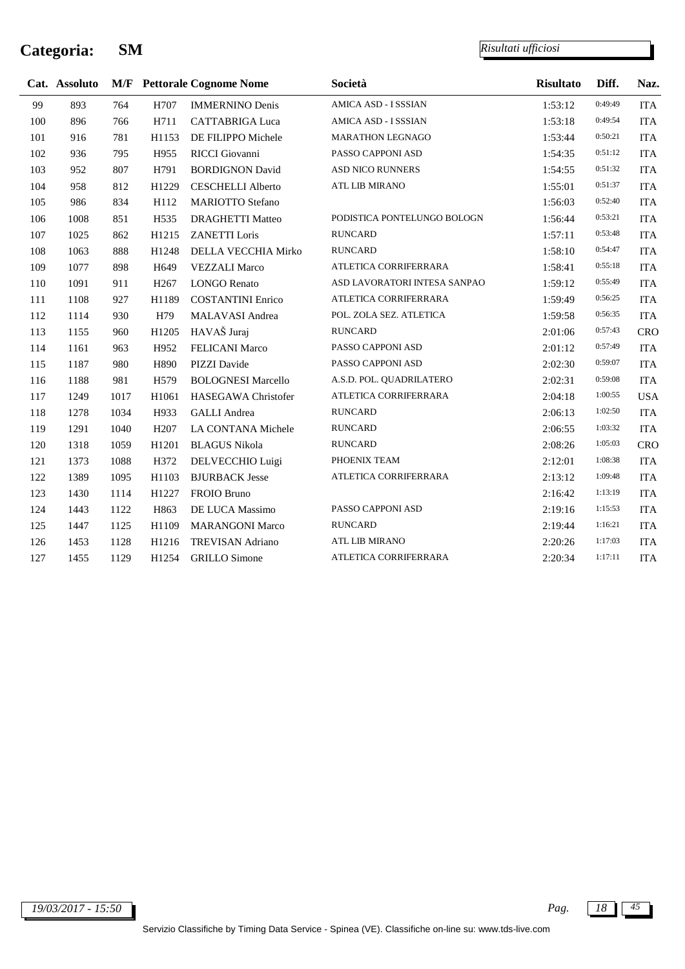l,

|     | Cat. Assoluto |      |                  | <b>M/F</b> Pettorale Cognome Nome | Società                      | <b>Risultato</b> | Diff.   | Naz.       |
|-----|---------------|------|------------------|-----------------------------------|------------------------------|------------------|---------|------------|
| 99  | 893           | 764  | H707             | <b>IMMERNINO Denis</b>            | AMICA ASD - I SSSIAN         | 1:53:12          | 0:49:49 | <b>ITA</b> |
| 100 | 896           | 766  | H711             | <b>CATTABRIGA Luca</b>            | AMICA ASD - I SSSIAN         | 1:53:18          | 0:49:54 | <b>ITA</b> |
| 101 | 916           | 781  | H1153            | DE FILIPPO Michele                | <b>MARATHON LEGNAGO</b>      | 1:53:44          | 0:50:21 | <b>ITA</b> |
| 102 | 936           | 795  | H955             | RICCI Giovanni                    | PASSO CAPPONI ASD            | 1:54:35          | 0:51:12 | <b>ITA</b> |
| 103 | 952           | 807  | H791             | <b>BORDIGNON David</b>            | ASD NICO RUNNERS             | 1:54:55          | 0:51:32 | <b>ITA</b> |
| 104 | 958           | 812  | H1229            | <b>CESCHELLI Alberto</b>          | ATL LIB MIRANO               | 1:55:01          | 0:51:37 | <b>ITA</b> |
| 105 | 986           | 834  | H112             | <b>MARIOTTO Stefano</b>           |                              | 1:56:03          | 0:52:40 | <b>ITA</b> |
| 106 | 1008          | 851  | H <sub>535</sub> | <b>DRAGHETTI Matteo</b>           | PODISTICA PONTELUNGO BOLOGN  | 1:56:44          | 0:53:21 | <b>ITA</b> |
| 107 | 1025          | 862  | H1215            | <b>ZANETTI Loris</b>              | <b>RUNCARD</b>               | 1:57:11          | 0:53:48 | <b>ITA</b> |
| 108 | 1063          | 888  | H1248            | DELLA VECCHIA Mirko               | <b>RUNCARD</b>               | 1:58:10          | 0:54:47 | <b>ITA</b> |
| 109 | 1077          | 898  | H <sub>649</sub> | <b>VEZZALI Marco</b>              | ATLETICA CORRIFERRARA        | 1:58:41          | 0:55:18 | <b>ITA</b> |
| 110 | 1091          | 911  | H <sub>267</sub> | <b>LONGO Renato</b>               | ASD LAVORATORI INTESA SANPAO | 1:59:12          | 0:55:49 | <b>ITA</b> |
| 111 | 1108          | 927  | H1189            | <b>COSTANTINI Enrico</b>          | ATLETICA CORRIFERRARA        | 1:59:49          | 0:56:25 | <b>ITA</b> |
| 112 | 1114          | 930  | H79              | MALAVASI Andrea                   | POL. ZOLA SEZ. ATLETICA      | 1:59:58          | 0:56:35 | <b>ITA</b> |
| 113 | 1155          | 960  | H1205            | HAVAŠ Juraj                       | <b>RUNCARD</b>               | 2:01:06          | 0:57:43 | <b>CRO</b> |
| 114 | 1161          | 963  | H952             | FELICANI Marco                    | PASSO CAPPONI ASD            | 2:01:12          | 0:57:49 | <b>ITA</b> |
| 115 | 1187          | 980  | H890             | PIZZI Davide                      | PASSO CAPPONI ASD            | 2:02:30          | 0:59:07 | <b>ITA</b> |
| 116 | 1188          | 981  | H <sub>579</sub> | <b>BOLOGNESI Marcello</b>         | A.S.D. POL. QUADRILATERO     | 2:02:31          | 0:59:08 | <b>ITA</b> |
| 117 | 1249          | 1017 | H1061            | HASEGAWA Christofer               | ATLETICA CORRIFERRARA        | 2:04:18          | 1:00:55 | <b>USA</b> |
| 118 | 1278          | 1034 | H933             | <b>GALLI</b> Andrea               | <b>RUNCARD</b>               | 2:06:13          | 1:02:50 | <b>ITA</b> |
| 119 | 1291          | 1040 | H <sub>207</sub> | LA CONTANA Michele                | <b>RUNCARD</b>               | 2:06:55          | 1:03:32 | <b>ITA</b> |
| 120 | 1318          | 1059 | H1201            | <b>BLAGUS Nikola</b>              | <b>RUNCARD</b>               | 2:08:26          | 1:05:03 | <b>CRO</b> |
| 121 | 1373          | 1088 | H372             | DELVECCHIO Luigi                  | PHOENIX TEAM                 | 2:12:01          | 1:08:38 | <b>ITA</b> |
| 122 | 1389          | 1095 | H1103            | <b>BJURBACK Jesse</b>             | ATLETICA CORRIFERRARA        | 2:13:12          | 1:09:48 | <b>ITA</b> |
| 123 | 1430          | 1114 | H1227            | FROIO Bruno                       |                              | 2:16:42          | 1:13:19 | <b>ITA</b> |
| 124 | 1443          | 1122 | H863             | DE LUCA Massimo                   | PASSO CAPPONI ASD            | 2:19:16          | 1:15:53 | <b>ITA</b> |
| 125 | 1447          | 1125 | H1109            | <b>MARANGONI Marco</b>            | <b>RUNCARD</b>               | 2:19:44          | 1:16:21 | <b>ITA</b> |
| 126 | 1453          | 1128 | H1216            | <b>TREVISAN Adriano</b>           | ATL LIB MIRANO               | 2:20:26          | 1:17:03 | <b>ITA</b> |
| 127 | 1455          | 1129 | H1254            | <b>GRILLO</b> Simone              | ATLETICA CORRIFERRARA        | 2:20:34          | 1:17:11 | <b>ITA</b> |
|     |               |      |                  |                                   |                              |                  |         |            |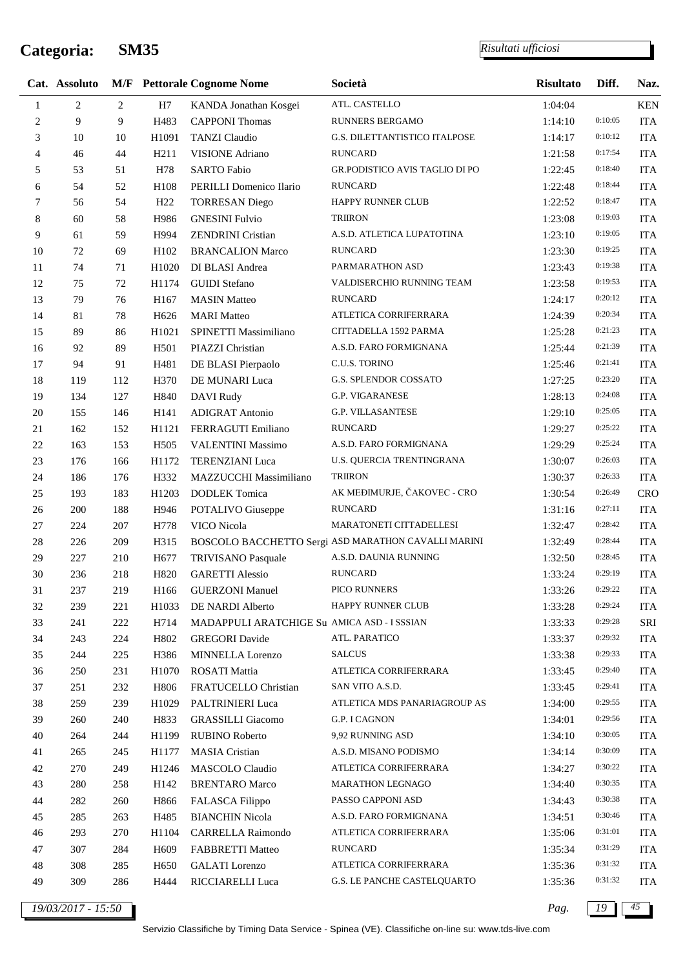*Risultati ufficiosi*

|             | Cat. Assoluto  |     |                  | <b>M/F</b> Pettorale Cognome Nome           | Società                                             | <b>Risultato</b> | Diff.   | Naz.       |
|-------------|----------------|-----|------------------|---------------------------------------------|-----------------------------------------------------|------------------|---------|------------|
| 1           | $\overline{c}$ | 2   | H7               | KANDA Jonathan Kosgei                       | ATL. CASTELLO                                       | 1:04:04          |         | <b>KEN</b> |
| 2           | 9              | 9   | H483             | <b>CAPPONI</b> Thomas                       | RUNNERS BERGAMO                                     | 1:14:10          | 0:10:05 | <b>ITA</b> |
| 3           | 10             | 10  | H1091            | <b>TANZI Claudio</b>                        | G.S. DILETTANTISTICO ITALPOSE                       | 1:14:17          | 0:10:12 | <b>ITA</b> |
| 4           | 46             | 44  | H <sub>211</sub> | <b>VISIONE</b> Adriano                      | <b>RUNCARD</b>                                      | 1:21:58          | 0:17:54 | <b>ITA</b> |
| 5           | 53             | 51  | H78              | <b>SARTO Fabio</b>                          | GR.PODISTICO AVIS TAGLIO DI PO                      | 1:22:45          | 0:18:40 | <b>ITA</b> |
| 6           | 54             | 52  | H108             | PERILLI Domenico Ilario                     | <b>RUNCARD</b>                                      | 1:22:48          | 0:18:44 | <b>ITA</b> |
| 7           | 56             | 54  | H <sub>22</sub>  | <b>TORRESAN Diego</b>                       | HAPPY RUNNER CLUB                                   | 1:22:52          | 0:18:47 | <b>ITA</b> |
| 8           | 60             | 58  | H986             | <b>GNESINI Fulvio</b>                       | <b>TRIIRON</b>                                      | 1:23:08          | 0:19:03 | <b>ITA</b> |
| 9           | 61             | 59  | H994             | <b>ZENDRINI</b> Cristian                    | A.S.D. ATLETICA LUPATOTINA                          | 1:23:10          | 0:19:05 | <b>ITA</b> |
| 10          | 72             | 69  | H102             | <b>BRANCALION Marco</b>                     | <b>RUNCARD</b>                                      | 1:23:30          | 0:19:25 | <b>ITA</b> |
| 11          | 74             | 71  | H1020            | DI BLASI Andrea                             | PARMARATHON ASD                                     | 1:23:43          | 0:19:38 | <b>ITA</b> |
| 12          | 75             | 72  | H1174            | <b>GUIDI</b> Stefano                        | VALDISERCHIO RUNNING TEAM                           | 1:23:58          | 0:19:53 | <b>ITA</b> |
| 13          | 79             | 76  | H167             | <b>MASIN</b> Matteo                         | <b>RUNCARD</b>                                      | 1:24:17          | 0:20:12 | <b>ITA</b> |
| 14          | 81             | 78  | H <sub>626</sub> | <b>MARI</b> Matteo                          | ATLETICA CORRIFERRARA                               | 1:24:39          | 0:20:34 | <b>ITA</b> |
| 15          | 89             | 86  | H1021            | SPINETTI Massimiliano                       | CITTADELLA 1592 PARMA                               | 1:25:28          | 0:21:23 | <b>ITA</b> |
| 16          | 92             | 89  | H501             | PIAZZI Christian                            | A.S.D. FARO FORMIGNANA                              | 1:25:44          | 0:21:39 | <b>ITA</b> |
| 17          | 94             | 91  | H481             | DE BLASI Pierpaolo                          | C.U.S. TORINO                                       | 1:25:46          | 0:21:41 | <b>ITA</b> |
| 18          | 119            | 112 | H370             | DE MUNARI Luca                              | G.S. SPLENDOR COSSATO                               | 1:27:25          | 0:23:20 | <b>ITA</b> |
| 19          | 134            | 127 | H840             | DAVI Rudy                                   | G.P. VIGARANESE                                     | 1:28:13          | 0:24:08 | <b>ITA</b> |
| $20\,$      | 155            | 146 | H141             | <b>ADIGRAT Antonio</b>                      | <b>G.P. VILLASANTESE</b>                            | 1:29:10          | 0:25:05 | <b>ITA</b> |
| $21\,$      | 162            | 152 | H1121            | FERRAGUTI Emiliano                          | <b>RUNCARD</b>                                      | 1:29:27          | 0:25:22 | <b>ITA</b> |
| 22          | 163            | 153 | H <sub>505</sub> | <b>VALENTINI Massimo</b>                    | A.S.D. FARO FORMIGNANA                              | 1:29:29          | 0:25:24 | <b>ITA</b> |
| $23\,$      | 176            | 166 | H1172            | <b>TERENZIANI Luca</b>                      | U.S. QUERCIA TRENTINGRANA                           | 1:30:07          | 0:26:03 | <b>ITA</b> |
| 24          | 186            | 176 | H332             | MAZZUCCHI Massimiliano                      | <b>TRIIRON</b>                                      | 1:30:37          | 0:26:33 | <b>ITA</b> |
| 25          | 193            | 183 | H1203            | <b>DODLEK</b> Tomica                        | AK MEĐIMURJE, ČAKOVEC - CRO                         | 1:30:54          | 0:26:49 | <b>CRO</b> |
| 26          | 200            | 188 | H946             | POTALIVO Giuseppe                           | <b>RUNCARD</b>                                      | 1:31:16          | 0:27:11 | <b>ITA</b> |
| $27\,$      | 224            | 207 | H778             | VICO Nicola                                 | MARATONETI CITTADELLESI                             | 1:32:47          | 0:28:42 | <b>ITA</b> |
| $28\,$      | 226            | 209 | H315             |                                             | BOSCOLO BACCHETTO Sergi ASD MARATHON CAVALLI MARINI | 1:32:49          | 0:28:44 | <b>ITA</b> |
| 29          | 227            | 210 | H677             | TRIVISANO Pasquale                          | A.S.D. DAUNIA RUNNING                               | 1:32:50          | 0:28:45 | <b>ITA</b> |
| 30          | 236            | 218 | H820             | <b>GARETTI Alessio</b>                      | <b>RUNCARD</b>                                      | 1:33:24          | 0:29:19 | <b>ITA</b> |
| 31          | 237            | 219 | H166             | <b>GUERZONI Manuel</b>                      | PICO RUNNERS                                        | 1:33:26          | 0:29:22 | <b>ITA</b> |
| $32\,$      | 239            | 221 | H1033            | DE NARDI Alberto                            | <b>HAPPY RUNNER CLUB</b>                            | 1:33:28          | 0:29:24 | <b>ITA</b> |
| 33          | 241            | 222 | H714             | MADAPPULI ARATCHIGE Su AMICA ASD - I SSSIAN |                                                     | 1:33:33          | 0:29:28 | SRI        |
| 34          | 243            | 224 | H802             | <b>GREGORI</b> Davide                       | ATL. PARATICO                                       | 1:33:37          | 0:29:32 | <b>ITA</b> |
| 35          | 244            | 225 | H386             | <b>MINNELLA Lorenzo</b>                     | <b>SALCUS</b>                                       | 1:33:38          | 0:29:33 | <b>ITA</b> |
| 36          | 250            | 231 | H1070            | <b>ROSATI</b> Mattia                        | ATLETICA CORRIFERRARA                               | 1:33:45          | 0:29:40 | <b>ITA</b> |
| 37          | 251            | 232 | H806             | FRATUCELLO Christian                        | SAN VITO A.S.D.                                     | 1:33:45          | 0:29:41 | <b>ITA</b> |
| 38          | 259            | 239 | H1029            | PALTRINIERI Luca                            | ATLETICA MDS PANARIAGROUP AS                        | 1:34:00          | 0:29:55 | <b>ITA</b> |
| 39          | 260            | 240 | H833             | <b>GRASSILLI</b> Giacomo                    | G.P. I CAGNON                                       | 1:34:01          | 0:29:56 | <b>ITA</b> |
| 40          | 264            | 244 | H1199            | <b>RUBINO Roberto</b>                       | 9,92 RUNNING ASD                                    | 1:34:10          | 0:30:05 | <b>ITA</b> |
| 41          | 265            | 245 | H1177            | <b>MASIA</b> Cristian                       | A.S.D. MISANO PODISMO                               | 1:34:14          | 0:30:09 | <b>ITA</b> |
| 42          | 270            | 249 | H1246            | MASCOLO Claudio                             | ATLETICA CORRIFERRARA                               | 1:34:27          | 0:30:22 | <b>ITA</b> |
| 43          | 280            | 258 | H142             | <b>BRENTARO Marco</b>                       | MARATHON LEGNAGO                                    | 1:34:40          | 0:30:35 | <b>ITA</b> |
| 44          | 282            | 260 | H866             | FALASCA Filippo                             | PASSO CAPPONI ASD                                   | 1:34:43          | 0:30:38 | <b>ITA</b> |
| 45          | 285            | 263 | H485             | <b>BIANCHIN Nicola</b>                      | A.S.D. FARO FORMIGNANA                              | 1:34:51          | 0:30:46 | <b>ITA</b> |
| 46          | 293            | 270 | H1104            | CARRELLA Raimondo                           | ATLETICA CORRIFERRARA                               | 1:35:06          | 0:31:01 | <b>ITA</b> |
| 47          | 307            | 284 | H <sub>609</sub> | <b>FABBRETTI Matteo</b>                     | <b>RUNCARD</b>                                      | 1:35:34          | 0:31:29 | <b>ITA</b> |
| $\sqrt{48}$ | 308            | 285 | H <sub>650</sub> | <b>GALATI</b> Lorenzo                       | ATLETICA CORRIFERRARA                               | 1:35:36          | 0:31:32 | <b>ITA</b> |
| 49          | 309            | 286 | H444             | RICCIARELLI Luca                            | G.S. LE PANCHE CASTELQUARTO                         | 1:35:36          | 0:31:32 | <b>ITA</b> |
|             |                |     |                  |                                             |                                                     |                  |         |            |

*19/03/2017 - 15:50 Pag. 19 45*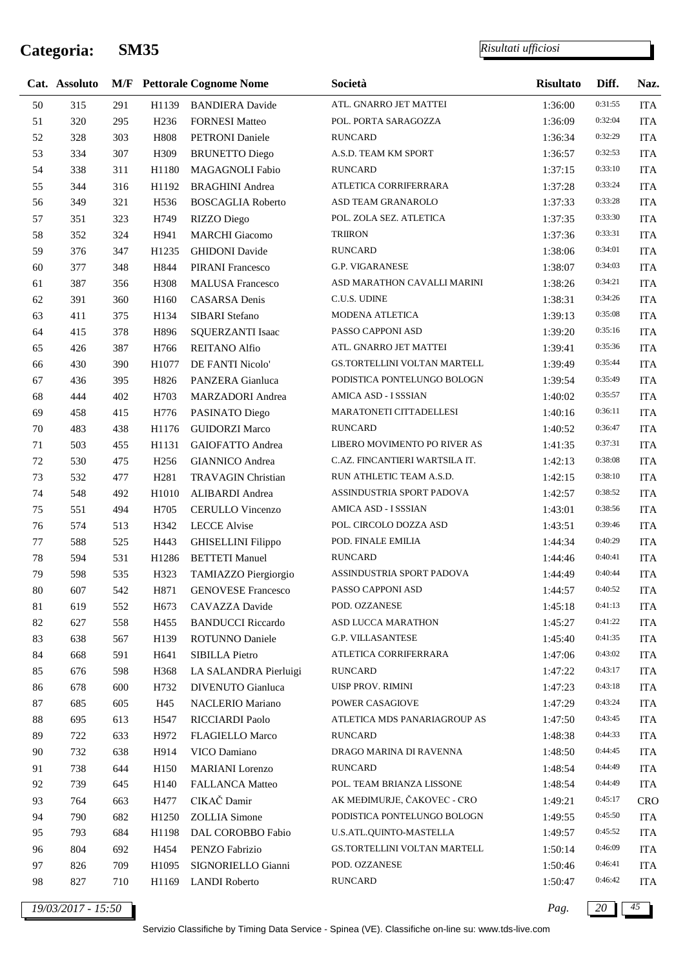j.

|    | Cat. Assoluto      |     |                  | <b>M/F</b> Pettorale Cognome Nome | Società                        | <b>Risultato</b> | Diff.   | Naz.       |
|----|--------------------|-----|------------------|-----------------------------------|--------------------------------|------------------|---------|------------|
| 50 | 315                | 291 | H1139            | <b>BANDIERA</b> Davide            | ATL. GNARRO JET MATTEI         | 1:36:00          | 0:31:55 | <b>ITA</b> |
| 51 | 320                | 295 | H <sub>236</sub> | <b>FORNESI Matteo</b>             | POL. PORTA SARAGOZZA           | 1:36:09          | 0:32:04 | <b>ITA</b> |
| 52 | 328                | 303 | H808             | <b>PETRONI</b> Daniele            | <b>RUNCARD</b>                 | 1:36:34          | 0:32:29 | <b>ITA</b> |
| 53 | 334                | 307 | H309             | <b>BRUNETTO Diego</b>             | A.S.D. TEAM KM SPORT           | 1:36:57          | 0:32:53 | <b>ITA</b> |
| 54 | 338                | 311 | H1180            | MAGAGNOLI Fabio                   | RUNCARD                        | 1:37:15          | 0:33:10 | <b>ITA</b> |
| 55 | 344                | 316 | H1192            | <b>BRAGHINI</b> Andrea            | ATLETICA CORRIFERRARA          | 1:37:28          | 0:33:24 | <b>ITA</b> |
| 56 | 349                | 321 | H536             | <b>BOSCAGLIA Roberto</b>          | ASD TEAM GRANAROLO             | 1:37:33          | 0:33:28 | <b>ITA</b> |
| 57 | 351                | 323 | H749             | <b>RIZZO</b> Diego                | POL. ZOLA SEZ. ATLETICA        | 1:37:35          | 0:33:30 | <b>ITA</b> |
| 58 | 352                | 324 | H941             | <b>MARCHI</b> Giacomo             | TRIIRON                        | 1:37:36          | 0:33:31 | <b>ITA</b> |
| 59 | 376                | 347 | H1235            | <b>GHIDONI</b> Davide             | RUNCARD                        | 1:38:06          | 0:34:01 | <b>ITA</b> |
| 60 | 377                | 348 | H844             | <b>PIRANI</b> Francesco           | G.P. VIGARANESE                | 1:38:07          | 0:34:03 | <b>ITA</b> |
| 61 | 387                | 356 | H308             | <b>MALUSA Francesco</b>           | ASD MARATHON CAVALLI MARINI    | 1:38:26          | 0:34:21 | <b>ITA</b> |
| 62 | 391                | 360 | H160             | <b>CASARSA</b> Denis              | C.U.S. UDINE                   | 1:38:31          | 0:34:26 | <b>ITA</b> |
| 63 | 411                | 375 | H134             | SIBARI Stefano                    | MODENA ATLETICA                | 1:39:13          | 0:35:08 | <b>ITA</b> |
| 64 | 415                | 378 | H896             | <b>SQUERZANTI Isaac</b>           | PASSO CAPPONI ASD              | 1:39:20          | 0:35:16 | <b>ITA</b> |
| 65 | 426                | 387 | H766             | <b>REITANO Alfio</b>              | ATL. GNARRO JET MATTEI         | 1:39:41          | 0:35:36 | <b>ITA</b> |
| 66 | 430                | 390 | H1077            | DE FANTI Nicolo'                  | GS.TORTELLINI VOLTAN MARTELL   | 1:39:49          | 0:35:44 | <b>ITA</b> |
| 67 | 436                | 395 | H826             | PANZERA Gianluca                  | PODISTICA PONTELUNGO BOLOGN    | 1:39:54          | 0:35:49 | <b>ITA</b> |
| 68 | 444                | 402 | H703             | MARZADORI Andrea                  | AMICA ASD - I SSSIAN           | 1:40:02          | 0:35:57 | <b>ITA</b> |
| 69 | 458                | 415 | H776             | PASINATO Diego                    | MARATONETI CITTADELLESI        | 1:40:16          | 0:36:11 | <b>ITA</b> |
| 70 | 483                | 438 | H1176            | <b>GUIDORZI Marco</b>             | <b>RUNCARD</b>                 | 1:40:52          | 0:36:47 | <b>ITA</b> |
| 71 | 503                | 455 | H1131            | GAIOFATTO Andrea                  | LIBERO MOVIMENTO PO RIVER AS   | 1:41:35          | 0:37:31 | <b>ITA</b> |
| 72 | 530                | 475 | H <sub>256</sub> | <b>GIANNICO</b> Andrea            | C.AZ. FINCANTIERI WARTSILA IT. | 1:42:13          | 0:38:08 | <b>ITA</b> |
| 73 | 532                | 477 | H <sub>281</sub> | TRAVAGIN Christian                | RUN ATHLETIC TEAM A.S.D.       | 1:42:15          | 0:38:10 | <b>ITA</b> |
| 74 | 548                | 492 | H1010            | ALIBARDI Andrea                   | ASSINDUSTRIA SPORT PADOVA      | 1:42:57          | 0:38:52 | <b>ITA</b> |
| 75 | 551                | 494 | H705             | CERULLO Vincenzo                  | AMICA ASD - I SSSIAN           | 1:43:01          | 0:38:56 | <b>ITA</b> |
| 76 | 574                | 513 | H342             | <b>LECCE Alvise</b>               | POL. CIRCOLO DOZZA ASD         | 1:43:51          | 0:39:46 | <b>ITA</b> |
| 77 | 588                | 525 | H443             | <b>GHISELLINI</b> Filippo         | POD. FINALE EMILIA             | 1:44:34          | 0:40:29 | <b>ITA</b> |
| 78 | 594                | 531 | H1286            | <b>BETTETI</b> Manuel             | <b>RUNCARD</b>                 | 1:44:46          | 0:40:41 | <b>ITA</b> |
| 79 | 598                | 535 | H323             | TAMIAZZO Piergiorgio              | ASSINDUSTRIA SPORT PADOVA      | 1:44:49          | 0:40:44 | <b>ITA</b> |
| 80 | 607                | 542 | H871             | <b>GENOVESE Francesco</b>         | PASSO CAPPONI ASD              | 1:44:57          | 0:40:52 | <b>ITA</b> |
| 81 | 619                | 552 | H <sub>673</sub> | CAVAZZA Davide                    | POD. OZZANESE                  | 1:45:18          | 0:41:13 | <b>ITA</b> |
| 82 | 627                | 558 | H455             | <b>BANDUCCI Riccardo</b>          | ASD LUCCA MARATHON             | 1:45:27          | 0:41:22 | <b>ITA</b> |
| 83 | 638                | 567 | H139             | <b>ROTUNNO Daniele</b>            | <b>G.P. VILLASANTESE</b>       | 1:45:40          | 0:41:35 | <b>ITA</b> |
| 84 | 668                | 591 | H641             | <b>SIBILLA Pietro</b>             | ATLETICA CORRIFERRARA          | 1:47:06          | 0:43:02 | <b>ITA</b> |
| 85 | 676                | 598 | H368             | LA SALANDRA Pierluigi             | <b>RUNCARD</b>                 | 1:47:22          | 0:43:17 | <b>ITA</b> |
| 86 | 678                | 600 | H732             | DIVENUTO Gianluca                 | <b>UISP PROV. RIMINI</b>       | 1:47:23          | 0:43:18 | <b>ITA</b> |
| 87 | 685                | 605 | H45              | NACLERIO Mariano                  | POWER CASAGIOVE                | 1:47:29          | 0:43:24 | <b>ITA</b> |
| 88 | 695                | 613 | H <sub>547</sub> | RICCIARDI Paolo                   | ATLETICA MDS PANARIAGROUP AS   | 1:47:50          | 0:43:45 | <b>ITA</b> |
| 89 | 722                | 633 | H972             | <b>FLAGIELLO Marco</b>            | RUNCARD                        | 1:48:38          | 0:44:33 | <b>ITA</b> |
| 90 | 732                | 638 | H914             | VICO Damiano                      | DRAGO MARINA DI RAVENNA        | 1:48:50          | 0:44:45 | <b>ITA</b> |
| 91 | 738                | 644 | H150             | <b>MARIANI</b> Lorenzo            | RUNCARD                        | 1:48:54          | 0:44:49 | <b>ITA</b> |
| 92 | 739                | 645 | H140             | <b>FALLANCA Matteo</b>            | POL. TEAM BRIANZA LISSONE      | 1:48:54          | 0:44:49 | <b>ITA</b> |
| 93 | 764                | 663 | H477             | CIKAČ Damir                       | AK MEĐIMURJE, ČAKOVEC - CRO    | 1:49:21          | 0:45:17 | <b>CRO</b> |
| 94 | 790                | 682 | H1250            | <b>ZOLLIA</b> Simone              | PODISTICA PONTELUNGO BOLOGN    | 1:49:55          | 0:45:50 | <b>ITA</b> |
| 95 | 793                | 684 | H1198            | DAL COROBBO Fabio                 | U.S.ATL.QUINTO-MASTELLA        | 1:49:57          | 0:45:52 | <b>ITA</b> |
| 96 | 804                | 692 | H454             | PENZO Fabrizio                    | GS.TORTELLINI VOLTAN MARTELL   | 1:50:14          | 0:46:09 | <b>ITA</b> |
| 97 | 826                | 709 | H1095            | SIGNORIELLO Gianni                | POD. OZZANESE                  | 1:50:46          | 0:46:41 | <b>ITA</b> |
| 98 | 827                | 710 | H1169            | <b>LANDI</b> Roberto              | <b>RUNCARD</b>                 | 1:50:47          | 0:46:42 | <b>ITA</b> |
|    | 19/03/2017 - 15:50 |     |                  |                                   |                                | Pag.             | 20      | 45         |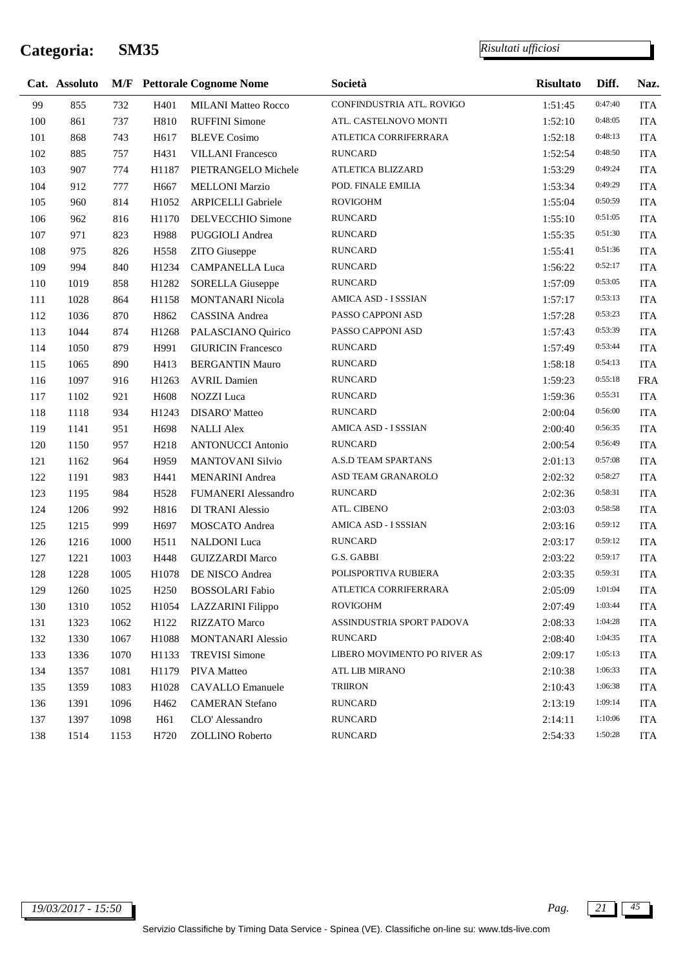|     | Cat. Assoluto |      |                  | <b>M/F</b> Pettorale Cognome Nome | Società                      | <b>Risultato</b> | Diff.   | Naz.       |
|-----|---------------|------|------------------|-----------------------------------|------------------------------|------------------|---------|------------|
| 99  | 855           | 732  | H401             | <b>MILANI Matteo Rocco</b>        | CONFINDUSTRIA ATL. ROVIGO    | 1:51:45          | 0:47:40 | <b>ITA</b> |
| 100 | 861           | 737  | H810             | <b>RUFFINI</b> Simone             | ATL. CASTELNOVO MONTI        | 1:52:10          | 0:48:05 | <b>ITA</b> |
| 101 | 868           | 743  | H617             | <b>BLEVE</b> Cosimo               | ATLETICA CORRIFERRARA        | 1:52:18          | 0:48:13 | <b>ITA</b> |
| 102 | 885           | 757  | H431             | <b>VILLANI</b> Francesco          | <b>RUNCARD</b>               | 1:52:54          | 0:48:50 | <b>ITA</b> |
| 103 | 907           | 774  | H1187            | PIETRANGELO Michele               | ATLETICA BLIZZARD            | 1:53:29          | 0:49:24 | <b>ITA</b> |
| 104 | 912           | 777  | H667             | <b>MELLONI Marzio</b>             | POD. FINALE EMILIA           | 1:53:34          | 0:49:29 | <b>ITA</b> |
| 105 | 960           | 814  | H1052            | <b>ARPICELLI Gabriele</b>         | <b>ROVIGOHM</b>              | 1:55:04          | 0:50:59 | <b>ITA</b> |
| 106 | 962           | 816  | H1170            | DELVECCHIO Simone                 | <b>RUNCARD</b>               | 1:55:10          | 0:51:05 | <b>ITA</b> |
| 107 | 971           | 823  | H988             | PUGGIOLI Andrea                   | <b>RUNCARD</b>               | 1:55:35          | 0:51:30 | <b>ITA</b> |
| 108 | 975           | 826  | H558             | ZITO Giuseppe                     | <b>RUNCARD</b>               | 1:55:41          | 0:51:36 | <b>ITA</b> |
| 109 | 994           | 840  | H1234            | <b>CAMPANELLA Luca</b>            | <b>RUNCARD</b>               | 1:56:22          | 0:52:17 | <b>ITA</b> |
| 110 | 1019          | 858  | H1282            | <b>SORELLA Giuseppe</b>           | <b>RUNCARD</b>               | 1:57:09          | 0:53:05 | <b>ITA</b> |
| 111 | 1028          | 864  | H1158            | MONTANARI Nicola                  | AMICA ASD - I SSSIAN         | 1:57:17          | 0:53:13 | <b>ITA</b> |
| 112 | 1036          | 870  | H862             | CASSINA Andrea                    | PASSO CAPPONI ASD            | 1:57:28          | 0:53:23 | <b>ITA</b> |
| 113 | 1044          | 874  | H1268            | PALASCIANO Quirico                | PASSO CAPPONI ASD            | 1:57:43          | 0:53:39 | <b>ITA</b> |
| 114 | 1050          | 879  | H991             | <b>GIURICIN Francesco</b>         | <b>RUNCARD</b>               | 1:57:49          | 0:53:44 | <b>ITA</b> |
| 115 | 1065          | 890  | H413             | <b>BERGANTIN Mauro</b>            | <b>RUNCARD</b>               | 1:58:18          | 0:54:13 | <b>ITA</b> |
| 116 | 1097          | 916  | H1263            | <b>AVRIL Damien</b>               | <b>RUNCARD</b>               | 1:59:23          | 0:55:18 | <b>FRA</b> |
| 117 | 1102          | 921  | H608             | <b>NOZZI</b> Luca                 | <b>RUNCARD</b>               | 1:59:36          | 0:55:31 | <b>ITA</b> |
| 118 | 1118          | 934  | H1243            | <b>DISARO'</b> Matteo             | <b>RUNCARD</b>               | 2:00:04          | 0:56:00 | <b>ITA</b> |
| 119 | 1141          | 951  | H <sub>698</sub> | <b>NALLI Alex</b>                 | AMICA ASD - I SSSIAN         | 2:00:40          | 0:56:35 | <b>ITA</b> |
| 120 | 1150          | 957  | H <sub>218</sub> | <b>ANTONUCCI</b> Antonio          | <b>RUNCARD</b>               | 2:00:54          | 0:56:49 | <b>ITA</b> |
| 121 | 1162          | 964  | H959             | <b>MANTOVANI Silvio</b>           | A.S.D TEAM SPARTANS          | 2:01:13          | 0:57:08 | <b>ITA</b> |
| 122 | 1191          | 983  | H441             | <b>MENARINI</b> Andrea            | ASD TEAM GRANAROLO           | 2:02:32          | 0:58:27 | <b>ITA</b> |
| 123 | 1195          | 984  | H <sub>528</sub> | <b>FUMANERI Alessandro</b>        | <b>RUNCARD</b>               | 2:02:36          | 0:58:31 | <b>ITA</b> |
| 124 | 1206          | 992  | H816             | DI TRANI Alessio                  | ATL. CIBENO                  | 2:03:03          | 0:58:58 | <b>ITA</b> |
| 125 | 1215          | 999  | H697             | MOSCATO Andrea                    | AMICA ASD - I SSSIAN         | 2:03:16          | 0:59:12 | ITA        |
| 126 | 1216          | 1000 | H511             | <b>NALDONI</b> Luca               | <b>RUNCARD</b>               | 2:03:17          | 0:59:12 | <b>ITA</b> |
| 127 | 1221          | 1003 | H448             | <b>GUIZZARDI Marco</b>            | G.S. GABBI                   | 2:03:22          | 0:59:17 | <b>ITA</b> |
| 128 | 1228          | 1005 | H1078            | DE NISCO Andrea                   | POLISPORTIVA RUBIERA         | 2:03:35          | 0:59:31 | <b>ITA</b> |
| 129 | 1260          | 1025 | H <sub>250</sub> | <b>BOSSOLARI</b> Fabio            | ATLETICA CORRIFERRARA        | 2:05:09          | 1:01:04 | <b>ITA</b> |
| 130 | 1310          | 1052 |                  | H1054 LAZZARINI Filippo           | <b>ROVIGOHM</b>              | 2:07:49          | 1:03:44 | <b>ITA</b> |
| 131 | 1323          | 1062 | H122             | <b>RIZZATO</b> Marco              | ASSINDUSTRIA SPORT PADOVA    | 2:08:33          | 1:04:28 | <b>ITA</b> |
| 132 | 1330          | 1067 | H1088            | <b>MONTANARI Alessio</b>          | <b>RUNCARD</b>               | 2:08:40          | 1:04:35 | <b>ITA</b> |
| 133 | 1336          | 1070 | H1133            | <b>TREVISI Simone</b>             | LIBERO MOVIMENTO PO RIVER AS | 2:09:17          | 1:05:13 | <b>ITA</b> |
| 134 | 1357          | 1081 | H1179            | PIVA Matteo                       | ATL LIB MIRANO               | 2:10:38          | 1:06:33 | <b>ITA</b> |
| 135 | 1359          | 1083 | H1028            | <b>CAVALLO Emanuele</b>           | <b>TRIIRON</b>               | 2:10:43          | 1:06:38 | <b>ITA</b> |
| 136 | 1391          | 1096 | H462             | <b>CAMERAN</b> Stefano            | <b>RUNCARD</b>               | 2:13:19          | 1:09:14 | <b>ITA</b> |
| 137 | 1397          | 1098 | H61              | CLO' Alessandro                   | <b>RUNCARD</b>               | 2:14:11          | 1:10:06 | <b>ITA</b> |
| 138 | 1514          | 1153 | H720             | ZOLLINO Roberto                   | <b>RUNCARD</b>               | 2:54:33          | 1:50:28 | <b>ITA</b> |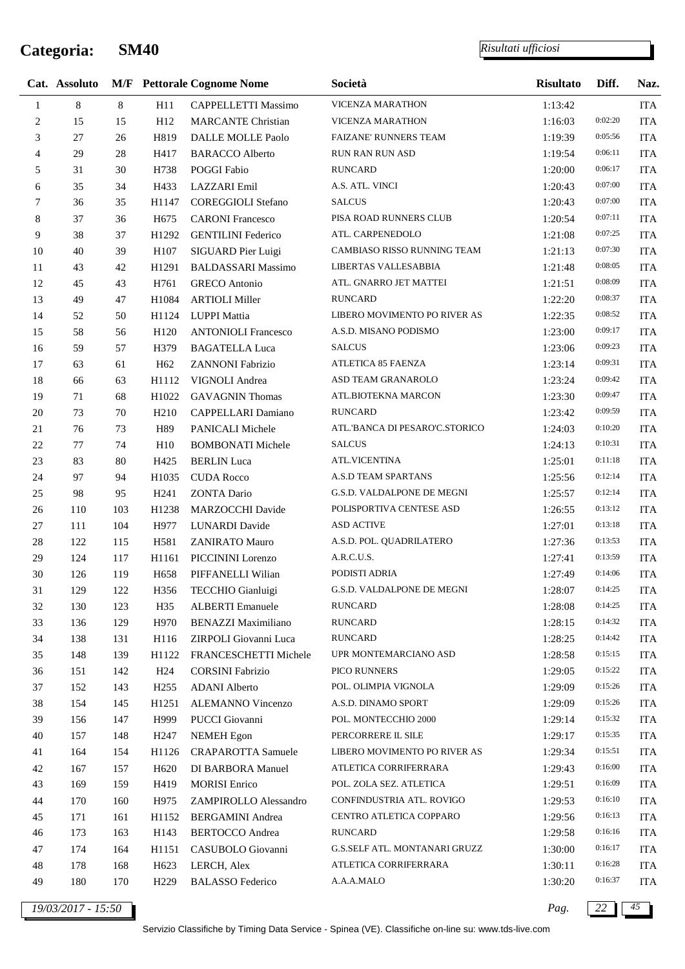j.

*Risultati ufficiosi*

|                | Cat. Assoluto |     |                  | <b>M/F</b> Pettorale Cognome Nome | Società                        | <b>Risultato</b> | Diff.   | Naz.       |
|----------------|---------------|-----|------------------|-----------------------------------|--------------------------------|------------------|---------|------------|
| $\mathbf{1}$   | $\,8\,$       | 8   | H11              | <b>CAPPELLETTI Massimo</b>        | VICENZA MARATHON               | 1:13:42          |         | <b>ITA</b> |
| $\overline{c}$ | 15            | 15  | H12              | <b>MARCANTE Christian</b>         | <b>VICENZA MARATHON</b>        | 1:16:03          | 0:02:20 | <b>ITA</b> |
| 3              | 27            | 26  | H819             | DALLE MOLLE Paolo                 | <b>FAIZANE' RUNNERS TEAM</b>   | 1:19:39          | 0:05:56 | <b>ITA</b> |
| $\overline{4}$ | 29            | 28  | H417             | <b>BARACCO</b> Alberto            | <b>RUN RAN RUN ASD</b>         | 1:19:54          | 0:06:11 | <b>ITA</b> |
| 5              | 31            | 30  | H738             | POGGI Fabio                       | <b>RUNCARD</b>                 | 1:20:00          | 0:06:17 | <b>ITA</b> |
| 6              | 35            | 34  | H433             | LAZZARI Emil                      | A.S. ATL. VINCI                | 1:20:43          | 0:07:00 | <b>ITA</b> |
| 7              | 36            | 35  | H1147            | <b>COREGGIOLI</b> Stefano         | <b>SALCUS</b>                  | 1:20:43          | 0:07:00 | <b>ITA</b> |
| $\,$ 8 $\,$    | 37            | 36  | H <sub>675</sub> | <b>CARONI Francesco</b>           | PISA ROAD RUNNERS CLUB         | 1:20:54          | 0:07:11 | <b>ITA</b> |
| 9              | 38            | 37  | H1292            | <b>GENTILINI</b> Federico         | ATL. CARPENEDOLO               | 1:21:08          | 0:07:25 | <b>ITA</b> |
| $10\,$         | 40            | 39  | H107             | SIGUARD Pier Luigi                | CAMBIASO RISSO RUNNING TEAM    | 1:21:13          | 0:07:30 | <b>ITA</b> |
| $11\,$         | 43            | 42  | H1291            | <b>BALDASSARI</b> Massimo         | LIBERTAS VALLESABBIA           | 1:21:48          | 0:08:05 | <b>ITA</b> |
| 12             | 45            | 43  | H761             | <b>GRECO</b> Antonio              | ATL. GNARRO JET MATTEI         | 1:21:51          | 0:08:09 | <b>ITA</b> |
| 13             | 49            | 47  | H1084            | <b>ARTIOLI Miller</b>             | <b>RUNCARD</b>                 | 1:22:20          | 0:08:37 | <b>ITA</b> |
| 14             | 52            | 50  | H1124            | LUPPI Mattia                      | LIBERO MOVIMENTO PO RIVER AS   | 1:22:35          | 0:08:52 | <b>ITA</b> |
| 15             | 58            | 56  | H <sub>120</sub> | <b>ANTONIOLI Francesco</b>        | A.S.D. MISANO PODISMO          | 1:23:00          | 0:09:17 | <b>ITA</b> |
| 16             | 59            | 57  | H379             | <b>BAGATELLA Luca</b>             | <b>SALCUS</b>                  | 1:23:06          | 0:09:23 | <b>ITA</b> |
| 17             | 63            | 61  | H <sub>62</sub>  | ZANNONI Fabrizio                  | ATLETICA 85 FAENZA             | 1:23:14          | 0:09:31 | <b>ITA</b> |
| 18             | 66            | 63  | H1112            | VIGNOLI Andrea                    | ASD TEAM GRANAROLO             | 1:23:24          | 0:09:42 | <b>ITA</b> |
| 19             | 71            | 68  | H1022            | <b>GAVAGNIN Thomas</b>            | ATL.BIOTEKNA MARCON            | 1:23:30          | 0:09:47 | <b>ITA</b> |
| 20             | 73            | 70  | H <sub>210</sub> | CAPPELLARI Damiano                | <b>RUNCARD</b>                 | 1:23:42          | 0:09:59 | <b>ITA</b> |
| 21             | 76            | 73  | H89              | PANICALI Michele                  | ATL. BANCA DI PESARO'C.STORICO | 1:24:03          | 0:10:20 | <b>ITA</b> |
| $22\,$         | 77            | 74  | H10              | <b>BOMBONATI Michele</b>          | <b>SALCUS</b>                  | 1:24:13          | 0:10:31 | <b>ITA</b> |
| 23             | 83            | 80  | H425             | <b>BERLIN</b> Luca                | <b>ATL.VICENTINA</b>           | 1:25:01          | 0:11:18 | <b>ITA</b> |
| 24             | 97            | 94  | H1035            | <b>CUDA Rocco</b>                 | A.S.D TEAM SPARTANS            | 1:25:56          | 0:12:14 | <b>ITA</b> |
| 25             | 98            | 95  | H <sub>241</sub> | <b>ZONTA Dario</b>                | G.S.D. VALDALPONE DE MEGNI     | 1:25:57          | 0:12:14 | ITA        |
| 26             | 110           | 103 | H1238            | MARZOCCHI Davide                  | POLISPORTIVA CENTESE ASD       | 1:26:55          | 0:13:12 | <b>ITA</b> |
| 27             | 111           | 104 | H977             | LUNARDI Davide                    | <b>ASD ACTIVE</b>              | 1:27:01          | 0:13:18 | <b>ITA</b> |
| $28\,$         | 122           | 115 | H581             | <b>ZANIRATO Mauro</b>             | A.S.D. POL. QUADRILATERO       | 1:27:36          | 0:13:53 | ITA        |
| 29             | 124           | 117 | H1161            | PICCININI Lorenzo                 | A.R.C.U.S.                     | 1:27:41          | 0:13:59 | <b>ITA</b> |
| 30             | 126           | 119 | H658             | PIFFANELLI Wilian                 | PODISTI ADRIA                  | 1:27:49          | 0:14:06 | ITA        |
| 31             | 129           | 122 | H356             | TECCHIO Gianluigi                 | G.S.D. VALDALPONE DE MEGNI     | 1:28:07          | 0:14:25 | <b>ITA</b> |
| 32             | 130           | 123 | H35              | <b>ALBERTI</b> Emanuele           | <b>RUNCARD</b>                 | 1:28:08          | 0:14:25 | ITA        |
| 33             | 136           | 129 | H970             | <b>BENAZZI Maximiliano</b>        | <b>RUNCARD</b>                 | 1:28:15          | 0:14:32 | <b>ITA</b> |
| 34             | 138           | 131 | H116             | ZIRPOLI Giovanni Luca             | <b>RUNCARD</b>                 | 1:28:25          | 0:14:42 | <b>ITA</b> |
| 35             | 148           | 139 | H1122            | FRANCESCHETTI Michele             | UPR MONTEMARCIANO ASD          | 1:28:58          | 0:15:15 | ITA        |
| 36             | 151           | 142 | H <sub>24</sub>  | <b>CORSINI Fabrizio</b>           | PICO RUNNERS                   | 1:29:05          | 0:15:22 | ITA        |
| 37             | 152           | 143 | H <sub>255</sub> | <b>ADANI</b> Alberto              | POL. OLIMPIA VIGNOLA           | 1:29:09          | 0:15:26 | ITA        |
| 38             | 154           | 145 | H1251            | ALEMANNO Vincenzo                 | A.S.D. DINAMO SPORT            | 1:29:09          | 0:15:26 | <b>ITA</b> |
| 39             | 156           | 147 | H999             | PUCCI Giovanni                    | POL. MONTECCHIO 2000           | 1:29:14          | 0:15:32 | <b>ITA</b> |
| 40             | 157           | 148 | H <sub>247</sub> | <b>NEMEH</b> Egon                 | PERCORRERE IL SILE             | 1:29:17          | 0:15:35 | ITA        |
| 41             | 164           | 154 | H1126            | <b>CRAPAROTTA Samuele</b>         | LIBERO MOVIMENTO PO RIVER AS   | 1:29:34          | 0:15:51 | ITA        |
| 42             | 167           | 157 | H <sub>620</sub> | DI BARBORA Manuel                 | ATLETICA CORRIFERRARA          | 1:29:43          | 0:16:00 | <b>ITA</b> |
| 43             | 169           | 159 | H419             | <b>MORISI</b> Enrico              | POL. ZOLA SEZ. ATLETICA        | 1:29:51          | 0:16:09 | ITA        |
| 44             | 170           | 160 | H975             | ZAMPIROLLO Alessandro             | CONFINDUSTRIA ATL. ROVIGO      | 1:29:53          | 0:16:10 | <b>ITA</b> |
| 45             | 171           | 161 | H1152            | <b>BERGAMINI</b> Andrea           | CENTRO ATLETICA COPPARO        | 1:29:56          | 0:16:13 | <b>ITA</b> |
| 46             | 173           | 163 | H143             | <b>BERTOCCO</b> Andrea            | <b>RUNCARD</b>                 | 1:29:58          | 0:16:16 | ITA        |
| 47             | 174           | 164 | H1151            | CASUBOLO Giovanni                 | G.S.SELF ATL. MONTANARI GRUZZ  | 1:30:00          | 0:16:17 | <b>ITA</b> |
| 48             | 178           | 168 | H <sub>623</sub> | LERCH, Alex                       | ATLETICA CORRIFERRARA          | 1:30:11          | 0:16:28 | <b>ITA</b> |
| 49             | 180           | 170 | H <sub>229</sub> | <b>BALASSO</b> Federico           | A.A.A.MALO                     | 1:30:20          | 0:16:37 | <b>ITA</b> |

*19/03/2017 - 15:50 Pag. 22 45*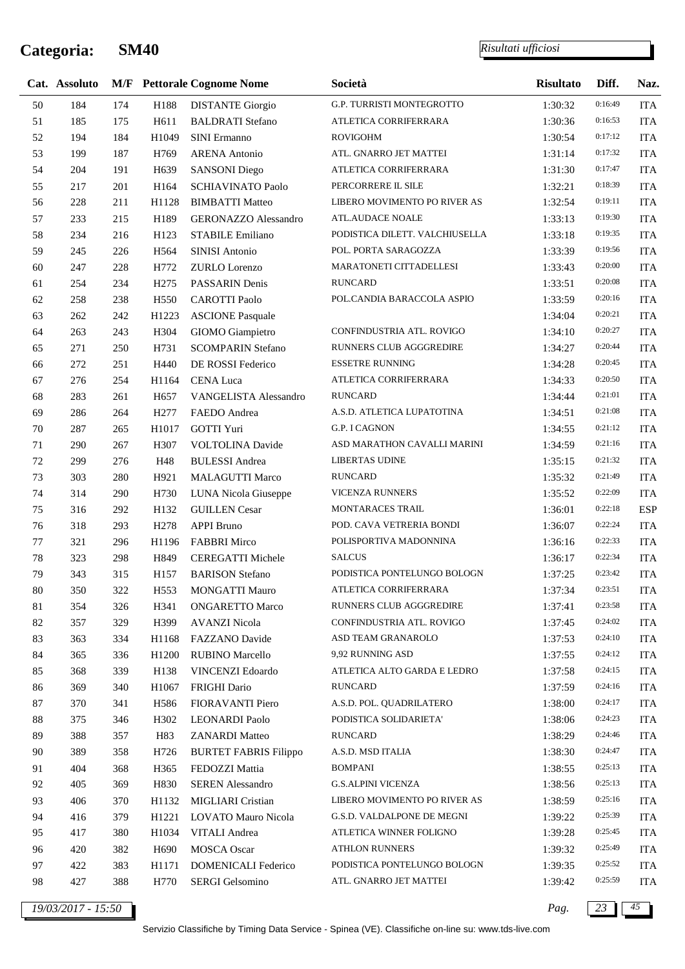l,

|        | Cat. Assoluto      |     |                  | <b>M/F</b> Pettorale Cognome Nome | Società                        | <b>Risultato</b> | Diff.   | Naz.       |
|--------|--------------------|-----|------------------|-----------------------------------|--------------------------------|------------------|---------|------------|
| $50\,$ | 184                | 174 | H188             | <b>DISTANTE Giorgio</b>           | G.P. TURRISTI MONTEGROTTO      | 1:30:32          | 0:16:49 | <b>ITA</b> |
| 51     | 185                | 175 | H611             | <b>BALDRATI</b> Stefano           | ATLETICA CORRIFERRARA          | 1:30:36          | 0:16:53 | <b>ITA</b> |
| 52     | 194                | 184 | H1049            | SINI Ermanno                      | <b>ROVIGOHM</b>                | 1:30:54          | 0:17:12 | <b>ITA</b> |
| 53     | 199                | 187 | H769             | <b>ARENA</b> Antonio              | ATL. GNARRO JET MATTEI         | 1:31:14          | 0:17:32 | <b>ITA</b> |
| 54     | 204                | 191 | H <sub>639</sub> | <b>SANSONI Diego</b>              | ATLETICA CORRIFERRARA          | 1:31:30          | 0:17:47 | <b>ITA</b> |
| 55     | 217                | 201 | H164             | <b>SCHIAVINATO Paolo</b>          | PERCORRERE IL SILE             | 1:32:21          | 0:18:39 | <b>ITA</b> |
| 56     | 228                | 211 | H1128            | <b>BIMBATTI Matteo</b>            | LIBERO MOVIMENTO PO RIVER AS   | 1:32:54          | 0:19:11 | <b>ITA</b> |
| 57     | 233                | 215 | H189             | <b>GERONAZZO Alessandro</b>       | ATL.AUDACE NOALE               | 1:33:13          | 0:19:30 | <b>ITA</b> |
| 58     | 234                | 216 | H123             | <b>STABILE Emiliano</b>           | PODISTICA DILETT. VALCHIUSELLA | 1:33:18          | 0:19:35 | <b>ITA</b> |
| 59     | 245                | 226 | H <sub>564</sub> | SINISI Antonio                    | POL. PORTA SARAGOZZA           | 1:33:39          | 0:19:56 | <b>ITA</b> |
| 60     | 247                | 228 | H772             | ZURLO Lorenzo                     | MARATONETI CITTADELLESI        | 1:33:43          | 0:20:00 | <b>ITA</b> |
| 61     | 254                | 234 | H <sub>275</sub> | PASSARIN Denis                    | <b>RUNCARD</b>                 | 1:33:51          | 0:20:08 | <b>ITA</b> |
| 62     | 258                | 238 | H550             | <b>CAROTTI Paolo</b>              | POL.CANDIA BARACCOLA ASPIO     | 1:33:59          | 0:20:16 | <b>ITA</b> |
| 63     | 262                | 242 | H1223            | <b>ASCIONE Pasquale</b>           |                                | 1:34:04          | 0:20:21 | <b>ITA</b> |
| 64     | 263                | 243 | H304             | GIOMO Giampietro                  | CONFINDUSTRIA ATL. ROVIGO      | 1:34:10          | 0:20:27 | <b>ITA</b> |
| 65     | 271                | 250 | H731             | <b>SCOMPARIN Stefano</b>          | RUNNERS CLUB AGGGREDIRE        | 1:34:27          | 0:20:44 | <b>ITA</b> |
| 66     | 272                | 251 | H440             | DE ROSSI Federico                 | <b>ESSETRE RUNNING</b>         | 1:34:28          | 0:20:45 | <b>ITA</b> |
| 67     | 276                | 254 | H1164            | CENA Luca                         | ATLETICA CORRIFERRARA          | 1:34:33          | 0:20:50 | <b>ITA</b> |
| 68     | 283                | 261 | H <sub>657</sub> | VANGELISTA Alessandro             | <b>RUNCARD</b>                 | 1:34:44          | 0:21:01 | <b>ITA</b> |
| 69     | 286                | 264 | H <sub>277</sub> | FAEDO Andrea                      | A.S.D. ATLETICA LUPATOTINA     | 1:34:51          | 0:21:08 | <b>ITA</b> |
| 70     | 287                | 265 | H1017            | GOTTI Yuri                        | G.P. I CAGNON                  | 1:34:55          | 0:21:12 | <b>ITA</b> |
| 71     | 290                | 267 | H307             | VOLTOLINA Davide                  | ASD MARATHON CAVALLI MARINI    | 1:34:59          | 0:21:16 | <b>ITA</b> |
| 72     | 299                | 276 | H48              | <b>BULESSI</b> Andrea             | <b>LIBERTAS UDINE</b>          | 1:35:15          | 0:21:32 | <b>ITA</b> |
| 73     | 303                | 280 | H921             | <b>MALAGUTTI Marco</b>            | <b>RUNCARD</b>                 | 1:35:32          | 0:21:49 | <b>ITA</b> |
| 74     | 314                | 290 | H730             | LUNA Nicola Giuseppe              | <b>VICENZA RUNNERS</b>         | 1:35:52          | 0:22:09 | <b>ITA</b> |
| 75     | 316                | 292 | H132             | <b>GUILLEN</b> Cesar              | MONTARACES TRAIL               | 1:36:01          | 0:22:18 | <b>ESP</b> |
| 76     | 318                | 293 | H <sub>278</sub> | APPI Bruno                        | POD. CAVA VETRERIA BONDI       | 1:36:07          | 0:22:24 | <b>ITA</b> |
| 77     | 321                | 296 | H1196            | <b>FABBRI Mirco</b>               | POLISPORTIVA MADONNINA         | 1:36:16          | 0:22:33 | <b>ITA</b> |
| 78     | 323                | 298 | H849             | <b>CEREGATTI Michele</b>          | <b>SALCUS</b>                  | 1:36:17          | 0:22:34 | <b>ITA</b> |
| 79     | 343                | 315 | H157             | <b>BARISON</b> Stefano            | PODISTICA PONTELUNGO BOLOGN    | 1:37:25          | 0:23:42 | ITA        |
| $80\,$ | 350                | 322 | H553             | MONGATTI Mauro                    | ATLETICA CORRIFERRARA          | 1:37:34          | 0:23:51 | <b>ITA</b> |
| 81     | 354                | 326 | H341             | <b>ONGARETTO Marco</b>            | RUNNERS CLUB AGGGREDIRE        | 1:37:41          | 0:23:58 | ITA        |
| $82\,$ | 357                | 329 | H399             | <b>AVANZI Nicola</b>              | CONFINDUSTRIA ATL. ROVIGO      | 1:37:45          | 0:24:02 | <b>ITA</b> |
| 83     | 363                | 334 | H1168            | FAZZANO Davide                    | ASD TEAM GRANAROLO             | 1:37:53          | 0:24:10 | <b>ITA</b> |
| 84     | 365                | 336 | H1200            | <b>RUBINO Marcello</b>            | 9,92 RUNNING ASD               | 1:37:55          | 0:24:12 | <b>ITA</b> |
| 85     | 368                | 339 | H138             | VINCENZI Edoardo                  | ATLETICA ALTO GARDA E LEDRO    | 1:37:58          | 0:24:15 | <b>ITA</b> |
| 86     | 369                | 340 | H1067            | FRIGHI Dario                      | <b>RUNCARD</b>                 | 1:37:59          | 0:24:16 | <b>ITA</b> |
| 87     | 370                | 341 | H586             | FIORAVANTI Piero                  | A.S.D. POL. QUADRILATERO       | 1:38:00          | 0:24:17 | <b>ITA</b> |
| $88\,$ | 375                | 346 | H302             | <b>LEONARDI Paolo</b>             | PODISTICA SOLIDARIETA'         | 1:38:06          | 0:24:23 | <b>ITA</b> |
| 89     | 388                | 357 | H83              | <b>ZANARDI</b> Matteo             | <b>RUNCARD</b>                 | 1:38:29          | 0:24:46 | <b>ITA</b> |
| 90     | 389                | 358 | H726             | <b>BURTET FABRIS Filippo</b>      | A.S.D. MSD ITALIA              | 1:38:30          | 0:24:47 | <b>ITA</b> |
| 91     | 404                | 368 | H365             | FEDOZZI Mattia                    | <b>BOMPANI</b>                 | 1:38:55          | 0:25:13 | <b>ITA</b> |
| 92     | 405                | 369 | H830             | <b>SEREN</b> Alessandro           | <b>G.S.ALPINI VICENZA</b>      | 1:38:56          | 0:25:13 | <b>ITA</b> |
| 93     | 406                | 370 | H1132            | MIGLIARI Cristian                 | LIBERO MOVIMENTO PO RIVER AS   | 1:38:59          | 0:25:16 | <b>ITA</b> |
| 94     | 416                | 379 | H1221            | LOVATO Mauro Nicola               | G.S.D. VALDALPONE DE MEGNI     | 1:39:22          | 0:25:39 | <b>ITA</b> |
| 95     | 417                | 380 | H1034            | VITALI Andrea                     | ATLETICA WINNER FOLIGNO        | 1:39:28          | 0:25:45 | <b>ITA</b> |
| 96     | 420                | 382 | H690             | <b>MOSCA Oscar</b>                | <b>ATHLON RUNNERS</b>          | 1:39:32          | 0:25:49 | <b>ITA</b> |
| 97     | 422                | 383 | H1171            | <b>DOMENICALI Federico</b>        | PODISTICA PONTELUNGO BOLOGN    | 1:39:35          | 0:25:52 | <b>ITA</b> |
| 98     | 427                | 388 | H770             | <b>SERGI Gelsomino</b>            | ATL. GNARRO JET MATTEI         | 1:39:42          | 0:25:59 | <b>ITA</b> |
|        | 19/03/2017 - 15:50 |     |                  |                                   |                                | Pag.             | 23      | 45         |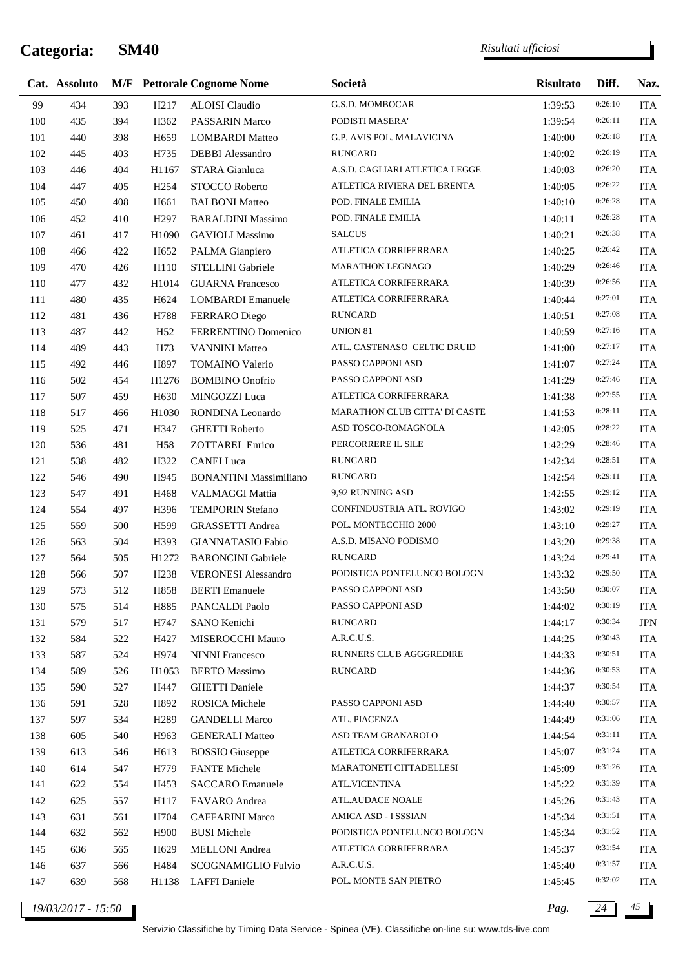l,

|     | Cat. Assoluto      |     |                  | <b>M/F</b> Pettorale Cognome Nome | Società                        | <b>Risultato</b> | Diff.   | Naz.       |
|-----|--------------------|-----|------------------|-----------------------------------|--------------------------------|------------------|---------|------------|
| 99  | 434                | 393 | H <sub>217</sub> | ALOISI Claudio                    | G.S.D. MOMBOCAR                | 1:39:53          | 0:26:10 | <b>ITA</b> |
| 100 | 435                | 394 | H362             | PASSARIN Marco                    | PODISTI MASERA'                | 1:39:54          | 0:26:11 | <b>ITA</b> |
| 101 | 440                | 398 | H <sub>659</sub> | <b>LOMBARDI</b> Matteo            | G.P. AVIS POL. MALAVICINA      | 1:40:00          | 0:26:18 | <b>ITA</b> |
| 102 | 445                | 403 | H735             | <b>DEBBI</b> Alessandro           | <b>RUNCARD</b>                 | 1:40:02          | 0:26:19 | <b>ITA</b> |
| 103 | 446                | 404 | H1167            | STARA Gianluca                    | A.S.D. CAGLIARI ATLETICA LEGGE | 1:40:03          | 0:26:20 | <b>ITA</b> |
| 104 | 447                | 405 | H <sub>254</sub> | STOCCO Roberto                    | ATLETICA RIVIERA DEL BRENTA    | 1:40:05          | 0:26:22 | <b>ITA</b> |
| 105 | 450                | 408 | H661             | <b>BALBONI</b> Matteo             | POD. FINALE EMILIA             | 1:40:10          | 0:26:28 | <b>ITA</b> |
| 106 | 452                | 410 | H <sub>297</sub> | <b>BARALDINI Massimo</b>          | POD. FINALE EMILIA             | 1:40:11          | 0:26:28 | <b>ITA</b> |
| 107 | 461                | 417 | H1090            | <b>GAVIOLI</b> Massimo            | <b>SALCUS</b>                  | 1:40:21          | 0:26:38 | <b>ITA</b> |
| 108 | 466                | 422 | H <sub>652</sub> | PALMA Gianpiero                   | ATLETICA CORRIFERRARA          | 1:40:25          | 0:26:42 | <b>ITA</b> |
| 109 | 470                | 426 | H110             | STELLINI Gabriele                 | MARATHON LEGNAGO               | 1:40:29          | 0:26:46 | <b>ITA</b> |
| 110 | 477                | 432 | H1014            | <b>GUARNA</b> Francesco           | ATLETICA CORRIFERRARA          | 1:40:39          | 0:26:56 | <b>ITA</b> |
| 111 | 480                | 435 | H <sub>624</sub> | <b>LOMBARDI</b> Emanuele          | ATLETICA CORRIFERRARA          | 1:40:44          | 0:27:01 | <b>ITA</b> |
| 112 | 481                | 436 | H788             | FERRARO Diego                     | <b>RUNCARD</b>                 | 1:40:51          | 0:27:08 | <b>ITA</b> |
| 113 | 487                | 442 | H <sub>52</sub>  | FERRENTINO Domenico               | UNION 81                       | 1:40:59          | 0:27:16 | <b>ITA</b> |
| 114 | 489                | 443 | H73              | <b>VANNINI Matteo</b>             | ATL. CASTENASO CELTIC DRUID    | 1:41:00          | 0:27:17 | <b>ITA</b> |
| 115 | 492                | 446 | H897             | <b>TOMAINO Valerio</b>            | PASSO CAPPONI ASD              | 1:41:07          | 0:27:24 | <b>ITA</b> |
| 116 | 502                | 454 | H1276            | <b>BOMBINO</b> Onofrio            | PASSO CAPPONI ASD              | 1:41:29          | 0:27:46 | <b>ITA</b> |
| 117 | 507                | 459 | H <sub>630</sub> | MINGOZZI Luca                     | ATLETICA CORRIFERRARA          | 1:41:38          | 0:27:55 | <b>ITA</b> |
| 118 | 517                | 466 | H1030            | RONDINA Leonardo                  | MARATHON CLUB CITTA' DI CASTE  | 1:41:53          | 0:28:11 | <b>ITA</b> |
| 119 | 525                | 471 | H347             | <b>GHETTI</b> Roberto             | ASD TOSCO-ROMAGNOLA            | 1:42:05          | 0:28:22 | <b>ITA</b> |
|     |                    | 481 |                  | ZOTTAREL Enrico                   | PERCORRERE IL SILE             | 1:42:29          | 0:28:46 | <b>ITA</b> |
| 120 | 536                |     | H <sub>58</sub>  |                                   | <b>RUNCARD</b>                 |                  | 0:28:51 |            |
| 121 | 538                | 482 | H322             | <b>CANEI</b> Luca                 |                                | 1:42:34          | 0:29:11 | <b>ITA</b> |
| 122 | 546                | 490 | H945             | <b>BONANTINI Massimiliano</b>     | <b>RUNCARD</b>                 | 1:42:54          | 0:29:12 | <b>ITA</b> |
| 123 | 547                | 491 | H468             | VALMAGGI Mattia                   | 9,92 RUNNING ASD               | 1:42:55          |         | <b>ITA</b> |
| 124 | 554                | 497 | H396             | <b>TEMPORIN Stefano</b>           | CONFINDUSTRIA ATL. ROVIGO      | 1:43:02          | 0:29:19 | <b>ITA</b> |
| 125 | 559                | 500 | H599             | <b>GRASSETTI</b> Andrea           | POL. MONTECCHIO 2000           | 1:43:10          | 0:29:27 | <b>ITA</b> |
| 126 | 563                | 504 | H393             | <b>GIANNATASIO Fabio</b>          | A.S.D. MISANO PODISMO          | 1:43:20          | 0:29:38 | <b>ITA</b> |
| 127 | 564                | 505 | H1272            | <b>BARONCINI</b> Gabriele         | <b>RUNCARD</b>                 | 1:43:24          | 0:29:41 | <b>ITA</b> |
| 128 | 566                | 507 | H <sub>238</sub> | <b>VERONESI Alessandro</b>        | PODISTICA PONTELUNGO BOLOGN    | 1:43:32          | 0:29:50 | <b>ITA</b> |
| 129 | 573                | 512 | H858             | <b>BERTI</b> Emanuele             | PASSO CAPPONI ASD              | 1:43:50          | 0:30:07 | <b>ITA</b> |
| 130 | 575                | 514 | H885             | PANCALDI Paolo                    | PASSO CAPPONI ASD              | 1:44:02          | 0:30:19 | ITA        |
| 131 | 579                | 517 | H747             | SANO Kenichi                      | <b>RUNCARD</b>                 | 1:44:17          | 0:30:34 | JPN        |
| 132 | 584                | 522 | H427             | MISEROCCHI Mauro                  | A.R.C.U.S.                     | 1:44:25          | 0:30:43 | <b>ITA</b> |
| 133 | 587                | 524 | H974             | <b>NINNI Francesco</b>            | RUNNERS CLUB AGGGREDIRE        | 1:44:33          | 0:30:51 | <b>ITA</b> |
| 134 | 589                | 526 | H1053            | <b>BERTO</b> Massimo              | <b>RUNCARD</b>                 | 1:44:36          | 0:30:53 | <b>ITA</b> |
| 135 | 590                | 527 | H447             | <b>GHETTI</b> Daniele             |                                | 1:44:37          | 0:30:54 | <b>ITA</b> |
| 136 | 591                | 528 | H892             | ROSICA Michele                    | PASSO CAPPONI ASD              | 1:44:40          | 0:30:57 | <b>ITA</b> |
| 137 | 597                | 534 | H <sub>289</sub> | <b>GANDELLI Marco</b>             | ATL. PIACENZA                  | 1:44:49          | 0:31:06 | <b>ITA</b> |
| 138 | 605                | 540 | H963             | <b>GENERALI Matteo</b>            | ASD TEAM GRANAROLO             | 1:44:54          | 0:31:11 | <b>ITA</b> |
| 139 | 613                | 546 | H613             | <b>BOSSIO</b> Giuseppe            | ATLETICA CORRIFERRARA          | 1:45:07          | 0:31:24 | <b>ITA</b> |
| 140 | 614                | 547 | H779             | <b>FANTE Michele</b>              | MARATONETI CITTADELLESI        | 1:45:09          | 0:31:26 | <b>ITA</b> |
| 141 | 622                | 554 | H453             | <b>SACCARO</b> Emanuele           | ATL.VICENTINA                  | 1:45:22          | 0:31:39 | <b>ITA</b> |
| 142 | 625                | 557 | H117             | FAVARO Andrea                     | <b>ATL.AUDACE NOALE</b>        | 1:45:26          | 0:31:43 | <b>ITA</b> |
| 143 | 631                | 561 | H704             | <b>CAFFARINI Marco</b>            | AMICA ASD - I SSSIAN           | 1:45:34          | 0:31:51 | <b>ITA</b> |
| 144 | 632                | 562 | H900             | <b>BUSI</b> Michele               | PODISTICA PONTELUNGO BOLOGN    | 1:45:34          | 0:31:52 | <b>ITA</b> |
| 145 | 636                | 565 | H <sub>629</sub> | <b>MELLONI</b> Andrea             | ATLETICA CORRIFERRARA          | 1:45:37          | 0:31:54 | <b>ITA</b> |
| 146 | 637                | 566 | H484             | SCOGNAMIGLIO Fulvio               | A.R.C.U.S.                     | 1:45:40          | 0:31:57 | ITA        |
| 147 | 639                | 568 | H1138            | <b>LAFFI</b> Daniele              | POL. MONTE SAN PIETRO          | 1:45:45          | 0:32:02 | <b>ITA</b> |
|     | 19/03/2017 - 15:50 |     |                  |                                   |                                | Pag.             | 24      | 45         |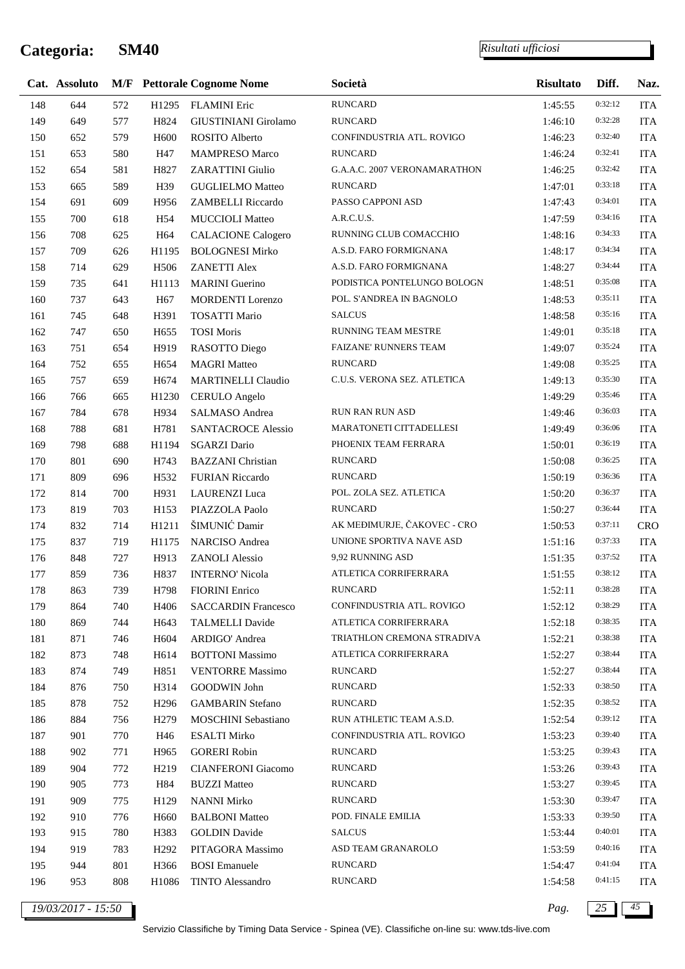*Risultati ufficiosi*

|     | Cat. Assoluto |     |                   | <b>M/F</b> Pettorale Cognome Nome | Società                      | <b>Risultato</b> | Diff.   | Naz.       |
|-----|---------------|-----|-------------------|-----------------------------------|------------------------------|------------------|---------|------------|
| 148 | 644           | 572 | H1295             | <b>FLAMINI</b> Eric               | <b>RUNCARD</b>               | 1:45:55          | 0:32:12 | <b>ITA</b> |
| 149 | 649           | 577 | H824              | GIUSTINIANI Girolamo              | <b>RUNCARD</b>               | 1:46:10          | 0:32:28 | <b>ITA</b> |
| 150 | 652           | 579 | H <sub>600</sub>  | ROSITO Alberto                    | CONFINDUSTRIA ATL. ROVIGO    | 1:46:23          | 0:32:40 | <b>ITA</b> |
| 151 | 653           | 580 | H47               | <b>MAMPRESO Marco</b>             | <b>RUNCARD</b>               | 1:46:24          | 0:32:41 | <b>ITA</b> |
| 152 | 654           | 581 | H827              | <b>ZARATTINI Giulio</b>           | G.A.A.C. 2007 VERONAMARATHON | 1:46:25          | 0:32:42 | <b>ITA</b> |
| 153 | 665           | 589 | H39               | <b>GUGLIELMO Matteo</b>           | <b>RUNCARD</b>               | 1:47:01          | 0:33:18 | <b>ITA</b> |
| 154 | 691           | 609 | H956              | ZAMBELLI Riccardo                 | PASSO CAPPONI ASD            | 1:47:43          | 0:34:01 | <b>ITA</b> |
| 155 | 700           | 618 | H54               | <b>MUCCIOLI Matteo</b>            | A.R.C.U.S.                   | 1:47:59          | 0:34:16 | <b>ITA</b> |
| 156 | 708           | 625 | H64               | <b>CALACIONE Calogero</b>         | RUNNING CLUB COMACCHIO       | 1:48:16          | 0:34:33 | <b>ITA</b> |
| 157 | 709           | 626 | H1195             | <b>BOLOGNESI Mirko</b>            | A.S.D. FARO FORMIGNANA       | 1:48:17          | 0:34:34 | <b>ITA</b> |
| 158 | 714           | 629 | H506              | <b>ZANETTI Alex</b>               | A.S.D. FARO FORMIGNANA       | 1:48:27          | 0:34:44 | <b>ITA</b> |
| 159 | 735           | 641 | H1113             | <b>MARINI</b> Guerino             | PODISTICA PONTELUNGO BOLOGN  | 1:48:51          | 0:35:08 | <b>ITA</b> |
| 160 | 737           | 643 | H <sub>67</sub>   | <b>MORDENTI</b> Lorenzo           | POL. S'ANDREA IN BAGNOLO     | 1:48:53          | 0:35:11 | <b>ITA</b> |
| 161 | 745           | 648 | H391              | <b>TOSATTI Mario</b>              | <b>SALCUS</b>                | 1:48:58          | 0:35:16 | <b>ITA</b> |
| 162 | 747           | 650 | H <sub>655</sub>  | <b>TOSI Moris</b>                 | RUNNING TEAM MESTRE          | 1:49:01          | 0:35:18 | <b>ITA</b> |
| 163 | 751           | 654 | H919              | RASOTTO Diego                     | FAIZANE' RUNNERS TEAM        | 1:49:07          | 0:35:24 | <b>ITA</b> |
| 164 | 752           | 655 | H <sub>654</sub>  | <b>MAGRI Matteo</b>               | <b>RUNCARD</b>               | 1:49:08          | 0:35:25 | <b>ITA</b> |
| 165 | 757           | 659 | H674              | <b>MARTINELLI Claudio</b>         | C.U.S. VERONA SEZ. ATLETICA  | 1:49:13          | 0:35:30 | <b>ITA</b> |
| 166 | 766           | 665 | H1230             | <b>CERULO</b> Angelo              |                              | 1:49:29          | 0:35:46 | <b>ITA</b> |
| 167 | 784           | 678 | H934              | SALMASO Andrea                    | RUN RAN RUN ASD              | 1:49:46          | 0:36:03 | <b>ITA</b> |
| 168 | 788           | 681 | H781              | <b>SANTACROCE Alessio</b>         | MARATONETI CITTADELLESI      | 1:49:49          | 0:36:06 | <b>ITA</b> |
| 169 | 798           | 688 | H1194             | <b>SGARZI</b> Dario               | PHOENIX TEAM FERRARA         | 1:50:01          | 0:36:19 | <b>ITA</b> |
| 170 | 801           | 690 | H743              | <b>BAZZANI</b> Christian          | <b>RUNCARD</b>               | 1:50:08          | 0:36:25 | <b>ITA</b> |
| 171 | 809           | 696 | H <sub>532</sub>  | <b>FURIAN Riccardo</b>            | <b>RUNCARD</b>               | 1:50:19          | 0:36:36 | <b>ITA</b> |
| 172 | 814           | 700 | H931              | <b>LAURENZI</b> Luca              | POL. ZOLA SEZ. ATLETICA      | 1:50:20          | 0:36:37 | <b>ITA</b> |
| 173 | 819           | 703 | H153              | PIAZZOLA Paolo                    | <b>RUNCARD</b>               | 1:50:27          | 0:36:44 | <b>ITA</b> |
| 174 | 832           | 714 | H1211             | ŠIMUNIĆ Damir                     | AK MEĐIMURJE, ČAKOVEC - CRO  | 1:50:53          | 0:37:11 | <b>CRO</b> |
| 175 | 837           | 719 | H1175             | NARCISO Andrea                    | UNIONE SPORTIVA NAVE ASD     | 1:51:16          | 0:37:33 | <b>ITA</b> |
| 176 | 848           | 727 | H913              | <b>ZANOLI</b> Alessio             | 9,92 RUNNING ASD             | 1:51:35          | 0:37:52 | <b>ITA</b> |
| 177 | 859           | 736 | H837              | <b>INTERNO' Nicola</b>            | ATLETICA CORRIFERRARA        | 1:51:55          | 0:38:12 | <b>ITA</b> |
| 178 | 863           | 739 | H798              | <b>FIORINI</b> Enrico             | RUNCARD                      | 1:52:11          | 0:38:28 | <b>ITA</b> |
| 179 | 864           | 740 | H406              | <b>SACCARDIN Francesco</b>        | CONFINDUSTRIA ATL. ROVIGO    | 1:52:12          | 0:38:29 | <b>ITA</b> |
| 180 | 869           | 744 | H643              | <b>TALMELLI Davide</b>            | ATLETICA CORRIFERRARA        | 1:52:18          | 0:38:35 | <b>ITA</b> |
| 181 | 871           | 746 | H <sub>604</sub>  | ARDIGO' Andrea                    | TRIATHLON CREMONA STRADIVA   | 1:52:21          | 0:38:38 | <b>ITA</b> |
| 182 | 873           | 748 | H <sub>6</sub> 14 | <b>BOTTONI</b> Massimo            | ATLETICA CORRIFERRARA        | 1:52:27          | 0:38:44 | <b>ITA</b> |
| 183 | 874           | 749 | H851              | <b>VENTORRE Massimo</b>           | <b>RUNCARD</b>               | 1:52:27          | 0:38:44 | <b>ITA</b> |
| 184 | 876           | 750 | H314              | GOODWIN John                      | <b>RUNCARD</b>               | 1:52:33          | 0:38:50 | <b>ITA</b> |
| 185 | 878           | 752 | H <sub>296</sub>  | <b>GAMBARIN</b> Stefano           | <b>RUNCARD</b>               | 1:52:35          | 0:38:52 | <b>ITA</b> |
| 186 | 884           | 756 | H <sub>279</sub>  | MOSCHINI Sebastiano               | RUN ATHLETIC TEAM A.S.D.     | 1:52:54          | 0:39:12 | <b>ITA</b> |
| 187 | 901           | 770 | H46               | <b>ESALTI Mirko</b>               | CONFINDUSTRIA ATL. ROVIGO    | 1:53:23          | 0:39:40 | <b>ITA</b> |
| 188 | 902           | 771 | H965              | <b>GORERI Robin</b>               | <b>RUNCARD</b>               | 1:53:25          | 0:39:43 | <b>ITA</b> |
| 189 | 904           | 772 | H <sub>219</sub>  | <b>CIANFERONI</b> Giacomo         | <b>RUNCARD</b>               | 1:53:26          | 0:39:43 | <b>ITA</b> |
| 190 | 905           | 773 | H84               | <b>BUZZI Matteo</b>               | <b>RUNCARD</b>               | 1:53:27          | 0:39:45 | <b>ITA</b> |
| 191 | 909           | 775 | H129              | <b>NANNI Mirko</b>                | <b>RUNCARD</b>               | 1:53:30          | 0:39:47 | <b>ITA</b> |
| 192 | 910           | 776 | H <sub>660</sub>  | <b>BALBONI</b> Matteo             | POD. FINALE EMILIA           | 1:53:33          | 0:39:50 | <b>ITA</b> |
| 193 | 915           | 780 | H383              | <b>GOLDIN</b> Davide              | <b>SALCUS</b>                | 1:53:44          | 0:40:01 | <b>ITA</b> |
| 194 | 919           | 783 | H <sub>292</sub>  | PITAGORA Massimo                  | ASD TEAM GRANAROLO           | 1:53:59          | 0:40:16 | <b>ITA</b> |
| 195 | 944           | 801 | H366              | <b>BOSI</b> Emanuele              | <b>RUNCARD</b>               | 1:54:47          | 0:41:04 | <b>ITA</b> |
| 196 | 953           | 808 | H1086             | <b>TINTO Alessandro</b>           | <b>RUNCARD</b>               | 1:54:58          | 0:41:15 | <b>ITA</b> |
|     |               |     |                   |                                   |                              |                  |         |            |

*19/03/2017 - 15:50 Pag. 25 45*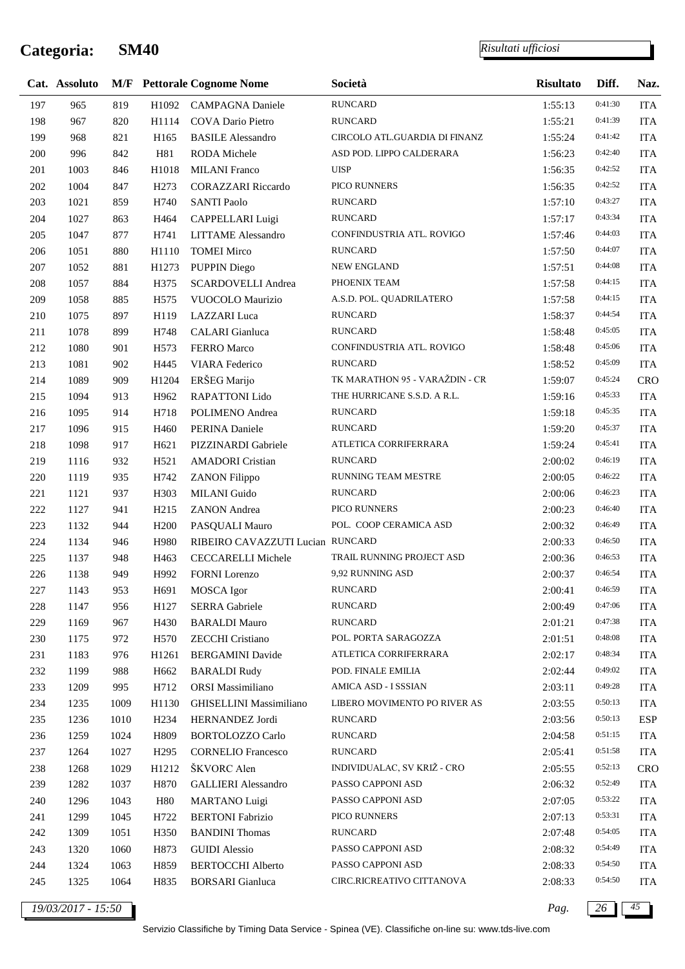j.

*Risultati ufficiosi*

|     | Cat. Assoluto |      |                  | <b>M/F</b> Pettorale Cognome Nome | Società                        | <b>Risultato</b> | Diff.   | Naz.       |
|-----|---------------|------|------------------|-----------------------------------|--------------------------------|------------------|---------|------------|
| 197 | 965           | 819  | H1092            | <b>CAMPAGNA Daniele</b>           | <b>RUNCARD</b>                 | 1:55:13          | 0:41:30 | <b>ITA</b> |
| 198 | 967           | 820  | H1114            | <b>COVA Dario Pietro</b>          | <b>RUNCARD</b>                 | 1:55:21          | 0:41:39 | <b>ITA</b> |
| 199 | 968           | 821  | H165             | <b>BASILE Alessandro</b>          | CIRCOLO ATL.GUARDIA DI FINANZ  | 1:55:24          | 0:41:42 | <b>ITA</b> |
| 200 | 996           | 842  | H81              | <b>RODA</b> Michele               | ASD POD. LIPPO CALDERARA       | 1:56:23          | 0:42:40 | <b>ITA</b> |
| 201 | 1003          | 846  | H1018            | <b>MILANI</b> Franco              | <b>UISP</b>                    | 1:56:35          | 0:42:52 | <b>ITA</b> |
| 202 | 1004          | 847  | H <sub>273</sub> | <b>CORAZZARI</b> Riccardo         | PICO RUNNERS                   | 1:56:35          | 0:42:52 | <b>ITA</b> |
| 203 | 1021          | 859  | H740             | <b>SANTI Paolo</b>                | <b>RUNCARD</b>                 | 1:57:10          | 0:43:27 | <b>ITA</b> |
| 204 | 1027          | 863  | H464             | CAPPELLARI Luigi                  | <b>RUNCARD</b>                 | 1:57:17          | 0:43:34 | <b>ITA</b> |
| 205 | 1047          | 877  | H741             | <b>LITTAME</b> Alessandro         | CONFINDUSTRIA ATL. ROVIGO      | 1:57:46          | 0:44:03 | <b>ITA</b> |
| 206 | 1051          | 880  | H1110            | <b>TOMEI Mirco</b>                | <b>RUNCARD</b>                 | 1:57:50          | 0:44:07 | <b>ITA</b> |
| 207 | 1052          | 881  | H1273            | PUPPIN Diego                      | <b>NEW ENGLAND</b>             | 1:57:51          | 0:44:08 | <b>ITA</b> |
| 208 | 1057          | 884  | H375             | <b>SCARDOVELLI Andrea</b>         | PHOENIX TEAM                   | 1:57:58          | 0:44:15 | <b>ITA</b> |
| 209 | 1058          | 885  | H <sub>575</sub> | VUOCOLO Maurizio                  | A.S.D. POL. QUADRILATERO       | 1:57:58          | 0:44:15 | <b>ITA</b> |
| 210 | 1075          | 897  | H119             | LAZZARI Luca                      | <b>RUNCARD</b>                 | 1:58:37          | 0:44:54 | <b>ITA</b> |
| 211 | 1078          | 899  | H748             | <b>CALARI</b> Gianluca            | <b>RUNCARD</b>                 | 1:58:48          | 0:45:05 | <b>ITA</b> |
| 212 | 1080          | 901  | H <sub>573</sub> | FERRO Marco                       | CONFINDUSTRIA ATL. ROVIGO      | 1:58:48          | 0:45:06 | <b>ITA</b> |
| 213 | 1081          | 902  | H445             | VIARA Federico                    | <b>RUNCARD</b>                 | 1:58:52          | 0:45:09 | <b>ITA</b> |
| 214 | 1089          | 909  | H1204            | ERŠEG Marijo                      | TK MARATHON 95 - VARAŽDIN - CR | 1:59:07          | 0:45:24 | <b>CRO</b> |
| 215 | 1094          | 913  | H962             | RAPATTONI Lido                    | THE HURRICANE S.S.D. A R.L.    | 1:59:16          | 0:45:33 | <b>ITA</b> |
| 216 | 1095          | 914  | H718             | POLIMENO Andrea                   | <b>RUNCARD</b>                 | 1:59:18          | 0:45:35 | <b>ITA</b> |
| 217 | 1096          | 915  | H460             | PERINA Daniele                    | <b>RUNCARD</b>                 | 1:59:20          | 0:45:37 | <b>ITA</b> |
| 218 | 1098          | 917  | H <sub>621</sub> | PIZZINARDI Gabriele               | ATLETICA CORRIFERRARA          | 1:59:24          | 0:45:41 | <b>ITA</b> |
| 219 | 1116          | 932  | H521             | <b>AMADORI</b> Cristian           | <b>RUNCARD</b>                 | 2:00:02          | 0:46:19 | <b>ITA</b> |
| 220 | 1119          | 935  | H742             | <b>ZANON Filippo</b>              | RUNNING TEAM MESTRE            | 2:00:05          | 0:46:22 | <b>ITA</b> |
| 221 | 1121          | 937  | H303             | MILANI Guido                      | <b>RUNCARD</b>                 | 2:00:06          | 0:46:23 | <b>ITA</b> |
| 222 | 1127          | 941  | H <sub>215</sub> | <b>ZANON</b> Andrea               | PICO RUNNERS                   | 2:00:23          | 0:46:40 | <b>ITA</b> |
| 223 | 1132          | 944  | H <sub>200</sub> | PASQUALI Mauro                    | POL. COOP CERAMICA ASD         | 2:00:32          | 0:46:49 | <b>ITA</b> |
| 224 | 1134          | 946  | H980             | RIBEIRO CAVAZZUTI Lucian RUNCARD  |                                | 2:00:33          | 0:46:50 | <b>ITA</b> |
| 225 | 1137          | 948  | H463             | <b>CECCARELLI Michele</b>         | TRAIL RUNNING PROJECT ASD      | 2:00:36          | 0:46:53 | <b>ITA</b> |
| 226 | 1138          | 949  | H992             | <b>FORNI</b> Lorenzo              | 9,92 RUNNING ASD               | 2:00:37          | 0:46:54 | <b>ITA</b> |
| 227 | 1143          | 953  | H691             | MOSCA Igor                        | <b>RUNCARD</b>                 | 2:00:41          | 0:46:59 | <b>ITA</b> |
| 228 | 1147          | 956  | H127             | <b>SERRA</b> Gabriele             | <b>RUNCARD</b>                 | 2:00:49          | 0:47:06 | <b>ITA</b> |
| 229 | 1169          | 967  | H430             | <b>BARALDI Mauro</b>              | <b>RUNCARD</b>                 | 2:01:21          | 0:47:38 | <b>ITA</b> |
| 230 | 1175          | 972  | H <sub>570</sub> | <b>ZECCHI</b> Cristiano           | POL. PORTA SARAGOZZA           | 2:01:51          | 0:48:08 | <b>ITA</b> |
| 231 | 1183          | 976  | H1261            | <b>BERGAMINI</b> Davide           | ATLETICA CORRIFERRARA          | 2:02:17          | 0:48:34 | <b>ITA</b> |
| 232 | 1199          | 988  | H <sub>662</sub> | <b>BARALDI Rudy</b>               | POD. FINALE EMILIA             | 2:02:44          | 0:49:02 | <b>ITA</b> |
| 233 | 1209          | 995  | H712             | ORSI Massimiliano                 | AMICA ASD - I SSSIAN           | 2:03:11          | 0:49:28 | <b>ITA</b> |
| 234 | 1235          | 1009 | H1130            | GHISELLINI Massimiliano           | LIBERO MOVIMENTO PO RIVER AS   | 2:03:55          | 0:50:13 | <b>ITA</b> |
| 235 | 1236          | 1010 | H <sub>234</sub> | HERNANDEZ Jordi                   | <b>RUNCARD</b>                 | 2:03:56          | 0:50:13 | <b>ESP</b> |
| 236 | 1259          | 1024 | H809             | <b>BORTOLOZZO Carlo</b>           | <b>RUNCARD</b>                 | 2:04:58          | 0:51:15 | <b>ITA</b> |
| 237 | 1264          | 1027 | H <sub>295</sub> | <b>CORNELIO</b> Francesco         | <b>RUNCARD</b>                 | 2:05:41          | 0:51:58 | <b>ITA</b> |
| 238 | 1268          | 1029 | H1212            | ŠKVORC Alen                       | INDIVIDUALAC, SV KRIŽ - CRO    | 2:05:55          | 0:52:13 | <b>CRO</b> |
| 239 | 1282          | 1037 | H870             | <b>GALLIERI</b> Alessandro        | PASSO CAPPONI ASD              | 2:06:32          | 0:52:49 | <b>ITA</b> |
| 240 | 1296          | 1043 | H80              | <b>MARTANO</b> Luigi              | PASSO CAPPONI ASD              | 2:07:05          | 0:53:22 | <b>ITA</b> |
| 241 | 1299          | 1045 | H722             | <b>BERTONI</b> Fabrizio           | PICO RUNNERS                   | 2:07:13          | 0:53:31 | <b>ITA</b> |
| 242 | 1309          | 1051 | H350             | <b>BANDINI</b> Thomas             | <b>RUNCARD</b>                 | 2:07:48          | 0:54:05 | <b>ITA</b> |
| 243 | 1320          | 1060 | H873             | <b>GUIDI</b> Alessio              | PASSO CAPPONI ASD              | 2:08:32          | 0:54:49 | <b>ITA</b> |
| 244 | 1324          | 1063 | H859             | <b>BERTOCCHI</b> Alberto          | PASSO CAPPONI ASD              | 2:08:33          | 0:54:50 | <b>ITA</b> |
| 245 | 1325          | 1064 | H835             | <b>BORSARI</b> Gianluca           | CIRC.RICREATIVO CITTANOVA      | 2:08:33          | 0:54:50 | <b>ITA</b> |

*19/03/2017 - 15:50 Pag. 26 45*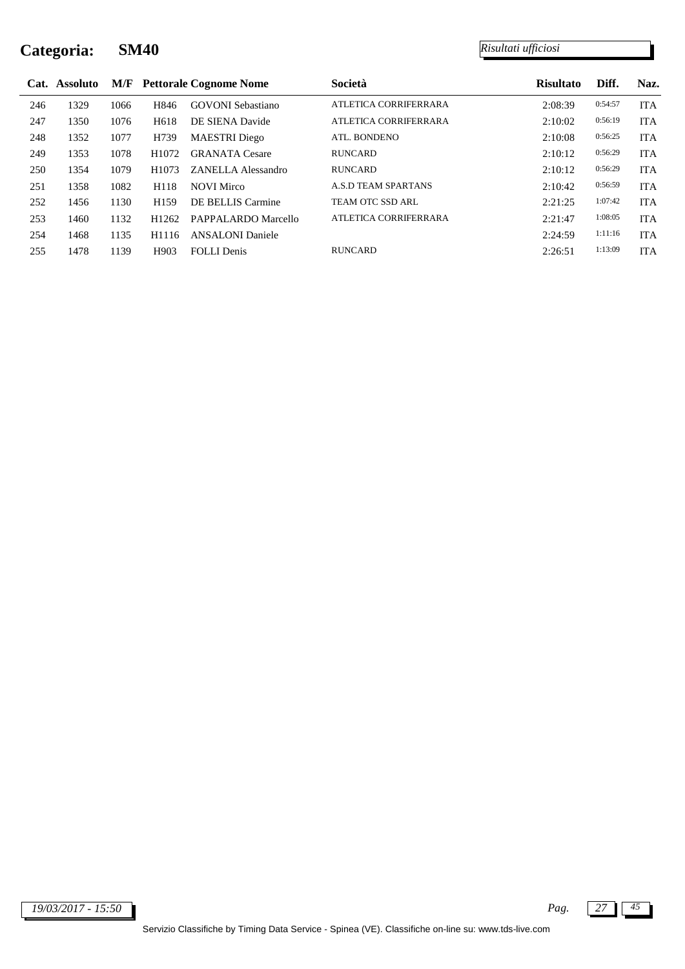|     | Cat. Assoluto |      |                   | <b>M/F</b> Pettorale Cognome Nome | Società                    | <b>Risultato</b> | Diff.   | Naz.       |
|-----|---------------|------|-------------------|-----------------------------------|----------------------------|------------------|---------|------------|
| 246 | 1329          | 1066 | H846              | <b>GOVONI</b> Sebastiano          | ATLETICA CORRIFERRARA      | 2:08:39          | 0:54:57 | <b>ITA</b> |
| 247 | 1350          | 1076 | H <sub>618</sub>  | DE SIENA Davide                   | ATLETICA CORRIFERRARA      | 2:10:02          | 0:56:19 | <b>ITA</b> |
| 248 | 1352          | 1077 | H739              | <b>MAESTRI</b> Diego              | ATL. BONDENO               | 2:10:08          | 0:56:25 | <b>ITA</b> |
| 249 | 1353          | 1078 | H1072             | <b>GRANATA</b> Cesare             | <b>RUNCARD</b>             | 2:10:12          | 0:56:29 | <b>ITA</b> |
| 250 | 1354          | 1079 | H <sub>1073</sub> | <b>ZANELLA Alessandro</b>         | <b>RUNCARD</b>             | 2:10:12          | 0:56:29 | <b>ITA</b> |
| 251 | 1358          | 1082 | H118              | <b>NOVI Mirco</b>                 | <b>A.S.D TEAM SPARTANS</b> | 2:10:42          | 0:56:59 | <b>ITA</b> |
| 252 | 1456          | 1130 | H <sub>159</sub>  | DE BELLIS Carmine                 | TEAM OTC SSD ARL           | 2:21:25          | 1:07:42 | <b>ITA</b> |
| 253 | 1460          | 1132 | H <sub>1262</sub> | PAPPALARDO Marcello               | ATLETICA CORRIFERRARA      | 2:21:47          | 1:08:05 | <b>ITA</b> |
| 254 | 1468          | 1135 | H <sub>1116</sub> | <b>ANSALONI</b> Daniele           |                            | 2:24:59          | 1:11:16 | <b>ITA</b> |
| 255 | 1478          | 1139 | H903              | <b>FOLLI</b> Denis                | <b>RUNCARD</b>             | 2:26:51          | 1:13:09 | <b>ITA</b> |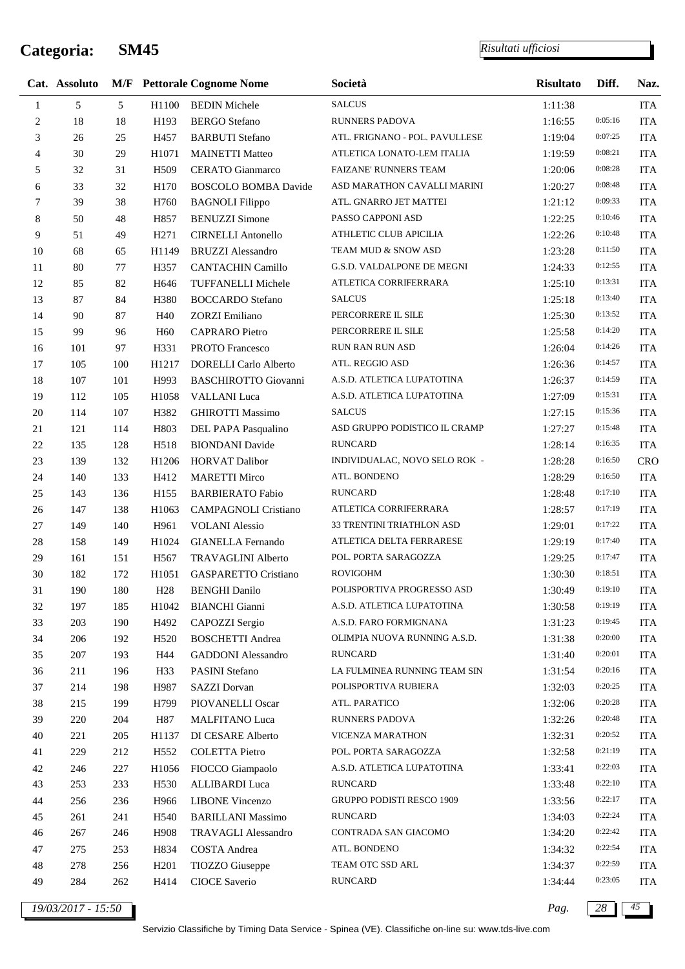*Risultati ufficiosi*

|                | Cat. Assoluto |     |                   | <b>M/F</b> Pettorale Cognome Nome | Società                          | <b>Risultato</b> | Diff.   | Naz.       |
|----------------|---------------|-----|-------------------|-----------------------------------|----------------------------------|------------------|---------|------------|
| 1              | 5             | 5   | H1100             | <b>BEDIN Michele</b>              | <b>SALCUS</b>                    | 1:11:38          |         | <b>ITA</b> |
| $\overline{c}$ | 18            | 18  | H193              | <b>BERGO</b> Stefano              | <b>RUNNERS PADOVA</b>            | 1:16:55          | 0:05:16 | <b>ITA</b> |
| 3              | 26            | 25  | H457              | <b>BARBUTI</b> Stefano            | ATL. FRIGNANO - POL. PAVULLESE   | 1:19:04          | 0:07:25 | <b>ITA</b> |
| $\overline{4}$ | 30            | 29  | H1071             | <b>MAINETTI Matteo</b>            | ATLETICA LONATO-LEM ITALIA       | 1:19:59          | 0:08:21 | <b>ITA</b> |
| 5              | 32            | 31  | H509              | <b>CERATO</b> Gianmarco           | <b>FAIZANE' RUNNERS TEAM</b>     | 1:20:06          | 0:08:28 | <b>ITA</b> |
| 6              | 33            | 32  | H170              | <b>BOSCOLO BOMBA Davide</b>       | ASD MARATHON CAVALLI MARINI      | 1:20:27          | 0:08:48 | <b>ITA</b> |
| 7              | 39            | 38  | H760              | <b>BAGNOLI Filippo</b>            | ATL. GNARRO JET MATTEI           | 1:21:12          | 0:09:33 | <b>ITA</b> |
| 8              | 50            | 48  | H857              | <b>BENUZZI</b> Simone             | PASSO CAPPONI ASD                | 1:22:25          | 0:10:46 | <b>ITA</b> |
| 9              | 51            | 49  | H <sub>271</sub>  | <b>CIRNELLI Antonello</b>         | ATHLETIC CLUB APICILIA           | 1:22:26          | 0:10:48 | <b>ITA</b> |
| $10\,$         | 68            | 65  | H1149             | <b>BRUZZI</b> Alessandro          | TEAM MUD & SNOW ASD              | 1:23:28          | 0:11:50 | <b>ITA</b> |
| 11             | 80            | 77  | H357              | <b>CANTACHIN Camillo</b>          | G.S.D. VALDALPONE DE MEGNI       | 1:24:33          | 0:12:55 | <b>ITA</b> |
| 12             | 85            | 82  | H646              | TUFFANELLI Michele                | ATLETICA CORRIFERRARA            | 1:25:10          | 0:13:31 | <b>ITA</b> |
| 13             | $87\,$        | 84  | H380              | <b>BOCCARDO</b> Stefano           | <b>SALCUS</b>                    | 1:25:18          | 0:13:40 | <b>ITA</b> |
| 14             | 90            | 87  | H40               | <b>ZORZI</b> Emiliano             | PERCORRERE IL SILE               | 1:25:30          | 0:13:52 | <b>ITA</b> |
| 15             | 99            | 96  | H <sub>60</sub>   | <b>CAPRARO</b> Pietro             | PERCORRERE IL SILE               | 1:25:58          | 0:14:20 | <b>ITA</b> |
| 16             | 101           | 97  | H331              | PROTO Francesco                   | RUN RAN RUN ASD                  | 1:26:04          | 0:14:26 | <b>ITA</b> |
| 17             | 105           | 100 | H1217             | <b>DORELLI</b> Carlo Alberto      | ATL. REGGIO ASD                  | 1:26:36          | 0:14:57 | <b>ITA</b> |
| $18\,$         | 107           | 101 | H993              | <b>BASCHIROTTO Giovanni</b>       | A.S.D. ATLETICA LUPATOTINA       | 1:26:37          | 0:14:59 | <b>ITA</b> |
| 19             | 112           | 105 | H1058             | <b>VALLANI</b> Luca               | A.S.D. ATLETICA LUPATOTINA       | 1:27:09          | 0:15:31 | <b>ITA</b> |
| 20             | 114           | 107 | H382              | <b>GHIROTTI Massimo</b>           | <b>SALCUS</b>                    | 1:27:15          | 0:15:36 | <b>ITA</b> |
| $21\,$         | 121           | 114 | H803              | DEL PAPA Pasqualino               | ASD GRUPPO PODISTICO IL CRAMP    | 1:27:27          | 0:15:48 | <b>ITA</b> |
| $22\,$         | 135           | 128 | H518              | <b>BIONDANI</b> Davide            | <b>RUNCARD</b>                   | 1:28:14          | 0:16:35 | <b>ITA</b> |
| 23             | 139           | 132 | H1206             | <b>HORVAT Dalibor</b>             | INDIVIDUALAC, NOVO SELO ROK -    | 1:28:28          | 0:16:50 | <b>CRO</b> |
| 24             | 140           | 133 | H412              | <b>MARETTI Mirco</b>              | ATL. BONDENO                     | 1:28:29          | 0:16:50 | <b>ITA</b> |
| 25             | 143           | 136 | H155              | <b>BARBIERATO Fabio</b>           | <b>RUNCARD</b>                   | 1:28:48          | 0:17:10 | <b>ITA</b> |
| 26             | 147           | 138 | H1063             | CAMPAGNOLI Cristiano              | ATLETICA CORRIFERRARA            | 1:28:57          | 0:17:19 | <b>ITA</b> |
| 27             | 149           | 140 | H961              | <b>VOLANI</b> Alessio             | 33 TRENTINI TRIATHLON ASD        | 1:29:01          | 0:17:22 | <b>ITA</b> |
| $28\,$         | 158           | 149 | H1024             | <b>GIANELLA Fernando</b>          | ATLETICA DELTA FERRARESE         | 1:29:19          | 0:17:40 | <b>ITA</b> |
| 29             | 161           | 151 | H <sub>567</sub>  | TRAVAGLINI Alberto                | POL. PORTA SARAGOZZA             | 1:29:25          | 0:17:47 | <b>ITA</b> |
| 30             | 182           | 172 | H <sub>1051</sub> | <b>GASPARETTO Cristiano</b>       | <b>ROVIGOHM</b>                  | 1:30:30          | 0:18:51 | <b>ITA</b> |
| 31             | 190           | 180 | H <sub>28</sub>   | <b>BENGHI</b> Danilo              | POLISPORTIVA PROGRESSO ASD       | 1:30:49          | 0:19:10 | ITA        |
| 32             | 197           | 185 | H1042             | <b>BIANCHI</b> Gianni             | A.S.D. ATLETICA LUPATOTINA       | 1:30:58          | 0:19:19 | <b>ITA</b> |
| 33             | 203           | 190 | H492              | CAPOZZI Sergio                    | A.S.D. FARO FORMIGNANA           | 1:31:23          | 0:19:45 | <b>ITA</b> |
| 34             | 206           | 192 | H <sub>520</sub>  | <b>BOSCHETTI Andrea</b>           | OLIMPIA NUOVA RUNNING A.S.D.     | 1:31:38          | 0:20:00 | <b>ITA</b> |
| 35             | 207           | 193 | H44               | <b>GADDONI</b> Alessandro         | <b>RUNCARD</b>                   | 1:31:40          | 0:20:01 | <b>ITA</b> |
| 36             | 211           | 196 | H33               | PASINI Stefano                    | LA FULMINEA RUNNING TEAM SIN     | 1:31:54          | 0:20:16 | <b>ITA</b> |
| 37             | 214           | 198 | H987              | <b>SAZZI</b> Dorvan               | POLISPORTIVA RUBIERA             | 1:32:03          | 0:20:25 | <b>ITA</b> |
| 38             | 215           | 199 | H799              | PIOVANELLI Oscar                  | ATL. PARATICO                    | 1:32:06          | 0:20:28 | <b>ITA</b> |
| 39             | 220           | 204 | H87               | <b>MALFITANO Luca</b>             | <b>RUNNERS PADOVA</b>            | 1:32:26          | 0:20:48 | <b>ITA</b> |
| 40             | 221           | 205 | H1137             | DI CESARE Alberto                 | VICENZA MARATHON                 | 1:32:31          | 0:20:52 | <b>ITA</b> |
| 41             | 229           | 212 | H <sub>552</sub>  | <b>COLETTA Pietro</b>             | POL. PORTA SARAGOZZA             | 1:32:58          | 0:21:19 | <b>ITA</b> |
| 42             | 246           | 227 | H1056             | FIOCCO Giampaolo                  | A.S.D. ATLETICA LUPATOTINA       | 1:33:41          | 0:22:03 | <b>ITA</b> |
| 43             | 253           | 233 | H <sub>530</sub>  | ALLIBARDI Luca                    | <b>RUNCARD</b>                   | 1:33:48          | 0:22:10 | <b>ITA</b> |
| 44             | 256           | 236 | H966              | <b>LIBONE Vincenzo</b>            | <b>GRUPPO PODISTI RESCO 1909</b> | 1:33:56          | 0:22:17 | <b>ITA</b> |
| 45             | 261           | 241 | H540              | <b>BARILLANI Massimo</b>          | <b>RUNCARD</b>                   | 1:34:03          | 0:22:24 | <b>ITA</b> |
| 46             | 267           | 246 | H908              | TRAVAGLI Alessandro               | CONTRADA SAN GIACOMO             | 1:34:20          | 0:22:42 | <b>ITA</b> |
| 47             | 275           | 253 | H834              | COSTA Andrea                      | ATL. BONDENO                     | 1:34:32          | 0:22:54 | <b>ITA</b> |
| $\sqrt{48}$    | 278           | 256 | H <sub>201</sub>  | TIOZZO Giuseppe                   | TEAM OTC SSD ARL                 | 1:34:37          | 0:22:59 | <b>ITA</b> |
| 49             | 284           | 262 | H414              | CIOCE Saverio                     | <b>RUNCARD</b>                   | 1:34:44          | 0:23:05 | <b>ITA</b> |
|                |               |     |                   |                                   |                                  |                  |         |            |

*19/03/2017 - 15:50 Pag. 28 45*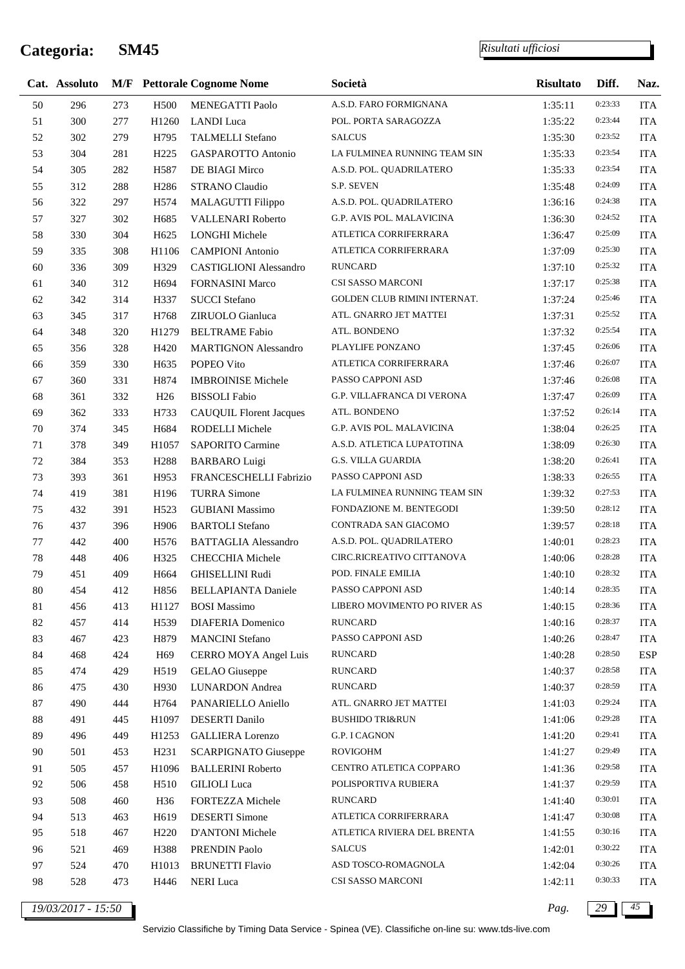l,

|        | Cat. Assoluto      |     |                   | <b>M/F</b> Pettorale Cognome Nome | Società                           | <b>Risultato</b> | Diff.   | Naz.       |
|--------|--------------------|-----|-------------------|-----------------------------------|-----------------------------------|------------------|---------|------------|
| 50     | 296                | 273 | H500              | MENEGATTI Paolo                   | A.S.D. FARO FORMIGNANA            | 1:35:11          | 0:23:33 | <b>ITA</b> |
| 51     | 300                | 277 | H1260             | <b>LANDI</b> Luca                 | POL. PORTA SARAGOZZA              | 1:35:22          | 0:23:44 | <b>ITA</b> |
| 52     | 302                | 279 | H795              | <b>TALMELLI Stefano</b>           | <b>SALCUS</b>                     | 1:35:30          | 0:23:52 | <b>ITA</b> |
| 53     | 304                | 281 | H <sub>225</sub>  | GASPAROTTO Antonio                | LA FULMINEA RUNNING TEAM SIN      | 1:35:33          | 0:23:54 | <b>ITA</b> |
| 54     | 305                | 282 | H <sub>587</sub>  | DE BIAGI Mirco                    | A.S.D. POL. QUADRILATERO          | 1:35:33          | 0:23:54 | <b>ITA</b> |
| 55     | 312                | 288 | H <sub>2</sub> 86 | <b>STRANO Claudio</b>             | S.P. SEVEN                        | 1:35:48          | 0:24:09 | <b>ITA</b> |
| 56     | 322                | 297 | H <sub>574</sub>  | MALAGUTTI Filippo                 | A.S.D. POL. QUADRILATERO          | 1:36:16          | 0:24:38 | <b>ITA</b> |
| 57     | 327                | 302 | H685              | VALLENARI Roberto                 | G.P. AVIS POL. MALAVICINA         | 1:36:30          | 0:24:52 | <b>ITA</b> |
| 58     | 330                | 304 | H <sub>625</sub>  | <b>LONGHI Michele</b>             | ATLETICA CORRIFERRARA             | 1:36:47          | 0:25:09 | <b>ITA</b> |
| 59     | 335                | 308 | H1106             | <b>CAMPIONI</b> Antonio           | ATLETICA CORRIFERRARA             | 1:37:09          | 0:25:30 | <b>ITA</b> |
| 60     | 336                | 309 | H329              | <b>CASTIGLIONI</b> Alessandro     | <b>RUNCARD</b>                    | 1:37:10          | 0:25:32 | <b>ITA</b> |
| 61     | 340                | 312 | H694              | <b>FORNASINI Marco</b>            | CSI SASSO MARCONI                 | 1:37:17          | 0:25:38 | <b>ITA</b> |
| 62     | 342                | 314 | H337              | <b>SUCCI</b> Stefano              | GOLDEN CLUB RIMINI INTERNAT.      | 1:37:24          | 0:25:46 | <b>ITA</b> |
| 63     | 345                | 317 | H768              | ZIRUOLO Gianluca                  | ATL. GNARRO JET MATTEI            | 1:37:31          | 0:25:52 | <b>ITA</b> |
| 64     | 348                | 320 | H1279             | <b>BELTRAME</b> Fabio             | ATL. BONDENO                      | 1:37:32          | 0:25:54 | <b>ITA</b> |
| 65     | 356                | 328 | H420              | <b>MARTIGNON Alessandro</b>       | PLAYLIFE PONZANO                  | 1:37:45          | 0:26:06 | <b>ITA</b> |
| 66     | 359                | 330 | H635              | POPEO Vito                        | ATLETICA CORRIFERRARA             | 1:37:46          | 0:26:07 | <b>ITA</b> |
| 67     | 360                | 331 | H874              | <b>IMBROINISE Michele</b>         | PASSO CAPPONI ASD                 | 1:37:46          | 0:26:08 | <b>ITA</b> |
| 68     | 361                | 332 | H <sub>26</sub>   | <b>BISSOLI</b> Fabio              | <b>G.P. VILLAFRANCA DI VERONA</b> | 1:37:47          | 0:26:09 | <b>ITA</b> |
| 69     | 362                | 333 | H733              | <b>CAUQUIL Florent Jacques</b>    | ATL. BONDENO                      | 1:37:52          | 0:26:14 | <b>ITA</b> |
| 70     | 374                | 345 | H684              | RODELLI Michele                   | G.P. AVIS POL. MALAVICINA         | 1:38:04          | 0:26:25 | <b>ITA</b> |
| 71     | 378                | 349 | H1057             | SAPORITO Carmine                  | A.S.D. ATLETICA LUPATOTINA        | 1:38:09          | 0:26:30 | <b>ITA</b> |
| $72\,$ | 384                | 353 | H <sub>2</sub> 88 | <b>BARBARO Luigi</b>              | <b>G.S. VILLA GUARDIA</b>         | 1:38:20          | 0:26:41 | <b>ITA</b> |
| 73     | 393                | 361 | H953              | FRANCESCHELLI Fabrizio            | PASSO CAPPONI ASD                 | 1:38:33          | 0:26:55 | <b>ITA</b> |
| 74     | 419                | 381 | H196              | <b>TURRA Simone</b>               | LA FULMINEA RUNNING TEAM SIN      | 1:39:32          | 0:27:53 | <b>ITA</b> |
| 75     | 432                | 391 | H <sub>523</sub>  | <b>GUBIANI</b> Massimo            | FONDAZIONE M. BENTEGODI           | 1:39:50          | 0:28:12 | <b>ITA</b> |
| 76     | 437                | 396 | H906              | <b>BARTOLI</b> Stefano            | CONTRADA SAN GIACOMO              | 1:39:57          | 0:28:18 | <b>ITA</b> |
| 77     | 442                | 400 | H <sub>576</sub>  | <b>BATTAGLIA Alessandro</b>       | A.S.D. POL. QUADRILATERO          | 1:40:01          | 0:28:23 | <b>ITA</b> |
| $78\,$ | 448                | 406 | H325              | CHECCHIA Michele                  | CIRC.RICREATIVO CITTANOVA         | 1:40:06          | 0:28:28 | <b>ITA</b> |
| 79     | 451                | 409 | H664              | <b>GHISELLINI Rudi</b>            | POD. FINALE EMILIA                | 1:40:10          | 0:28:32 | <b>ITA</b> |
| $80\,$ | 454                | 412 | H856              | <b>BELLAPIANTA Daniele</b>        | PASSO CAPPONI ASD                 | 1:40:14          | 0:28:35 | <b>ITA</b> |
| 81     | 456                | 413 | H1127             | <b>BOSI</b> Massimo               | LIBERO MOVIMENTO PO RIVER AS      | 1:40:15          | 0:28:36 | <b>ITA</b> |
| 82     | 457                | 414 | H <sub>539</sub>  | <b>DIAFERIA</b> Domenico          | <b>RUNCARD</b>                    | 1:40:16          | 0:28:37 | <b>ITA</b> |
| 83     | 467                | 423 | H879              | <b>MANCINI</b> Stefano            | PASSO CAPPONI ASD                 | 1:40:26          | 0:28:47 | <b>ITA</b> |
| 84     | 468                | 424 | H69               | CERRO MOYA Angel Luis             | <b>RUNCARD</b>                    | 1:40:28          | 0:28:50 | <b>ESP</b> |
| 85     | 474                | 429 | H <sub>519</sub>  | GELAO Giuseppe                    | <b>RUNCARD</b>                    | 1:40:37          | 0:28:58 | <b>ITA</b> |
| 86     | 475                | 430 | H930              | <b>LUNARDON</b> Andrea            | <b>RUNCARD</b>                    | 1:40:37          | 0:28:59 | <b>ITA</b> |
| $87\,$ | 490                | 444 | H764              | PANARIELLO Aniello                | ATL. GNARRO JET MATTEI            | 1:41:03          | 0:29:24 | <b>ITA</b> |
| $88\,$ | 491                | 445 | H1097             | DESERTI Danilo                    | <b>BUSHIDO TRI&amp;RUN</b>        | 1:41:06          | 0:29:28 | <b>ITA</b> |
| 89     | 496                | 449 | H <sub>1253</sub> | <b>GALLIERA</b> Lorenzo           | G.P. I CAGNON                     | 1:41:20          | 0:29:41 | <b>ITA</b> |
| 90     | 501                | 453 | H <sub>231</sub>  | <b>SCARPIGNATO Giuseppe</b>       | <b>ROVIGOHM</b>                   | 1:41:27          | 0:29:49 | <b>ITA</b> |
| 91     | 505                | 457 | H1096             | <b>BALLERINI Roberto</b>          | CENTRO ATLETICA COPPARO           | 1:41:36          | 0:29:58 | <b>ITA</b> |
| 92     | 506                | 458 | H510              | <b>GILIOLI</b> Luca               | POLISPORTIVA RUBIERA              | 1:41:37          | 0:29:59 | <b>ITA</b> |
| 93     | 508                | 460 | H36               | FORTEZZA Michele                  | <b>RUNCARD</b>                    | 1:41:40          | 0:30:01 | <b>ITA</b> |
| 94     | 513                | 463 | H <sub>619</sub>  | <b>DESERTI</b> Simone             | ATLETICA CORRIFERRARA             | 1:41:47          | 0:30:08 | <b>ITA</b> |
| 95     | 518                | 467 | H <sub>220</sub>  | D'ANTONI Michele                  | ATLETICA RIVIERA DEL BRENTA       | 1:41:55          | 0:30:16 | <b>ITA</b> |
| 96     | 521                | 469 | H388              | PRENDIN Paolo                     | <b>SALCUS</b>                     | 1:42:01          | 0:30:22 | <b>ITA</b> |
| 97     | 524                | 470 | H1013             | <b>BRUNETTI Flavio</b>            | ASD TOSCO-ROMAGNOLA               | 1:42:04          | 0:30:26 | <b>ITA</b> |
| 98     | 528                | 473 | H446              | <b>NERI</b> Luca                  | CSI SASSO MARCONI                 | 1:42:11          | 0:30:33 | <b>ITA</b> |
|        | 19/03/2017 - 15:50 |     |                   |                                   |                                   | Pag.             | 29      | 45         |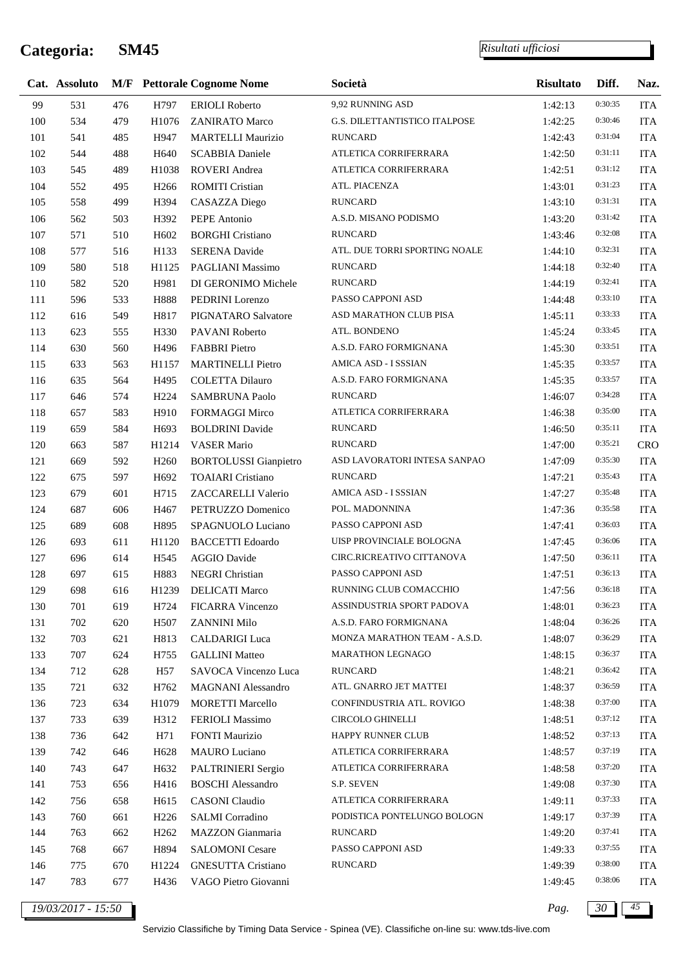j.

*Risultati ufficiosi*

|     | Cat. Assoluto |     |                   | <b>M/F</b> Pettorale Cognome Nome | Società                       | <b>Risultato</b> | Diff.   | Naz.       |
|-----|---------------|-----|-------------------|-----------------------------------|-------------------------------|------------------|---------|------------|
| 99  | 531           | 476 | H797              | <b>ERIOLI</b> Roberto             | 9,92 RUNNING ASD              | 1:42:13          | 0:30:35 | <b>ITA</b> |
| 100 | 534           | 479 | H1076             | <b>ZANIRATO Marco</b>             | G.S. DILETTANTISTICO ITALPOSE | 1:42:25          | 0:30:46 | <b>ITA</b> |
| 101 | 541           | 485 | H947              | <b>MARTELLI Maurizio</b>          | <b>RUNCARD</b>                | 1:42:43          | 0:31:04 | <b>ITA</b> |
| 102 | 544           | 488 | H640              | <b>SCABBIA Daniele</b>            | ATLETICA CORRIFERRARA         | 1:42:50          | 0:31:11 | <b>ITA</b> |
| 103 | 545           | 489 | H1038             | <b>ROVERI</b> Andrea              | ATLETICA CORRIFERRARA         | 1:42:51          | 0:31:12 | <b>ITA</b> |
| 104 | 552           | 495 | H <sub>266</sub>  | <b>ROMITI Cristian</b>            | ATL. PIACENZA                 | 1:43:01          | 0:31:23 | <b>ITA</b> |
| 105 | 558           | 499 | H394              | CASAZZA Diego                     | <b>RUNCARD</b>                | 1:43:10          | 0:31:31 | <b>ITA</b> |
| 106 | 562           | 503 | H392              | PEPE Antonio                      | A.S.D. MISANO PODISMO         | 1:43:20          | 0:31:42 | <b>ITA</b> |
| 107 | 571           | 510 | H <sub>6</sub> 02 | <b>BORGHI Cristiano</b>           | <b>RUNCARD</b>                | 1:43:46          | 0:32:08 | <b>ITA</b> |
| 108 | 577           | 516 | H133              | <b>SERENA Davide</b>              | ATL. DUE TORRI SPORTING NOALE | 1:44:10          | 0:32:31 | <b>ITA</b> |
| 109 | 580           | 518 | H1125             | PAGLIANI Massimo                  | <b>RUNCARD</b>                | 1:44:18          | 0:32:40 | <b>ITA</b> |
| 110 | 582           | 520 | H981              | DI GERONIMO Michele               | <b>RUNCARD</b>                | 1:44:19          | 0:32:41 | <b>ITA</b> |
| 111 | 596           | 533 | H888              | PEDRINI Lorenzo                   | PASSO CAPPONI ASD             | 1:44:48          | 0:33:10 | <b>ITA</b> |
| 112 | 616           | 549 | H817              | PIGNATARO Salvatore               | ASD MARATHON CLUB PISA        | 1:45:11          | 0:33:33 | <b>ITA</b> |
| 113 | 623           | 555 | H330              | PAVANI Roberto                    | ATL. BONDENO                  | 1:45:24          | 0:33:45 | <b>ITA</b> |
| 114 | 630           | 560 | H496              | <b>FABBRI</b> Pietro              | A.S.D. FARO FORMIGNANA        | 1:45:30          | 0:33:51 | <b>ITA</b> |
| 115 | 633           | 563 | H1157             | <b>MARTINELLI Pietro</b>          | AMICA ASD - I SSSIAN          | 1:45:35          | 0:33:57 | <b>ITA</b> |
| 116 | 635           | 564 | H495              | <b>COLETTA Dilauro</b>            | A.S.D. FARO FORMIGNANA        | 1:45:35          | 0:33:57 | <b>ITA</b> |
| 117 | 646           | 574 | H <sub>224</sub>  | <b>SAMBRUNA Paolo</b>             | <b>RUNCARD</b>                | 1:46:07          | 0:34:28 | <b>ITA</b> |
| 118 | 657           | 583 | H910              | FORMAGGI Mirco                    | ATLETICA CORRIFERRARA         | 1:46:38          | 0:35:00 | <b>ITA</b> |
| 119 | 659           | 584 | H693              | <b>BOLDRINI</b> Davide            | <b>RUNCARD</b>                | 1:46:50          | 0:35:11 | <b>ITA</b> |
| 120 | 663           | 587 | H1214             | <b>VASER Mario</b>                | <b>RUNCARD</b>                | 1:47:00          | 0:35:21 | <b>CRO</b> |
| 121 | 669           | 592 | H <sub>260</sub>  | <b>BORTOLUSSI</b> Gianpietro      | ASD LAVORATORI INTESA SANPAO  | 1:47:09          | 0:35:30 | <b>ITA</b> |
| 122 | 675           | 597 | H <sub>692</sub>  | <b>TOAIARI</b> Cristiano          | <b>RUNCARD</b>                | 1:47:21          | 0:35:43 | <b>ITA</b> |
| 123 | 679           | 601 | H715              | ZACCARELLI Valerio                | AMICA ASD - I SSSIAN          | 1:47:27          | 0:35:48 | <b>ITA</b> |
| 124 | 687           | 606 | H467              | PETRUZZO Domenico                 | POL. MADONNINA                | 1:47:36          | 0:35:58 | <b>ITA</b> |
| 125 | 689           | 608 | H895              | SPAGNUOLO Luciano                 | PASSO CAPPONI ASD             | 1:47:41          | 0:36:03 | <b>ITA</b> |
| 126 | 693           | 611 | H1120             | <b>BACCETTI</b> Edoardo           | UISP PROVINCIALE BOLOGNA      | 1:47:45          | 0:36:06 | <b>ITA</b> |
| 127 | 696           | 614 | H545              | <b>AGGIO Davide</b>               | CIRC.RICREATIVO CITTANOVA     | 1:47:50          | 0:36:11 | <b>ITA</b> |
| 128 | 697           | 615 | H883              | NEGRI Christian                   | PASSO CAPPONI ASD             | 1:47:51          | 0:36:13 | <b>ITA</b> |
| 129 | 698           | 616 | H1239             | DELICATI Marco                    | RUNNING CLUB COMACCHIO        | 1:47:56          | 0:36:18 | <b>ITA</b> |
| 130 | 701           | 619 | H724              | <b>FICARRA Vincenzo</b>           | ASSINDUSTRIA SPORT PADOVA     | 1:48:01          | 0:36:23 | <b>ITA</b> |
| 131 | 702           | 620 | H <sub>507</sub>  | ZANNINI Milo                      | A.S.D. FARO FORMIGNANA        | 1:48:04          | 0:36:26 | <b>ITA</b> |
| 132 | 703           | 621 | H813              | <b>CALDARIGI Luca</b>             | MONZA MARATHON TEAM - A.S.D.  | 1:48:07          | 0:36:29 | <b>ITA</b> |
| 133 | 707           | 624 | H755              | <b>GALLINI</b> Matteo             | MARATHON LEGNAGO              | 1:48:15          | 0:36:37 | <b>ITA</b> |
| 134 | 712           | 628 | H <sub>57</sub>   | SAVOCA Vincenzo Luca              | <b>RUNCARD</b>                | 1:48:21          | 0:36:42 | <b>ITA</b> |
| 135 | 721           | 632 | H762              | <b>MAGNANI</b> Alessandro         | ATL. GNARRO JET MATTEI        | 1:48:37          | 0:36:59 | <b>ITA</b> |
| 136 | 723           | 634 | H1079             | <b>MORETTI Marcello</b>           | CONFINDUSTRIA ATL. ROVIGO     | 1:48:38          | 0:37:00 | <b>ITA</b> |
| 137 | 733           | 639 | H312              | FERIOLI Massimo                   | <b>CIRCOLO GHINELLI</b>       | 1:48:51          | 0:37:12 | <b>ITA</b> |
| 138 | 736           | 642 | H71               | <b>FONTI Maurizio</b>             | HAPPY RUNNER CLUB             | 1:48:52          | 0:37:13 | <b>ITA</b> |
| 139 | 742           | 646 | H <sub>628</sub>  | <b>MAURO</b> Luciano              | ATLETICA CORRIFERRARA         | 1:48:57          | 0:37:19 | <b>ITA</b> |
| 140 | 743           | 647 | H <sub>6</sub> 32 | PALTRINIERI Sergio                | ATLETICA CORRIFERRARA         | 1:48:58          | 0:37:20 | <b>ITA</b> |
| 141 | 753           | 656 | H416              | <b>BOSCHI</b> Alessandro          | S.P. SEVEN                    | 1:49:08          | 0:37:30 | <b>ITA</b> |
| 142 | 756           | 658 | H615              | <b>CASONI</b> Claudio             | ATLETICA CORRIFERRARA         | 1:49:11          | 0:37:33 | <b>ITA</b> |
| 143 | 760           | 661 | H <sub>226</sub>  | <b>SALMI</b> Corradino            | PODISTICA PONTELUNGO BOLOGN   | 1:49:17          | 0:37:39 | <b>ITA</b> |
| 144 | 763           | 662 | H <sub>262</sub>  | MAZZON Gianmaria                  | <b>RUNCARD</b>                | 1:49:20          | 0:37:41 | <b>ITA</b> |
| 145 | 768           | 667 | H894              | <b>SALOMONI Cesare</b>            | PASSO CAPPONI ASD             | 1:49:33          | 0:37:55 | <b>ITA</b> |
| 146 | 775           | 670 | H1224             | <b>GNESUTTA Cristiano</b>         | <b>RUNCARD</b>                | 1:49:39          | 0:38:00 | <b>ITA</b> |
| 147 | 783           | 677 | H436              | VAGO Pietro Giovanni              |                               | 1:49:45          | 0:38:06 | <b>ITA</b> |
|     |               |     |                   |                                   |                               |                  |         |            |

*19/03/2017 - 15:50 Pag. 30 45*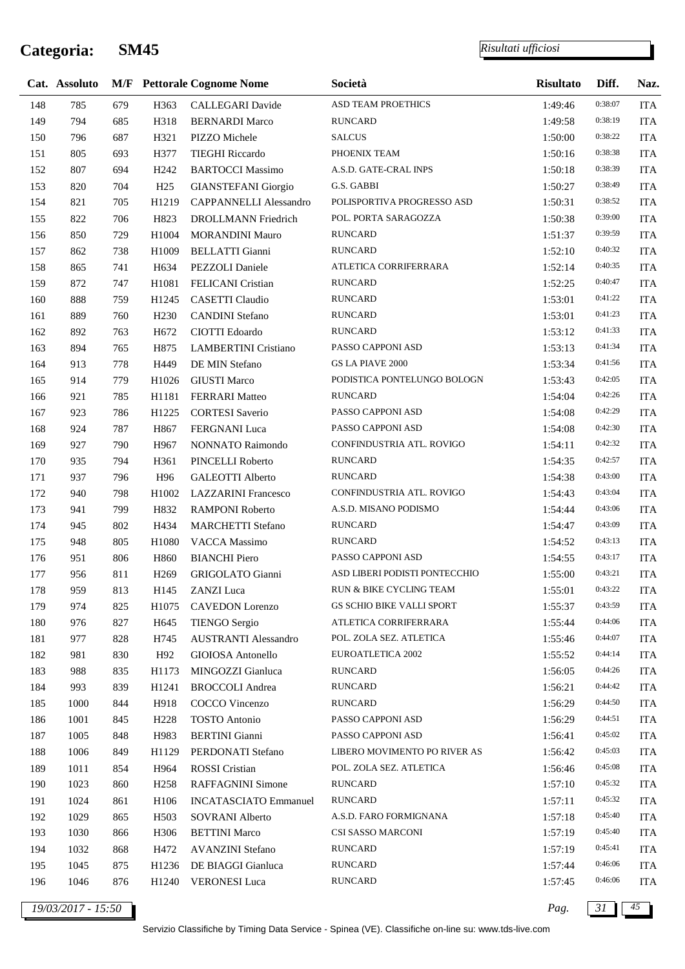÷

*Risultati ufficiosi*

|     | Cat. Assoluto |     |                  | <b>M/F</b> Pettorale Cognome Nome | Società                          | <b>Risultato</b> | Diff.   | Naz.       |
|-----|---------------|-----|------------------|-----------------------------------|----------------------------------|------------------|---------|------------|
| 148 | 785           | 679 | H363             | <b>CALLEGARI</b> Davide           | ASD TEAM PROETHICS               | 1:49:46          | 0:38:07 | <b>ITA</b> |
| 149 | 794           | 685 | H318             | <b>BERNARDI Marco</b>             | <b>RUNCARD</b>                   | 1:49:58          | 0:38:19 | <b>ITA</b> |
| 150 | 796           | 687 | H321             | PIZZO Michele                     | <b>SALCUS</b>                    | 1:50:00          | 0:38:22 | <b>ITA</b> |
| 151 | 805           | 693 | H377             | <b>TIEGHI Riccardo</b>            | PHOENIX TEAM                     | 1:50:16          | 0:38:38 | <b>ITA</b> |
| 152 | 807           | 694 | H <sub>242</sub> | <b>BARTOCCI Massimo</b>           | A.S.D. GATE-CRAL INPS            | 1:50:18          | 0:38:39 | <b>ITA</b> |
| 153 | 820           | 704 | H25              | <b>GIANSTEFANI</b> Giorgio        | G.S. GABBI                       | 1:50:27          | 0:38:49 | <b>ITA</b> |
| 154 | 821           | 705 | H1219            | <b>CAPPANNELLI Alessandro</b>     | POLISPORTIVA PROGRESSO ASD       | 1:50:31          | 0:38:52 | <b>ITA</b> |
| 155 | 822           | 706 | H823             | DROLLMANN Friedrich               | POL. PORTA SARAGOZZA             | 1:50:38          | 0:39:00 | <b>ITA</b> |
| 156 | 850           | 729 | H1004            | <b>MORANDINI Mauro</b>            | <b>RUNCARD</b>                   | 1:51:37          | 0:39:59 | <b>ITA</b> |
| 157 | 862           | 738 | H1009            | <b>BELLATTI Gianni</b>            | <b>RUNCARD</b>                   | 1:52:10          | 0:40:32 | <b>ITA</b> |
| 158 | 865           | 741 | H634             | PEZZOLI Daniele                   | ATLETICA CORRIFERRARA            | 1:52:14          | 0:40:35 | <b>ITA</b> |
| 159 | 872           | 747 | H1081            | FELICANI Cristian                 | <b>RUNCARD</b>                   | 1:52:25          | 0:40:47 | <b>ITA</b> |
| 160 | 888           | 759 | H1245            | <b>CASETTI</b> Claudio            | <b>RUNCARD</b>                   | 1:53:01          | 0:41:22 | <b>ITA</b> |
| 161 | 889           | 760 | H <sub>230</sub> | <b>CANDINI</b> Stefano            | <b>RUNCARD</b>                   | 1:53:01          | 0:41:23 | <b>ITA</b> |
| 162 | 892           | 763 | H672             | CIOTTI Edoardo                    | <b>RUNCARD</b>                   | 1:53:12          | 0:41:33 | <b>ITA</b> |
| 163 | 894           | 765 | H875             | <b>LAMBERTINI</b> Cristiano       | PASSO CAPPONI ASD                | 1:53:13          | 0:41:34 | <b>ITA</b> |
| 164 | 913           | 778 | H449             | DE MIN Stefano                    | <b>GS LA PIAVE 2000</b>          | 1:53:34          | 0:41:56 | <b>ITA</b> |
| 165 | 914           | 779 | H1026            | <b>GIUSTI Marco</b>               | PODISTICA PONTELUNGO BOLOGN      | 1:53:43          | 0:42:05 | <b>ITA</b> |
| 166 | 921           | 785 | H1181            | <b>FERRARI</b> Matteo             | <b>RUNCARD</b>                   | 1:54:04          | 0:42:26 | <b>ITA</b> |
| 167 | 923           | 786 | H1225            | <b>CORTESI</b> Saverio            | PASSO CAPPONI ASD                | 1:54:08          | 0:42:29 | <b>ITA</b> |
| 168 | 924           | 787 | H867             | FERGNANI Luca                     | PASSO CAPPONI ASD                | 1:54:08          | 0:42:30 | <b>ITA</b> |
| 169 | 927           | 790 | H967             | NONNATO Raimondo                  | CONFINDUSTRIA ATL. ROVIGO        | 1:54:11          | 0:42:32 | <b>ITA</b> |
| 170 | 935           | 794 | H361             | PINCELLI Roberto                  | <b>RUNCARD</b>                   | 1:54:35          | 0:42:57 | <b>ITA</b> |
| 171 | 937           | 796 | H96              | <b>GALEOTTI</b> Alberto           | <b>RUNCARD</b>                   | 1:54:38          | 0:43:00 | <b>ITA</b> |
| 172 | 940           | 798 | H1002            | <b>LAZZARINI</b> Francesco        | CONFINDUSTRIA ATL. ROVIGO        | 1:54:43          | 0:43:04 | <b>ITA</b> |
| 173 | 941           | 799 | H832             | RAMPONI Roberto                   | A.S.D. MISANO PODISMO            | 1:54:44          | 0:43:06 | <b>ITA</b> |
| 174 | 945           | 802 | H434             | <b>MARCHETTI Stefano</b>          | <b>RUNCARD</b>                   | 1:54:47          | 0:43:09 | <b>ITA</b> |
| 175 | 948           | 805 | H1080            | VACCA Massimo                     | <b>RUNCARD</b>                   | 1:54:52          | 0:43:13 | ITA        |
| 176 | 951           | 806 | H860             | <b>BIANCHI</b> Piero              | PASSO CAPPONI ASD                | 1:54:55          | 0:43:17 | <b>ITA</b> |
| 177 | 956           | 811 | H <sub>269</sub> | GRIGOLATO Gianni                  | ASD LIBERI PODISTI PONTECCHIO    | 1:55:00          | 0:43:21 | <b>ITA</b> |
| 178 | 959           | 813 | H145             | ZANZI Luca                        | RUN & BIKE CYCLING TEAM          | 1:55:01          | 0:43:22 | <b>ITA</b> |
| 179 | 974           | 825 | H1075            | <b>CAVEDON</b> Lorenzo            | <b>GS SCHIO BIKE VALLI SPORT</b> | 1:55:37          | 0:43:59 | <b>ITA</b> |
| 180 | 976           | 827 | H645             | <b>TIENGO Sergio</b>              | ATLETICA CORRIFERRARA            | 1:55:44          | 0:44:06 | <b>ITA</b> |
| 181 | 977           | 828 | H745             | <b>AUSTRANTI Alessandro</b>       | POL. ZOLA SEZ. ATLETICA          | 1:55:46          | 0:44:07 | <b>ITA</b> |
| 182 | 981           | 830 | H92              | GIOIOSA Antonello                 | EUROATLETICA 2002                | 1:55:52          | 0:44:14 | <b>ITA</b> |
| 183 | 988           | 835 | H1173            | MINGOZZI Gianluca                 | <b>RUNCARD</b>                   | 1:56:05          | 0:44:26 | <b>ITA</b> |
| 184 | 993           | 839 | H1241            | <b>BROCCOLI</b> Andrea            | <b>RUNCARD</b>                   | 1:56:21          | 0:44:42 | <b>ITA</b> |
| 185 | 1000          | 844 | H918             | COCCO Vincenzo                    | <b>RUNCARD</b>                   | 1:56:29          | 0:44:50 | <b>ITA</b> |
| 186 | 1001          | 845 | H <sub>228</sub> | <b>TOSTO</b> Antonio              | PASSO CAPPONI ASD                | 1:56:29          | 0:44:51 | <b>ITA</b> |
| 187 | 1005          | 848 | H983             | <b>BERTINI</b> Gianni             | PASSO CAPPONI ASD                | 1:56:41          | 0:45:02 | <b>ITA</b> |
| 188 | 1006          | 849 | H1129            | PERDONATI Stefano                 | LIBERO MOVIMENTO PO RIVER AS     | 1:56:42          | 0:45:03 | <b>ITA</b> |
| 189 | 1011          | 854 | H964             | <b>ROSSI</b> Cristian             | POL. ZOLA SEZ. ATLETICA          | 1:56:46          | 0:45:08 | <b>ITA</b> |
| 190 | 1023          | 860 | H <sub>258</sub> | RAFFAGNINI Simone                 | <b>RUNCARD</b>                   | 1:57:10          | 0:45:32 | <b>ITA</b> |
| 191 | 1024          | 861 | H106             | <b>INCATASCIATO Emmanuel</b>      | <b>RUNCARD</b>                   | 1:57:11          | 0:45:32 | <b>ITA</b> |
| 192 | 1029          | 865 | H <sub>503</sub> | <b>SOVRANI</b> Alberto            | A.S.D. FARO FORMIGNANA           | 1:57:18          | 0:45:40 | ITA        |
| 193 | 1030          | 866 | H306             | <b>BETTINI</b> Marco              | CSI SASSO MARCONI                | 1:57:19          | 0:45:40 | <b>ITA</b> |
| 194 | 1032          | 868 | H472             | <b>AVANZINI Stefano</b>           | <b>RUNCARD</b>                   | 1:57:19          | 0:45:41 | <b>ITA</b> |
| 195 | 1045          | 875 | H1236            | DE BIAGGI Gianluca                | <b>RUNCARD</b>                   | 1:57:44          | 0:46:06 | <b>ITA</b> |
| 196 | 1046          | 876 | H1240            | <b>VERONESI Luca</b>              | <b>RUNCARD</b>                   | 1:57:45          | 0:46:06 | <b>ITA</b> |
|     |               |     |                  |                                   |                                  |                  |         |            |

*19/03/2017 - 15:50 Pag. 31 45*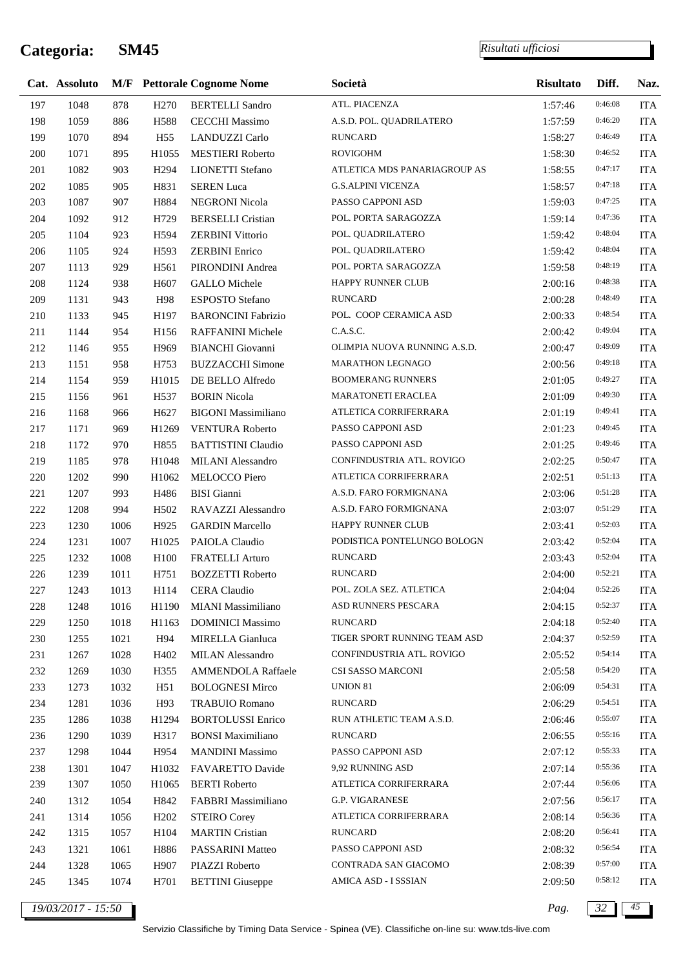$\overline{\phantom{a}}$ 

|     | Cat. Assoluto      |      |                   | <b>M/F</b> Pettorale Cognome Nome | Società                      | <b>Risultato</b> | Diff.   | Naz.       |
|-----|--------------------|------|-------------------|-----------------------------------|------------------------------|------------------|---------|------------|
| 197 | 1048               | 878  | H <sub>270</sub>  | <b>BERTELLI</b> Sandro            | ATL. PIACENZA                | 1:57:46          | 0:46:08 | <b>ITA</b> |
| 198 | 1059               | 886  | H588              | <b>CECCHI</b> Massimo             | A.S.D. POL. QUADRILATERO     | 1:57:59          | 0:46:20 | <b>ITA</b> |
| 199 | 1070               | 894  | H <sub>55</sub>   | LANDUZZI Carlo                    | <b>RUNCARD</b>               | 1:58:27          | 0:46:49 | <b>ITA</b> |
| 200 | 1071               | 895  | H1055             | <b>MESTIERI</b> Roberto           | <b>ROVIGOHM</b>              | 1:58:30          | 0:46:52 | <b>ITA</b> |
| 201 | 1082               | 903  | H <sub>294</sub>  | LIONETTI Stefano                  | ATLETICA MDS PANARIAGROUP AS | 1:58:55          | 0:47:17 | <b>ITA</b> |
| 202 | 1085               | 905  | H831              | <b>SEREN</b> Luca                 | <b>G.S.ALPINI VICENZA</b>    | 1:58:57          | 0:47:18 | <b>ITA</b> |
| 203 | 1087               | 907  | H884              | <b>NEGRONI Nicola</b>             | PASSO CAPPONI ASD            | 1:59:03          | 0:47:25 | <b>ITA</b> |
| 204 | 1092               | 912  | H729              | <b>BERSELLI</b> Cristian          | POL. PORTA SARAGOZZA         | 1:59:14          | 0:47:36 | <b>ITA</b> |
| 205 | 1104               | 923  | H594              | <b>ZERBINI Vittorio</b>           | POL. QUADRILATERO            | 1:59:42          | 0:48:04 | <b>ITA</b> |
| 206 | 1105               | 924  | H <sub>593</sub>  | <b>ZERBINI</b> Enrico             | POL. QUADRILATERO            | 1:59:42          | 0:48:04 | <b>ITA</b> |
| 207 | 1113               | 929  | H561              | PIRONDINI Andrea                  | POL. PORTA SARAGOZZA         | 1:59:58          | 0:48:19 | <b>ITA</b> |
| 208 | 1124               | 938  | H <sub>607</sub>  | <b>GALLO</b> Michele              | <b>HAPPY RUNNER CLUB</b>     | 2:00:16          | 0:48:38 | <b>ITA</b> |
| 209 | 1131               | 943  | H98               | ESPOSTO Stefano                   | <b>RUNCARD</b>               | 2:00:28          | 0:48:49 | <b>ITA</b> |
| 210 | 1133               | 945  | H197              | <b>BARONCINI Fabrizio</b>         | POL. COOP CERAMICA ASD       | 2:00:33          | 0:48:54 | <b>ITA</b> |
| 211 | 1144               | 954  | H <sub>156</sub>  | RAFFANINI Michele                 | C.A.S.C.                     | 2:00:42          | 0:49:04 | <b>ITA</b> |
| 212 | 1146               | 955  | H969              | <b>BIANCHI</b> Giovanni           | OLIMPIA NUOVA RUNNING A.S.D. | 2:00:47          | 0:49:09 | <b>ITA</b> |
| 213 | 1151               | 958  | H753              | <b>BUZZACCHI</b> Simone           | <b>MARATHON LEGNAGO</b>      | 2:00:56          | 0:49:18 | <b>ITA</b> |
| 214 | 1154               | 959  | H1015             | DE BELLO Alfredo                  | <b>BOOMERANG RUNNERS</b>     | 2:01:05          | 0:49:27 | <b>ITA</b> |
| 215 | 1156               | 961  | H <sub>537</sub>  | <b>BORIN Nicola</b>               | <b>MARATONETI ERACLEA</b>    | 2:01:09          | 0:49:30 | <b>ITA</b> |
| 216 | 1168               | 966  | H <sub>627</sub>  | <b>BIGONI</b> Massimiliano        | ATLETICA CORRIFERRARA        | 2:01:19          | 0:49:41 | <b>ITA</b> |
| 217 | 1171               | 969  | H1269             | <b>VENTURA Roberto</b>            | PASSO CAPPONI ASD            | 2:01:23          | 0:49:45 | <b>ITA</b> |
| 218 | 1172               | 970  | H855              | <b>BATTISTINI Claudio</b>         | PASSO CAPPONI ASD            | 2:01:25          | 0:49:46 | <b>ITA</b> |
| 219 | 1185               | 978  | H1048             | MILANI Alessandro                 | CONFINDUSTRIA ATL. ROVIGO    | 2:02:25          | 0:50:47 | <b>ITA</b> |
| 220 | 1202               | 990  | H1062             | MELOCCO Piero                     | ATLETICA CORRIFERRARA        | 2:02:51          | 0:51:13 | <b>ITA</b> |
| 221 | 1207               | 993  | H486              | <b>BISI</b> Gianni                | A.S.D. FARO FORMIGNANA       | 2:03:06          | 0:51:28 | <b>ITA</b> |
| 222 | 1208               | 994  | H <sub>502</sub>  | RAVAZZI Alessandro                | A.S.D. FARO FORMIGNANA       | 2:03:07          | 0:51:29 | <b>ITA</b> |
| 223 | 1230               | 1006 | H925              | <b>GARDIN Marcello</b>            | HAPPY RUNNER CLUB            | 2:03:41          | 0:52:03 | <b>ITA</b> |
| 224 | 1231               | 1007 | H1025             | PAIOLA Claudio                    | PODISTICA PONTELUNGO BOLOGN  | 2:03:42          | 0:52:04 | <b>ITA</b> |
| 225 | 1232               | 1008 | H100              | <b>FRATELLI Arturo</b>            | <b>RUNCARD</b>               | 2:03:43          | 0:52:04 | <b>ITA</b> |
| 226 | 1239               | 1011 | H751              | <b>BOZZETTI Roberto</b>           | <b>RUNCARD</b>               | 2:04:00          | 0:52:21 | <b>ITA</b> |
| 227 | 1243               | 1013 | H114              | <b>CERA</b> Claudio               | POL. ZOLA SEZ. ATLETICA      | 2:04:04          | 0:52:26 | <b>ITA</b> |
| 228 | 1248               | 1016 | H1190             | MIANI Massimiliano                | ASD RUNNERS PESCARA          | 2:04:15          | 0:52:37 | <b>ITA</b> |
| 229 | 1250               | 1018 | H1163             | <b>DOMINICI Massimo</b>           | <b>RUNCARD</b>               | 2:04:18          | 0:52:40 | <b>ITA</b> |
| 230 | 1255               | 1021 | H94               | MIRELLA Gianluca                  | TIGER SPORT RUNNING TEAM ASD | 2:04:37          | 0:52:59 | <b>ITA</b> |
| 231 | 1267               | 1028 | H402              | <b>MILAN Alessandro</b>           | CONFINDUSTRIA ATL. ROVIGO    | 2:05:52          | 0:54:14 | <b>ITA</b> |
| 232 | 1269               | 1030 | H355              | AMMENDOLA Raffaele                | CSI SASSO MARCONI            | 2:05:58          | 0:54:20 | <b>ITA</b> |
| 233 | 1273               | 1032 | H51               | <b>BOLOGNESI Mirco</b>            | UNION 81                     | 2:06:09          | 0:54:31 | <b>ITA</b> |
| 234 | 1281               | 1036 | H93               | <b>TRABUIO Romano</b>             | <b>RUNCARD</b>               | 2:06:29          | 0:54:51 | <b>ITA</b> |
| 235 | 1286               | 1038 | H1294             | <b>BORTOLUSSI</b> Enrico          | RUN ATHLETIC TEAM A.S.D.     | 2:06:46          | 0:55:07 | <b>ITA</b> |
| 236 | 1290               | 1039 | H317              | <b>BONSI Maximiliano</b>          | <b>RUNCARD</b>               | 2:06:55          | 0:55:16 | <b>ITA</b> |
| 237 | 1298               | 1044 | H954              | <b>MANDINI Massimo</b>            | PASSO CAPPONI ASD            | 2:07:12          | 0:55:33 | <b>ITA</b> |
| 238 | 1301               | 1047 | H1032             | FAVARETTO Davide                  | 9,92 RUNNING ASD             | 2:07:14          | 0:55:36 | <b>ITA</b> |
| 239 | 1307               | 1050 | H1065             | <b>BERTI</b> Roberto              | ATLETICA CORRIFERRARA        | 2:07:44          | 0:56:06 | <b>ITA</b> |
| 240 | 1312               | 1054 | H842              | FABBRI Massimiliano               | <b>G.P. VIGARANESE</b>       | 2:07:56          | 0:56:17 | <b>ITA</b> |
| 241 | 1314               | 1056 | H <sub>2</sub> 02 | <b>STEIRO</b> Corey               | ATLETICA CORRIFERRARA        | 2:08:14          | 0:56:36 | <b>ITA</b> |
| 242 | 1315               | 1057 | H104              | <b>MARTIN</b> Cristian            | <b>RUNCARD</b>               | 2:08:20          | 0:56:41 | <b>ITA</b> |
| 243 | 1321               | 1061 | H886              | PASSARINI Matteo                  | PASSO CAPPONI ASD            | 2:08:32          | 0:56:54 | <b>ITA</b> |
| 244 | 1328               | 1065 | H907              | PIAZZI Roberto                    | CONTRADA SAN GIACOMO         | 2:08:39          | 0:57:00 | <b>ITA</b> |
| 245 | 1345               | 1074 | H701              | <b>BETTINI</b> Giuseppe           | AMICA ASD - I SSSIAN         | 2:09:50          | 0:58:12 | <b>ITA</b> |
|     | 19/03/2017 - 15:50 |      |                   |                                   |                              | Pag.             | 32      | 45         |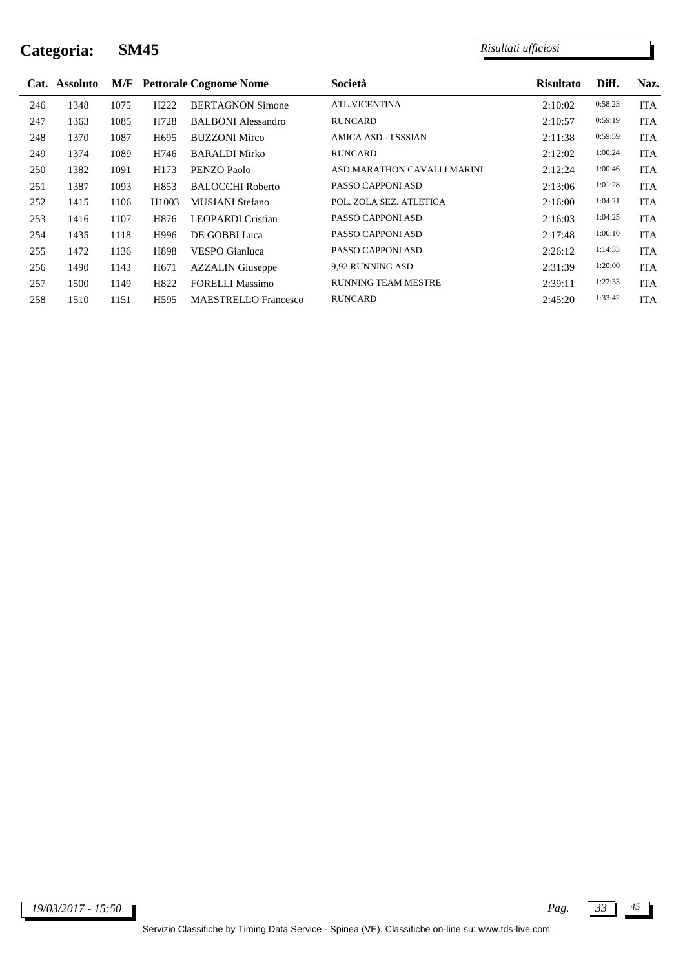|     | Cat. Assoluto |      |                  | <b>M/F</b> Pettorale Cognome Nome | Società                     | <b>Risultato</b> | Diff.   | Naz.       |
|-----|---------------|------|------------------|-----------------------------------|-----------------------------|------------------|---------|------------|
| 246 | 1348          | 1075 | H <sub>222</sub> | <b>BERTAGNON Simone</b>           | <b>ATL.VICENTINA</b>        | 2:10:02          | 0:58:23 | <b>ITA</b> |
| 247 | 1363          | 1085 | H728             | <b>BALBONI</b> Alessandro         | <b>RUNCARD</b>              | 2:10:57          | 0:59:19 | <b>ITA</b> |
| 248 | 1370          | 1087 | H <sub>695</sub> | <b>BUZZONI Mirco</b>              | AMICA ASD - I SSSIAN        | 2:11:38          | 0:59:59 | <b>ITA</b> |
| 249 | 1374          | 1089 | H746             | <b>BARALDI Mirko</b>              | <b>RUNCARD</b>              | 2:12:02          | 1:00:24 | <b>ITA</b> |
| 250 | 1382          | 1091 | H173             | PENZO Paolo                       | ASD MARATHON CAVALLI MARINI | 2:12:24          | 1:00:46 | <b>ITA</b> |
| 251 | 1387          | 1093 | H853             | <b>BALOCCHI</b> Roberto           | PASSO CAPPONI ASD           | 2:13:06          | 1:01:28 | <b>ITA</b> |
| 252 | 1415          | 1106 | H1003            | MUSIANI Stefano                   | POL. ZOLA SEZ. ATLETICA     | 2:16:00          | 1:04:21 | <b>ITA</b> |
| 253 | 1416          | 1107 | H876             | <b>LEOPARDI</b> Cristian          | PASSO CAPPONI ASD           | 2:16:03          | 1:04:25 | <b>ITA</b> |
| 254 | 1435          | 1118 | H996             | DE GOBBI Luca                     | PASSO CAPPONI ASD           | 2:17:48          | 1:06:10 | <b>ITA</b> |
| 255 | 1472          | 1136 | H898             | <b>VESPO</b> Gianluca             | PASSO CAPPONI ASD           | 2:26:12          | 1:14:33 | <b>ITA</b> |
| 256 | 1490          | 1143 | H <sub>671</sub> | <b>AZZALIN</b> Giuseppe           | 9,92 RUNNING ASD            | 2:31:39          | 1:20:00 | <b>ITA</b> |
| 257 | 1500          | 1149 | H822             | <b>FORELLI Massimo</b>            | <b>RUNNING TEAM MESTRE</b>  | 2:39:11          | 1:27:33 | <b>ITA</b> |
| 258 | 1510          | 1151 | H <sub>595</sub> | <b>MAESTRELLO</b> Francesco       | <b>RUNCARD</b>              | 2:45:20          | 1:33:42 | <b>ITA</b> |

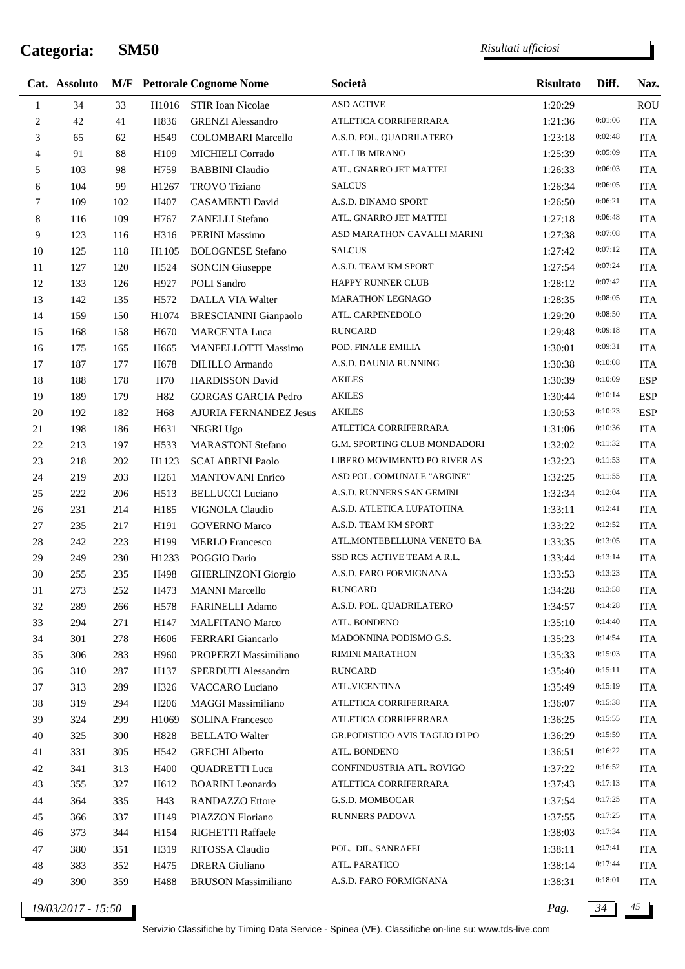*Risultati ufficiosi*

|                  | Cat. Assoluto |     |                   | <b>M/F</b> Pettorale Cognome Nome | Società                        | <b>Risultato</b> | Diff.   | Naz.       |
|------------------|---------------|-----|-------------------|-----------------------------------|--------------------------------|------------------|---------|------------|
| $\mathbf{1}$     | 34            | 33  | H1016             | STIR Ioan Nicolae                 | <b>ASD ACTIVE</b>              | 1:20:29          |         | <b>ROU</b> |
| $\boldsymbol{2}$ | 42            | 41  | H836              | <b>GRENZI</b> Alessandro          | ATLETICA CORRIFERRARA          | 1:21:36          | 0:01:06 | <b>ITA</b> |
| 3                | 65            | 62  | H <sub>549</sub>  | <b>COLOMBARI</b> Marcello         | A.S.D. POL. QUADRILATERO       | 1:23:18          | 0:02:48 | <b>ITA</b> |
| $\overline{4}$   | 91            | 88  | H109              | MICHIELI Corrado                  | <b>ATL LIB MIRANO</b>          | 1:25:39          | 0:05:09 | <b>ITA</b> |
| 5                | 103           | 98  | H759              | <b>BABBINI</b> Claudio            | ATL. GNARRO JET MATTEI         | 1:26:33          | 0:06:03 | <b>ITA</b> |
| 6                | 104           | 99  | H1267             | <b>TROVO</b> Tiziano              | <b>SALCUS</b>                  | 1:26:34          | 0:06:05 | <b>ITA</b> |
| $\tau$           | 109           | 102 | H407              | <b>CASAMENTI David</b>            | A.S.D. DINAMO SPORT            | 1:26:50          | 0:06:21 | <b>ITA</b> |
| 8                | 116           | 109 | H767              | ZANELLI Stefano                   | ATL. GNARRO JET MATTEI         | 1:27:18          | 0:06:48 | <b>ITA</b> |
| 9                | 123           | 116 | H316              | PERINI Massimo                    | ASD MARATHON CAVALLI MARINI    | 1:27:38          | 0:07:08 | <b>ITA</b> |
| 10               | 125           | 118 | H1105             | <b>BOLOGNESE Stefano</b>          | <b>SALCUS</b>                  | 1:27:42          | 0:07:12 | <b>ITA</b> |
| 11               | 127           | 120 | H524              | <b>SONCIN Giuseppe</b>            | A.S.D. TEAM KM SPORT           | 1:27:54          | 0:07:24 | <b>ITA</b> |
| 12               | 133           | 126 | H927              | POLI Sandro                       | HAPPY RUNNER CLUB              | 1:28:12          | 0:07:42 | <b>ITA</b> |
| 13               | 142           | 135 | H572              | DALLA VIA Walter                  | <b>MARATHON LEGNAGO</b>        | 1:28:35          | 0:08:05 | <b>ITA</b> |
| 14               | 159           | 150 | H1074             | <b>BRESCIANINI</b> Gianpaolo      | ATL. CARPENEDOLO               | 1:29:20          | 0:08:50 | <b>ITA</b> |
| 15               | 168           | 158 | H <sub>670</sub>  | <b>MARCENTA Luca</b>              | <b>RUNCARD</b>                 | 1:29:48          | 0:09:18 | <b>ITA</b> |
| 16               | 175           | 165 | H <sub>665</sub>  | MANFELLOTTI Massimo               | POD. FINALE EMILIA             | 1:30:01          | 0:09:31 | <b>ITA</b> |
| 17               | 187           | 177 | H678              | <b>DILILLO</b> Armando            | A.S.D. DAUNIA RUNNING          | 1:30:38          | 0:10:08 | <b>ITA</b> |
| 18               | 188           | 178 | H70               | <b>HARDISSON David</b>            | <b>AKILES</b>                  | 1:30:39          | 0:10:09 | <b>ESP</b> |
| 19               | 189           | 179 | H82               | <b>GORGAS GARCIA Pedro</b>        | <b>AKILES</b>                  | 1:30:44          | 0:10:14 | ESP        |
| 20               | 192           | 182 | H68               | <b>AJURIA FERNANDEZ Jesus</b>     | <b>AKILES</b>                  | 1:30:53          | 0:10:23 | <b>ESP</b> |
| 21               | 198           | 186 | H631              | <b>NEGRI Ugo</b>                  | ATLETICA CORRIFERRARA          | 1:31:06          | 0:10:36 | <b>ITA</b> |
| $22\,$           | 213           | 197 | H <sub>533</sub>  | <b>MARASTONI</b> Stefano          | G.M. SPORTING CLUB MONDADORI   | 1:32:02          | 0:11:32 | <b>ITA</b> |
| 23               | 218           | 202 | H1123             | <b>SCALABRINI Paolo</b>           | LIBERO MOVIMENTO PO RIVER AS   | 1:32:23          | 0:11:53 | <b>ITA</b> |
| 24               | 219           | 203 | H <sub>261</sub>  | <b>MANTOVANI</b> Enrico           | ASD POL. COMUNALE "ARGINE"     | 1:32:25          | 0:11:55 | <b>ITA</b> |
| 25               | 222           | 206 | H <sub>513</sub>  | <b>BELLUCCI</b> Luciano           | A.S.D. RUNNERS SAN GEMINI      | 1:32:34          | 0:12:04 | <b>ITA</b> |
| 26               | 231           | 214 | H185              | VIGNOLA Claudio                   | A.S.D. ATLETICA LUPATOTINA     | 1:33:11          | 0:12:41 | <b>ITA</b> |
| $27\,$           | 235           | 217 | H191              | <b>GOVERNO</b> Marco              | A.S.D. TEAM KM SPORT           | 1:33:22          | 0:12:52 | <b>ITA</b> |
| 28               | 242           | 223 | H199              | <b>MERLO</b> Francesco            | ATL.MONTEBELLUNA VENETO BA     | 1:33:35          | 0:13:05 | <b>ITA</b> |
| 29               | 249           | 230 | H1233             | POGGIO Dario                      | SSD RCS ACTIVE TEAM A R.L.     | 1:33:44          | 0:13:14 | <b>ITA</b> |
| 30               | 255           | 235 | H498              | <b>GHERLINZONI</b> Giorgio        | A.S.D. FARO FORMIGNANA         | 1:33:53          | 0:13:23 | <b>ITA</b> |
| 31               | 273           | 252 | H473              | <b>MANNI Marcello</b>             | <b>RUNCARD</b>                 | 1:34:28          | 0:13:58 | <b>ITA</b> |
| 32               | 289           | 266 | H <sub>578</sub>  | FARINELLI Adamo                   | A.S.D. POL. QUADRILATERO       | 1:34:57          | 0:14:28 | <b>ITA</b> |
| 33               | 294           | 271 | H147              | <b>MALFITANO Marco</b>            | ATL. BONDENO                   | 1:35:10          | 0:14:40 | <b>ITA</b> |
| 34               | 301           | 278 | H <sub>606</sub>  | FERRARI Giancarlo                 | MADONNINA PODISMO G.S.         | 1:35:23          | 0:14:54 | <b>ITA</b> |
| 35               | 306           | 283 | H960              | PROPERZI Massimiliano             | <b>RIMINI MARATHON</b>         | 1:35:33          | 0:15:03 | <b>ITA</b> |
| 36               | 310           | 287 | H137              | SPERDUTI Alessandro               | <b>RUNCARD</b>                 | 1:35:40          | 0:15:11 | <b>ITA</b> |
| 37               | 313           | 289 | H326              | <b>VACCARO</b> Luciano            | <b>ATL.VICENTINA</b>           | 1:35:49          | 0:15:19 | <b>ITA</b> |
| 38               | 319           | 294 | H <sub>206</sub>  | MAGGI Massimiliano                | ATLETICA CORRIFERRARA          | 1:36:07          | 0:15:38 | <b>ITA</b> |
| 39               | 324           | 299 | H1069             | <b>SOLINA Francesco</b>           | ATLETICA CORRIFERRARA          | 1:36:25          | 0:15:55 | <b>ITA</b> |
| 40               | 325           | 300 | H828              | <b>BELLATO Walter</b>             | GR.PODISTICO AVIS TAGLIO DI PO | 1:36:29          | 0:15:59 | <b>ITA</b> |
| 41               | 331           | 305 | H <sub>542</sub>  | <b>GRECHI</b> Alberto             | ATL. BONDENO                   | 1:36:51          | 0:16:22 | <b>ITA</b> |
| 42               | 341           | 313 | H400              | <b>QUADRETTI Luca</b>             | CONFINDUSTRIA ATL. ROVIGO      | 1:37:22          | 0:16:52 | <b>ITA</b> |
| 43               | 355           | 327 | H <sub>6</sub> 12 | <b>BOARINI</b> Leonardo           | ATLETICA CORRIFERRARA          | 1:37:43          | 0:17:13 | <b>ITA</b> |
| 44               | 364           | 335 | H43               | <b>RANDAZZO Ettore</b>            | G.S.D. MOMBOCAR                | 1:37:54          | 0:17:25 | <b>ITA</b> |
| 45               | 366           | 337 | H149              | PIAZZON Floriano                  | <b>RUNNERS PADOVA</b>          | 1:37:55          | 0:17:25 | <b>ITA</b> |
| 46               | 373           | 344 | H154              | RIGHETTI Raffaele                 |                                | 1:38:03          | 0:17:34 | <b>ITA</b> |
| 47               | 380           | 351 | H319              | RITOSSA Claudio                   | POL. DIL. SANRAFEL             | 1:38:11          | 0:17:41 | <b>ITA</b> |
| 48               | 383           | 352 | H475              | <b>DRERA</b> Giuliano             | ATL. PARATICO                  | 1:38:14          | 0:17:44 | <b>ITA</b> |
| 49               | 390           | 359 | H488              | <b>BRUSON</b> Massimiliano        | A.S.D. FARO FORMIGNANA         | 1:38:31          | 0:18:01 | <b>ITA</b> |
|                  |               |     |                   |                                   |                                |                  |         |            |

*19/03/2017 - 15:50 Pag. 34 45*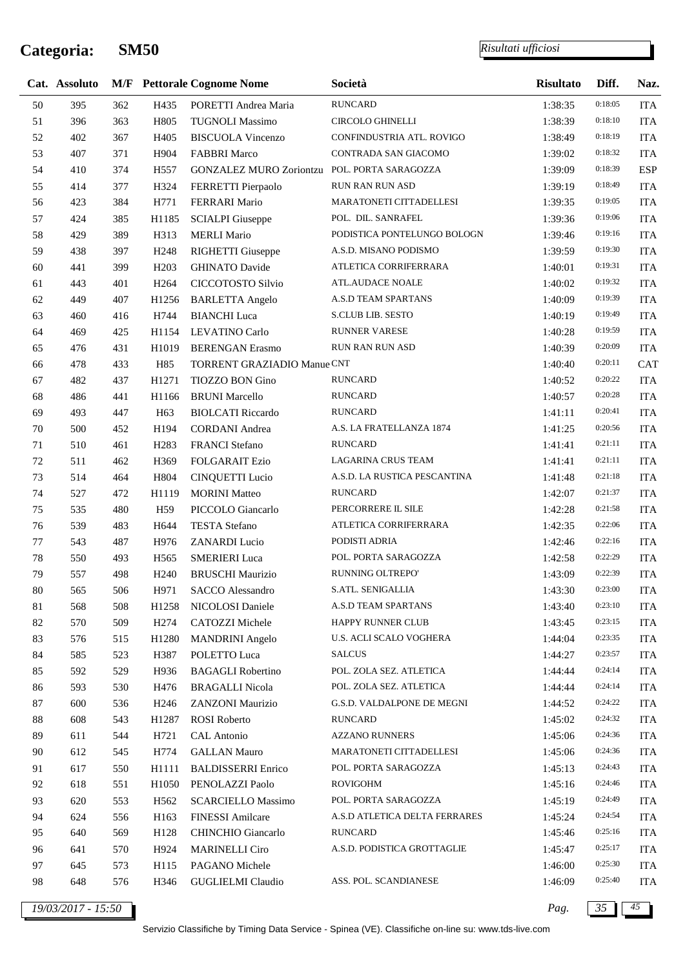j.

*Risultati ufficiosi*

|    | Cat. Assoluto |     |                   | <b>M/F</b> Pettorale Cognome Nome | Società                       | <b>Risultato</b> | Diff.   | Naz.       |
|----|---------------|-----|-------------------|-----------------------------------|-------------------------------|------------------|---------|------------|
| 50 | 395           | 362 | H435              | PORETTI Andrea Maria              | <b>RUNCARD</b>                | 1:38:35          | 0:18:05 | <b>ITA</b> |
| 51 | 396           | 363 | H805              | <b>TUGNOLI Massimo</b>            | <b>CIRCOLO GHINELLI</b>       | 1:38:39          | 0:18:10 | <b>ITA</b> |
| 52 | 402           | 367 | H405              | <b>BISCUOLA Vincenzo</b>          | CONFINDUSTRIA ATL. ROVIGO     | 1:38:49          | 0:18:19 | <b>ITA</b> |
| 53 | 407           | 371 | H904              | <b>FABBRI Marco</b>               | CONTRADA SAN GIACOMO          | 1:39:02          | 0:18:32 | <b>ITA</b> |
| 54 | 410           | 374 | H <sub>557</sub>  | <b>GONZALEZ MURO Zoriontzu</b>    | POL. PORTA SARAGOZZA          | 1:39:09          | 0:18:39 | <b>ESP</b> |
| 55 | 414           | 377 | H324              | FERRETTI Pierpaolo                | RUN RAN RUN ASD               | 1:39:19          | 0:18:49 | <b>ITA</b> |
| 56 | 423           | 384 | H771              | FERRARI Mario                     | MARATONETI CITTADELLESI       | 1:39:35          | 0:19:05 | <b>ITA</b> |
| 57 | 424           | 385 | H1185             | <b>SCIALPI</b> Giuseppe           | POL. DIL. SANRAFEL            | 1:39:36          | 0:19:06 | <b>ITA</b> |
| 58 | 429           | 389 | H313              | <b>MERLI Mario</b>                | PODISTICA PONTELUNGO BOLOGN   | 1:39:46          | 0:19:16 | <b>ITA</b> |
| 59 | 438           | 397 | H <sub>248</sub>  | RIGHETTI Giuseppe                 | A.S.D. MISANO PODISMO         | 1:39:59          | 0:19:30 | <b>ITA</b> |
| 60 | 441           | 399 | H <sub>203</sub>  | <b>GHINATO Davide</b>             | ATLETICA CORRIFERRARA         | 1:40:01          | 0:19:31 | <b>ITA</b> |
| 61 | 443           | 401 | H <sub>264</sub>  | CICCOTOSTO Silvio                 | ATL.AUDACE NOALE              | 1:40:02          | 0:19:32 | <b>ITA</b> |
| 62 | 449           | 407 | H1256             | <b>BARLETTA Angelo</b>            | A.S.D TEAM SPARTANS           | 1:40:09          | 0:19:39 | <b>ITA</b> |
| 63 | 460           | 416 | H744              | <b>BIANCHI</b> Luca               | S.CLUB LIB. SESTO             | 1:40:19          | 0:19:49 | <b>ITA</b> |
| 64 | 469           | 425 | H1154             | <b>LEVATINO Carlo</b>             | <b>RUNNER VARESE</b>          | 1:40:28          | 0:19:59 | <b>ITA</b> |
| 65 | 476           | 431 | H1019             | <b>BERENGAN</b> Erasmo            | RUN RAN RUN ASD               | 1:40:39          | 0:20:09 | <b>ITA</b> |
| 66 | 478           | 433 | H85               | TORRENT GRAZIADIO Manue CNT       |                               | 1:40:40          | 0:20:11 | <b>CAT</b> |
| 67 | 482           | 437 | H1271             | TIOZZO BON Gino                   | <b>RUNCARD</b>                | 1:40:52          | 0:20:22 | <b>ITA</b> |
| 68 | 486           | 441 | H1166             | <b>BRUNI</b> Marcello             | <b>RUNCARD</b>                | 1:40:57          | 0:20:28 | <b>ITA</b> |
| 69 | 493           | 447 | H63               | <b>BIOLCATI Riccardo</b>          | <b>RUNCARD</b>                | 1:41:11          | 0:20:41 | <b>ITA</b> |
| 70 | 500           | 452 | H194              | <b>CORDANI</b> Andrea             | A.S. LA FRATELLANZA 1874      | 1:41:25          | 0:20:56 | <b>ITA</b> |
| 71 | 510           | 461 | H <sub>2</sub> 83 | FRANCI Stefano                    | <b>RUNCARD</b>                | 1:41:41          | 0:21:11 | <b>ITA</b> |
| 72 | 511           | 462 | H369              | <b>FOLGARAIT Ezio</b>             | <b>LAGARINA CRUS TEAM</b>     | 1:41:41          | 0:21:11 | <b>ITA</b> |
| 73 | 514           | 464 | H804              | <b>CINQUETTI</b> Lucio            | A.S.D. LA RUSTICA PESCANTINA  | 1:41:48          | 0:21:18 | <b>ITA</b> |
| 74 | 527           | 472 | H1119             | <b>MORINI</b> Matteo              | <b>RUNCARD</b>                | 1:42:07          | 0:21:37 | <b>ITA</b> |
| 75 | 535           | 480 | H <sub>59</sub>   | PICCOLO Giancarlo                 | PERCORRERE IL SILE            | 1:42:28          | 0:21:58 | <b>ITA</b> |
| 76 | 539           | 483 | H644              | <b>TESTA Stefano</b>              | ATLETICA CORRIFERRARA         | 1:42:35          | 0:22:06 | <b>ITA</b> |
| 77 | 543           | 487 | H976              | <b>ZANARDI</b> Lucio              | PODISTI ADRIA                 | 1:42:46          | 0:22:16 | <b>ITA</b> |
| 78 | 550           | 493 | H <sub>565</sub>  | <b>SMERIERI</b> Luca              | POL. PORTA SARAGOZZA          | 1:42:58          | 0:22:29 | <b>ITA</b> |
| 79 | 557           | 498 | H <sub>240</sub>  | <b>BRUSCHI</b> Maurizio           | RUNNING OLTREPO'              | 1:43:09          | 0:22:39 | <b>ITA</b> |
| 80 | 565           | 506 | H971              | SACCO Alessandro                  | S.ATL. SENIGALLIA             | 1:43:30          | 0:23:00 | ITA        |
| 81 | 568           | 508 | H1258             | NICOLOSI Daniele                  | A.S.D TEAM SPARTANS           | 1:43:40          | 0:23:10 | <b>ITA</b> |
| 82 | 570           | 509 | H <sub>274</sub>  | CATOZZI Michele                   | HAPPY RUNNER CLUB             | 1:43:45          | 0:23:15 | <b>ITA</b> |
| 83 | 576           | 515 | H1280             | <b>MANDRINI</b> Angelo            | U.S. ACLI SCALO VOGHERA       | 1:44:04          | 0:23:35 | <b>ITA</b> |
| 84 | 585           | 523 | H387              | POLETTO Luca                      | <b>SALCUS</b>                 | 1:44:27          | 0:23:57 | <b>ITA</b> |
| 85 | 592           | 529 | H936              | <b>BAGAGLI</b> Robertino          | POL. ZOLA SEZ. ATLETICA       | 1:44:44          | 0:24:14 | <b>ITA</b> |
| 86 | 593           | 530 | H476              | <b>BRAGALLI Nicola</b>            | POL. ZOLA SEZ. ATLETICA       | 1:44:44          | 0:24:14 | <b>ITA</b> |
| 87 | 600           | 536 | H <sub>246</sub>  | ZANZONI Maurizio                  | G.S.D. VALDALPONE DE MEGNI    | 1:44:52          | 0:24:22 | <b>ITA</b> |
| 88 | 608           | 543 | H1287             | <b>ROSI</b> Roberto               | <b>RUNCARD</b>                | 1:45:02          | 0:24:32 | <b>ITA</b> |
| 89 | 611           | 544 | H721              | CAL Antonio                       | <b>AZZANO RUNNERS</b>         | 1:45:06          | 0:24:36 | <b>ITA</b> |
| 90 | 612           | 545 | H774              | <b>GALLAN Mauro</b>               | MARATONETI CITTADELLESI       | 1:45:06          | 0:24:36 | <b>ITA</b> |
| 91 | 617           | 550 | H1111             | <b>BALDISSERRI</b> Enrico         | POL. PORTA SARAGOZZA          | 1:45:13          | 0:24:43 | <b>ITA</b> |
| 92 | 618           | 551 | H1050             | PENOLAZZI Paolo                   | ROVIGOHM                      | 1:45:16          | 0:24:46 | <b>ITA</b> |
| 93 | 620           | 553 | H <sub>562</sub>  | <b>SCARCIELLO Massimo</b>         | POL. PORTA SARAGOZZA          | 1:45:19          | 0:24:49 | <b>ITA</b> |
| 94 | 624           | 556 | H163              | FINESSI Amilcare                  | A.S.D ATLETICA DELTA FERRARES | 1:45:24          | 0:24:54 | <b>ITA</b> |
| 95 | 640           | 569 | H128              | CHINCHIO Giancarlo                | <b>RUNCARD</b>                | 1:45:46          | 0:25:16 | <b>ITA</b> |
| 96 | 641           | 570 | H924              | <b>MARINELLI Ciro</b>             | A.S.D. PODISTICA GROTTAGLIE   | 1:45:47          | 0:25:17 | <b>ITA</b> |
| 97 | 645           | 573 | H115              | PAGANO Michele                    |                               | 1:46:00          | 0:25:30 | <b>ITA</b> |
| 98 | 648           | 576 | H346              | <b>GUGLIELMI</b> Claudio          | ASS. POL. SCANDIANESE         | 1:46:09          | 0:25:40 | <b>ITA</b> |
|    |               |     |                   |                                   |                               |                  |         |            |

*19/03/2017 - 15:50 Pag. 35 45*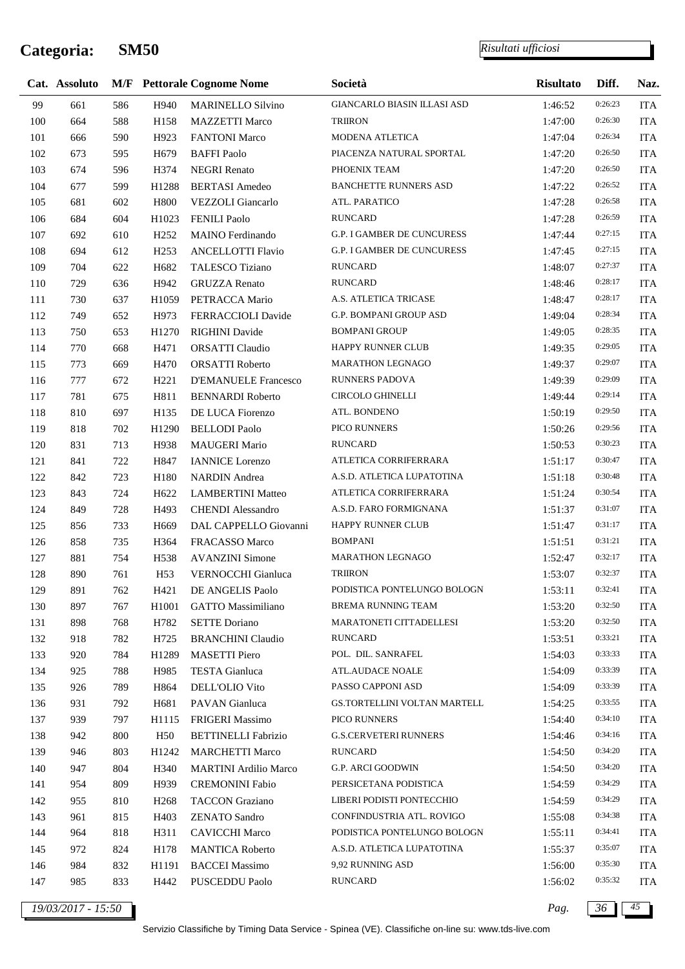*Risultati ufficiosi*

|     | Cat. Assoluto |     |                  | <b>M/F</b> Pettorale Cognome Nome | Società                      | <b>Risultato</b> | Diff.   | Naz.       |
|-----|---------------|-----|------------------|-----------------------------------|------------------------------|------------------|---------|------------|
| 99  | 661           | 586 | H940             | <b>MARINELLO Silvino</b>          | GIANCARLO BIASIN ILLASI ASD  | 1:46:52          | 0:26:23 | <b>ITA</b> |
| 100 | 664           | 588 | H158             | <b>MAZZETTI Marco</b>             | <b>TRIIRON</b>               | 1:47:00          | 0:26:30 | <b>ITA</b> |
| 101 | 666           | 590 | H923             | <b>FANTONI Marco</b>              | MODENA ATLETICA              | 1:47:04          | 0:26:34 | <b>ITA</b> |
| 102 | 673           | 595 | H <sub>679</sub> | <b>BAFFI</b> Paolo                | PIACENZA NATURAL SPORTAL     | 1:47:20          | 0:26:50 | <b>ITA</b> |
| 103 | 674           | 596 | H374             | <b>NEGRI Renato</b>               | PHOENIX TEAM                 | 1:47:20          | 0:26:50 | <b>ITA</b> |
| 104 | 677           | 599 | H1288            | <b>BERTASI</b> Amedeo             | <b>BANCHETTE RUNNERS ASD</b> | 1:47:22          | 0:26:52 | <b>ITA</b> |
| 105 | 681           | 602 | H800             | VEZZOLI Giancarlo                 | ATL. PARATICO                | 1:47:28          | 0:26:58 | <b>ITA</b> |
| 106 | 684           | 604 | H1023            | <b>FENILI Paolo</b>               | <b>RUNCARD</b>               | 1:47:28          | 0:26:59 | <b>ITA</b> |
| 107 | 692           | 610 | H <sub>252</sub> | <b>MAINO</b> Ferdinando           | G.P. I GAMBER DE CUNCURESS   | 1:47:44          | 0:27:15 | <b>ITA</b> |
| 108 | 694           | 612 | H <sub>253</sub> | <b>ANCELLOTTI Flavio</b>          | G.P. I GAMBER DE CUNCURESS   | 1:47:45          | 0:27:15 | <b>ITA</b> |
| 109 | 704           | 622 | H682             | TALESCO Tiziano                   | <b>RUNCARD</b>               | 1:48:07          | 0:27:37 | <b>ITA</b> |
| 110 | 729           | 636 | H942             | <b>GRUZZA Renato</b>              | <b>RUNCARD</b>               | 1:48:46          | 0:28:17 | <b>ITA</b> |
| 111 | 730           | 637 | H1059            | PETRACCA Mario                    | A.S. ATLETICA TRICASE        | 1:48:47          | 0:28:17 | <b>ITA</b> |
| 112 | 749           | 652 | H973             | FERRACCIOLI Davide                | G.P. BOMPANI GROUP ASD       | 1:49:04          | 0:28:34 | <b>ITA</b> |
| 113 | 750           | 653 | H1270            | <b>RIGHINI</b> Davide             | <b>BOMPANI GROUP</b>         | 1:49:05          | 0:28:35 | <b>ITA</b> |
| 114 | 770           | 668 | H471             | <b>ORSATTI Claudio</b>            | <b>HAPPY RUNNER CLUB</b>     | 1:49:35          | 0:29:05 | <b>ITA</b> |
| 115 | 773           | 669 | H470             | <b>ORSATTI Roberto</b>            | MARATHON LEGNAGO             | 1:49:37          | 0:29:07 | <b>ITA</b> |
| 116 | 777           | 672 | H <sub>221</sub> | <b>D'EMANUELE Francesco</b>       | <b>RUNNERS PADOVA</b>        | 1:49:39          | 0:29:09 | <b>ITA</b> |
| 117 | 781           | 675 | H811             | <b>BENNARDI Roberto</b>           | <b>CIRCOLO GHINELLI</b>      | 1:49:44          | 0:29:14 | <b>ITA</b> |
| 118 | 810           | 697 | H135             | DE LUCA Fiorenzo                  | ATL. BONDENO                 | 1:50:19          | 0:29:50 | <b>ITA</b> |
| 119 | 818           | 702 | H1290            | <b>BELLODI</b> Paolo              | PICO RUNNERS                 | 1:50:26          | 0:29:56 | <b>ITA</b> |
| 120 | 831           | 713 | H938             | MAUGERI Mario                     | <b>RUNCARD</b>               | 1:50:53          | 0:30:23 | <b>ITA</b> |
| 121 | 841           | 722 | H847             | <b>IANNICE</b> Lorenzo            | ATLETICA CORRIFERRARA        | 1:51:17          | 0:30:47 | <b>ITA</b> |
| 122 | 842           | 723 | H180             | <b>NARDIN</b> Andrea              | A.S.D. ATLETICA LUPATOTINA   | 1:51:18          | 0:30:48 | <b>ITA</b> |
| 123 | 843           | 724 | H <sub>622</sub> | <b>LAMBERTINI Matteo</b>          | ATLETICA CORRIFERRARA        | 1:51:24          | 0:30:54 | <b>ITA</b> |
| 124 | 849           | 728 | H493             | <b>CHENDI</b> Alessandro          | A.S.D. FARO FORMIGNANA       | 1:51:37          | 0:31:07 | <b>ITA</b> |
| 125 | 856           | 733 | H <sub>669</sub> | DAL CAPPELLO Giovanni             | HAPPY RUNNER CLUB            | 1:51:47          | 0:31:17 | <b>ITA</b> |
| 126 | 858           | 735 | H364             | FRACASSO Marco                    | <b>BOMPANI</b>               | 1:51:51          | 0:31:21 | <b>ITA</b> |
| 127 | 881           | 754 | H538             | <b>AVANZINI Simone</b>            | <b>MARATHON LEGNAGO</b>      | 1:52:47          | 0:32:17 | <b>ITA</b> |
| 128 | 890           | 761 | H <sub>53</sub>  | VERNOCCHI Gianluca                | <b>TRIIRON</b>               | 1:53:07          | 0:32:37 | <b>ITA</b> |
| 129 | 891           | 762 | H421             | DE ANGELIS Paolo                  | PODISTICA PONTELUNGO BOLOGN  | 1:53:11          | 0:32:41 | <b>ITA</b> |
| 130 | 897           | 767 | H1001            | <b>GATTO Massimiliano</b>         | <b>BREMA RUNNING TEAM</b>    | 1:53:20          | 0:32:50 | <b>ITA</b> |
| 131 | 898           | 768 | H782             | <b>SETTE Doriano</b>              | MARATONETI CITTADELLESI      | 1:53:20          | 0:32:50 | <b>ITA</b> |
| 132 | 918           | 782 | H725             | <b>BRANCHINI Claudio</b>          | <b>RUNCARD</b>               | 1:53:51          | 0:33:21 | <b>ITA</b> |
| 133 | 920           | 784 | H1289            | <b>MASETTI Piero</b>              | POL. DIL. SANRAFEL           | 1:54:03          | 0:33:33 | <b>ITA</b> |
| 134 | 925           | 788 | H985             | <b>TESTA</b> Gianluca             | <b>ATL.AUDACE NOALE</b>      | 1:54:09          | 0:33:39 | <b>ITA</b> |
| 135 | 926           | 789 | H864             | DELL'OLIO Vito                    | PASSO CAPPONI ASD            | 1:54:09          | 0:33:39 | <b>ITA</b> |
| 136 | 931           | 792 | H681             | PAVAN Gianluca                    | GS.TORTELLINI VOLTAN MARTELL | 1:54:25          | 0:33:55 | <b>ITA</b> |
| 137 | 939           | 797 | H1115            | FRIGERI Massimo                   | PICO RUNNERS                 | 1:54:40          | 0:34:10 | <b>ITA</b> |
| 138 | 942           | 800 | H <sub>50</sub>  | <b>BETTINELLI Fabrizio</b>        | <b>G.S.CERVETERI RUNNERS</b> | 1:54:46          | 0:34:16 | <b>ITA</b> |
| 139 | 946           | 803 | H1242            | <b>MARCHETTI Marco</b>            | <b>RUNCARD</b>               | 1:54:50          | 0:34:20 | <b>ITA</b> |
| 140 | 947           | 804 | H340             | <b>MARTINI</b> Ardilio Marco      | G.P. ARCI GOODWIN            | 1:54:50          | 0:34:20 | <b>ITA</b> |
| 141 | 954           | 809 | H939             | <b>CREMONINI Fabio</b>            | PERSICETANA PODISTICA        | 1:54:59          | 0:34:29 | <b>ITA</b> |
| 142 | 955           | 810 | H <sub>268</sub> | <b>TACCON Graziano</b>            | LIBERI PODISTI PONTECCHIO    | 1:54:59          | 0:34:29 | <b>ITA</b> |
| 143 | 961           | 815 | H403             | <b>ZENATO Sandro</b>              | CONFINDUSTRIA ATL. ROVIGO    | 1:55:08          | 0:34:38 | <b>ITA</b> |
| 144 | 964           | 818 | H311             | <b>CAVICCHI Marco</b>             | PODISTICA PONTELUNGO BOLOGN  | 1:55:11          | 0:34:41 | <b>ITA</b> |
| 145 | 972           | 824 | H178             | <b>MANTICA Roberto</b>            | A.S.D. ATLETICA LUPATOTINA   | 1:55:37          | 0:35:07 | <b>ITA</b> |
| 146 | 984           | 832 | H1191            | <b>BACCEI Massimo</b>             | 9,92 RUNNING ASD             | 1:56:00          | 0:35:30 | <b>ITA</b> |
| 147 | 985           | 833 | H442             | PUSCEDDU Paolo                    | <b>RUNCARD</b>               | 1:56:02          | 0:35:32 | <b>ITA</b> |

*19/03/2017 - 15:50 Pag. 36 45*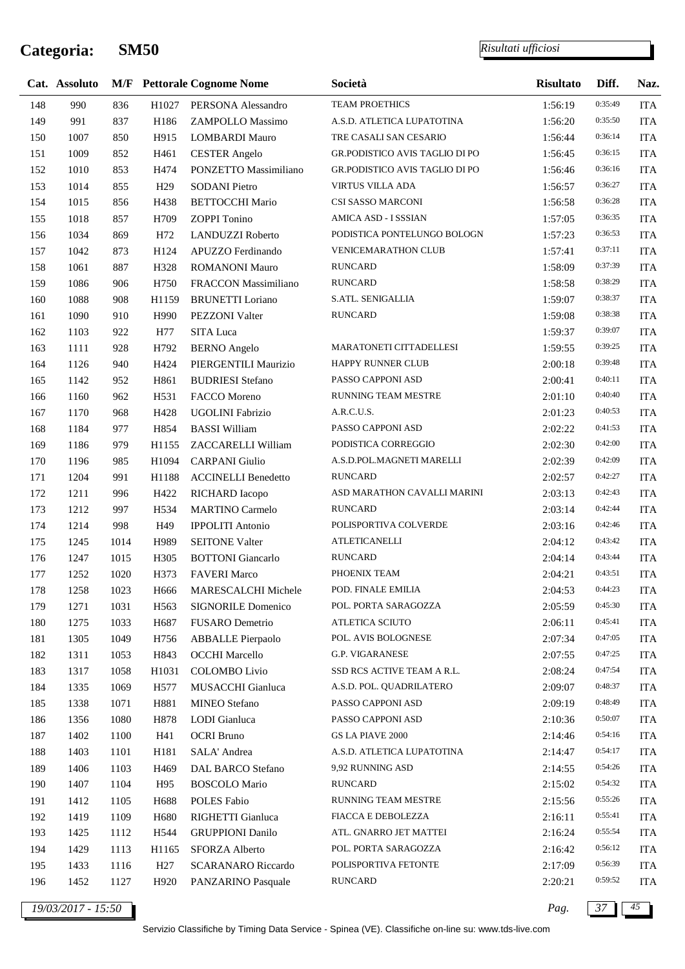j.

|     | Cat. Assoluto      |      |                  | <b>M/F</b> Pettorale Cognome Nome | Società                        | <b>Risultato</b> | Diff.   | Naz.       |
|-----|--------------------|------|------------------|-----------------------------------|--------------------------------|------------------|---------|------------|
| 148 | 990                | 836  | H1027            | PERSONA Alessandro                | TEAM PROETHICS                 | 1:56:19          | 0:35:49 | <b>ITA</b> |
| 149 | 991                | 837  | H186             | ZAMPOLLO Massimo                  | A.S.D. ATLETICA LUPATOTINA     | 1:56:20          | 0:35:50 | <b>ITA</b> |
| 150 | 1007               | 850  | H915             | <b>LOMBARDI Mauro</b>             | TRE CASALI SAN CESARIO         | 1:56:44          | 0:36:14 | <b>ITA</b> |
| 151 | 1009               | 852  | H461             | <b>CESTER Angelo</b>              | GR.PODISTICO AVIS TAGLIO DI PO | 1:56:45          | 0:36:15 | <b>ITA</b> |
| 152 | 1010               | 853  | H474             | PONZETTO Massimiliano             | GR.PODISTICO AVIS TAGLIO DI PO | 1:56:46          | 0:36:16 | <b>ITA</b> |
| 153 | 1014               | 855  | H <sub>29</sub>  | <b>SODANI Pietro</b>              | <b>VIRTUS VILLA ADA</b>        | 1:56:57          | 0:36:27 | <b>ITA</b> |
| 154 | 1015               | 856  | H438             | <b>BETTOCCHI Mario</b>            | CSI SASSO MARCONI              | 1:56:58          | 0:36:28 | <b>ITA</b> |
| 155 | 1018               | 857  | H709             | <b>ZOPPI</b> Tonino               | AMICA ASD - I SSSIAN           | 1:57:05          | 0:36:35 | <b>ITA</b> |
| 156 | 1034               | 869  | H72              | <b>LANDUZZI Roberto</b>           | PODISTICA PONTELUNGO BOLOGN    | 1:57:23          | 0:36:53 | <b>ITA</b> |
| 157 | 1042               | 873  | H124             | APUZZO Ferdinando                 | VENICEMARATHON CLUB            | 1:57:41          | 0:37:11 | <b>ITA</b> |
| 158 | 1061               | 887  | H328             | <b>ROMANONI Mauro</b>             | <b>RUNCARD</b>                 | 1:58:09          | 0:37:39 | <b>ITA</b> |
| 159 | 1086               | 906  | H750             | FRACCON Massimiliano              | <b>RUNCARD</b>                 | 1:58:58          | 0:38:29 | <b>ITA</b> |
| 160 | 1088               | 908  | H1159            | <b>BRUNETTI</b> Loriano           | S.ATL. SENIGALLIA              | 1:59:07          | 0:38:37 | <b>ITA</b> |
| 161 | 1090               | 910  | H990             | PEZZONI Valter                    | <b>RUNCARD</b>                 | 1:59:08          | 0:38:38 | <b>ITA</b> |
| 162 | 1103               | 922  | H77              | SITA Luca                         |                                | 1:59:37          | 0:39:07 | <b>ITA</b> |
| 163 | 1111               | 928  | H792             | <b>BERNO</b> Angelo               | MARATONETI CITTADELLESI        | 1:59:55          | 0:39:25 | <b>ITA</b> |
| 164 | 1126               | 940  | H424             | PIERGENTILI Maurizio              | HAPPY RUNNER CLUB              | 2:00:18          | 0:39:48 | <b>ITA</b> |
| 165 | 1142               | 952  | H861             | <b>BUDRIESI Stefano</b>           | PASSO CAPPONI ASD              | 2:00:41          | 0:40:11 | <b>ITA</b> |
| 166 | 1160               | 962  | H531             | FACCO Moreno                      | <b>RUNNING TEAM MESTRE</b>     | 2:01:10          | 0:40:40 | <b>ITA</b> |
| 167 | 1170               | 968  | H428             | UGOLINI Fabrizio                  | A.R.C.U.S.                     | 2:01:23          | 0:40:53 | <b>ITA</b> |
| 168 | 1184               | 977  | H854             | <b>BASSI William</b>              | PASSO CAPPONI ASD              | 2:02:22          | 0:41:53 | <b>ITA</b> |
| 169 | 1186               | 979  | H1155            | ZACCARELLI William                | PODISTICA CORREGGIO            | 2:02:30          | 0:42:00 | <b>ITA</b> |
| 170 | 1196               | 985  | H1094            | <b>CARPANI</b> Giulio             | A.S.D.POL.MAGNETI MARELLI      | 2:02:39          | 0:42:09 | <b>ITA</b> |
| 171 | 1204               | 991  | H1188            | <b>ACCINELLI Benedetto</b>        | <b>RUNCARD</b>                 | 2:02:57          | 0:42:27 | <b>ITA</b> |
| 172 | 1211               | 996  | H422             | RICHARD Iacopo                    | ASD MARATHON CAVALLI MARINI    | 2:03:13          | 0:42:43 | <b>ITA</b> |
| 173 | 1212               | 997  | H534             | <b>MARTINO Carmelo</b>            | <b>RUNCARD</b>                 | 2:03:14          | 0:42:44 | <b>ITA</b> |
| 174 | 1214               | 998  | H49              | <b>IPPOLITI Antonio</b>           | POLISPORTIVA COLVERDE          | 2:03:16          | 0:42:46 | <b>ITA</b> |
| 175 | 1245               | 1014 | H989             | <b>SEITONE Valter</b>             | <b>ATLETICANELLI</b>           | 2:04:12          | 0:43:42 | <b>ITA</b> |
| 176 | 1247               | 1015 | H305             | <b>BOTTONI</b> Giancarlo          | <b>RUNCARD</b>                 | 2:04:14          | 0:43:44 | <b>ITA</b> |
| 177 | 1252               | 1020 | H373             | <b>FAVERI Marco</b>               | PHOENIX TEAM                   | 2:04:21          | 0:43:51 | <b>ITA</b> |
| 178 | 1258               | 1023 | H666             | MARESCALCHI Michele               | POD. FINALE EMILIA             | 2:04:53          | 0:44:23 | <b>ITA</b> |
| 179 | 1271               | 1031 | H <sub>563</sub> | <b>SIGNORILE Domenico</b>         | POL. PORTA SARAGOZZA           | 2:05:59          | 0:45:30 | <b>ITA</b> |
| 180 | 1275               | 1033 | H <sub>687</sub> | FUSARO Demetrio                   | ATLETICA SCIUTO                | 2:06:11          | 0:45:41 | <b>ITA</b> |
| 181 | 1305               | 1049 | H756             | <b>ABBALLE</b> Pierpaolo          | POL. AVIS BOLOGNESE            | 2:07:34          | 0:47:05 | <b>ITA</b> |
| 182 | 1311               | 1053 | H843             | <b>OCCHI</b> Marcello             | <b>G.P. VIGARANESE</b>         | 2:07:55          | 0:47:25 | <b>ITA</b> |
| 183 | 1317               | 1058 | H1031            | <b>COLOMBO Livio</b>              | SSD RCS ACTIVE TEAM A R.L.     | 2:08:24          | 0:47:54 | <b>ITA</b> |
| 184 | 1335               | 1069 | H577             | MUSACCHI Gianluca                 | A.S.D. POL. QUADRILATERO       | 2:09:07          | 0:48:37 | <b>ITA</b> |
| 185 | 1338               | 1071 | H881             | MINEO Stefano                     | PASSO CAPPONI ASD              | 2:09:19          | 0:48:49 | <b>ITA</b> |
| 186 | 1356               | 1080 | H878             | LODI Gianluca                     | PASSO CAPPONI ASD              | 2:10:36          | 0:50:07 | <b>ITA</b> |
| 187 | 1402               | 1100 | H41              | <b>OCRI</b> Bruno                 | <b>GS LA PIAVE 2000</b>        | 2:14:46          | 0:54:16 | <b>ITA</b> |
| 188 | 1403               | 1101 | H181             | SALA' Andrea                      | A.S.D. ATLETICA LUPATOTINA     | 2:14:47          | 0:54:17 | <b>ITA</b> |
| 189 | 1406               | 1103 | H <sub>469</sub> | DAL BARCO Stefano                 | 9,92 RUNNING ASD               | 2:14:55          | 0:54:26 | <b>ITA</b> |
| 190 | 1407               | 1104 | H95              | <b>BOSCOLO</b> Mario              | <b>RUNCARD</b>                 | 2:15:02          | 0:54:32 | <b>ITA</b> |
| 191 | 1412               | 1105 | H688             | POLES Fabio                       | RUNNING TEAM MESTRE            | 2:15:56          | 0:55:26 | <b>ITA</b> |
| 192 | 1419               | 1109 | H <sub>680</sub> | RIGHETTI Gianluca                 | FIACCA E DEBOLEZZA             | 2:16:11          | 0:55:41 | <b>ITA</b> |
| 193 | 1425               | 1112 | H544             | <b>GRUPPIONI Danilo</b>           | ATL. GNARRO JET MATTEI         | 2:16:24          | 0:55:54 | <b>ITA</b> |
| 194 | 1429               | 1113 | H1165            | SFORZA Alberto                    | POL. PORTA SARAGOZZA           | 2:16:42          | 0:56:12 | <b>ITA</b> |
| 195 | 1433               | 1116 | H <sub>27</sub>  | <b>SCARANARO</b> Riccardo         | POLISPORTIVA FETONTE           | 2:17:09          | 0:56:39 | ITA        |
| 196 | 1452               | 1127 | H920             | PANZARINO Pasquale                | <b>RUNCARD</b>                 | 2:20:21          | 0:59:52 | <b>ITA</b> |
|     |                    |      |                  |                                   |                                |                  |         |            |
|     | 19/03/2017 - 15:50 |      |                  |                                   |                                | Pag.             | 37      | 45         |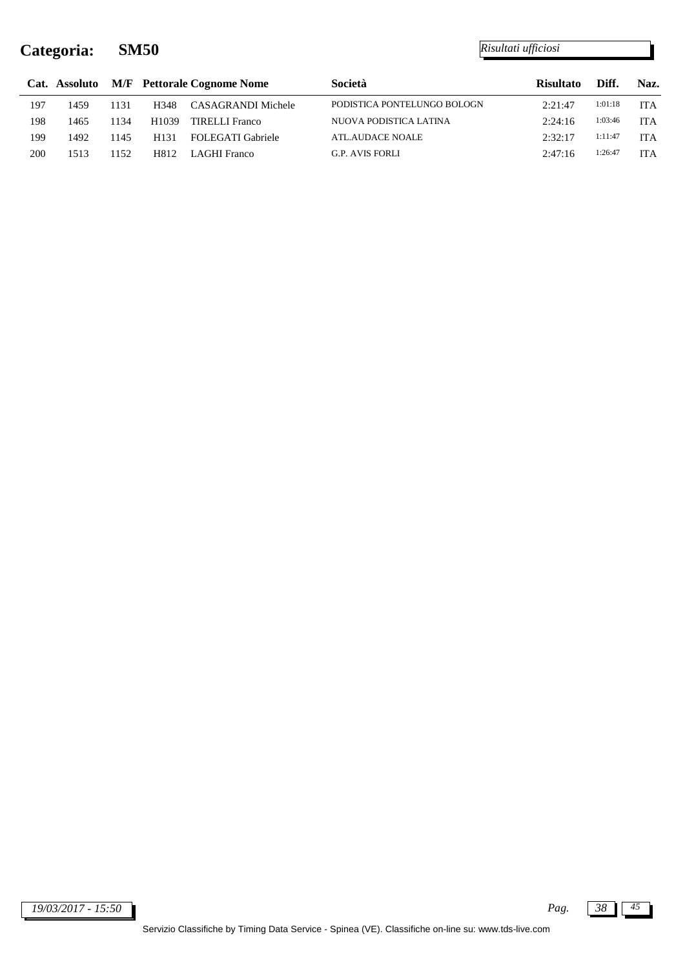j.

|     |      |       |                   | Cat. Assoluto M/F Pettorale Cognome Nome | Società                     | <b>Risultato</b> | Diff.   | Naz.       |
|-----|------|-------|-------------------|------------------------------------------|-----------------------------|------------------|---------|------------|
| 197 | 1459 | 1131  | H348              | CASAGRANDI Michele                       | PODISTICA PONTELUNGO BOLOGN | 2:21:47          | 1:01:18 | <b>ITA</b> |
| 198 | 1465 | 1134  | H <sub>1039</sub> | TIRELLI Franco                           | NUOVA PODISTICA LATINA      | 2:24:16          | 1:03:46 | <b>ITA</b> |
| 199 | 1492 | 1145  | H <sub>131</sub>  | <b>FOLEGATI Gabriele</b>                 | <b>ATL.AUDACE NOALE</b>     | 2:32:17          | 1:11:47 | <b>ITA</b> |
| 200 | 1513 | 1152. | H812              | LAGHI Franco                             | G.P. AVIS FORLI             | 2:47:16          | 1:26:47 | <b>ITA</b> |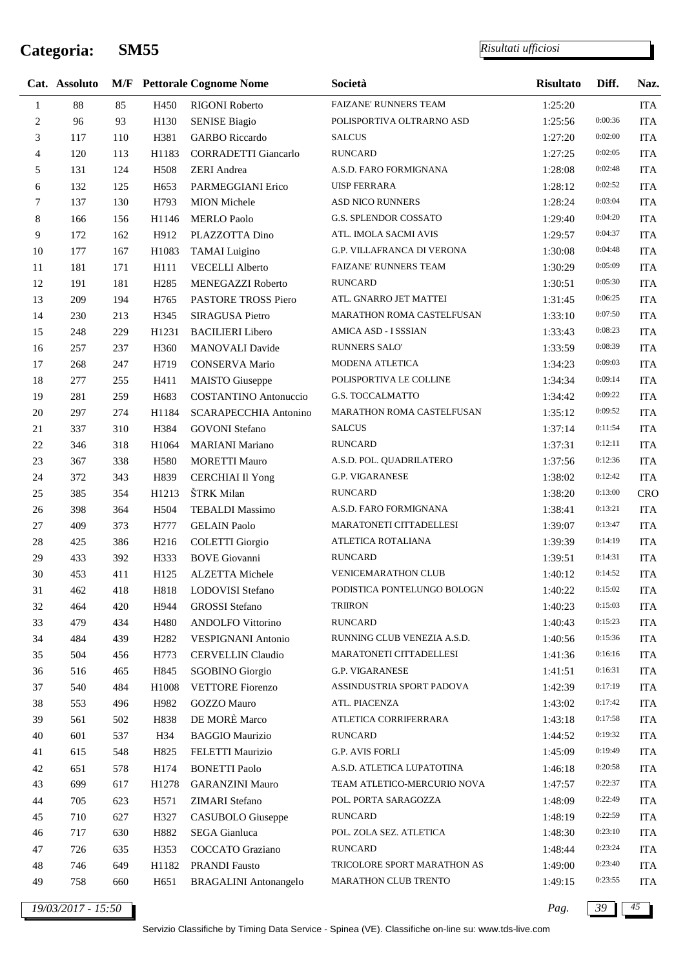*Risultati ufficiosi*

|                | Cat. Assoluto |     |                   | <b>M/F</b> Pettorale Cognome Nome | Società                     | <b>Risultato</b> | Diff.   | Naz.       |
|----------------|---------------|-----|-------------------|-----------------------------------|-----------------------------|------------------|---------|------------|
| 1              | $88\,$        | 85  | H450              | <b>RIGONI Roberto</b>             | FAIZANE' RUNNERS TEAM       | 1:25:20          |         | <b>ITA</b> |
| $\overline{c}$ | 96            | 93  | H130              | <b>SENISE Biagio</b>              | POLISPORTIVA OLTRARNO ASD   | 1:25:56          | 0:00:36 | <b>ITA</b> |
| 3              | 117           | 110 | H381              | <b>GARBO</b> Riccardo             | <b>SALCUS</b>               | 1:27:20          | 0:02:00 | <b>ITA</b> |
| $\overline{4}$ | 120           | 113 | H1183             | <b>CORRADETTI Giancarlo</b>       | <b>RUNCARD</b>              | 1:27:25          | 0:02:05 | <b>ITA</b> |
| 5              | 131           | 124 | H508              | <b>ZERI</b> Andrea                | A.S.D. FARO FORMIGNANA      | 1:28:08          | 0:02:48 | <b>ITA</b> |
| 6              | 132           | 125 | H <sub>653</sub>  | PARMEGGIANI Erico                 | <b>UISP FERRARA</b>         | 1:28:12          | 0:02:52 | <b>ITA</b> |
| $\overline{7}$ | 137           | 130 | H793              | <b>MION</b> Michele               | <b>ASD NICO RUNNERS</b>     | 1:28:24          | 0:03:04 | <b>ITA</b> |
| $8\,$          | 166           | 156 | H1146             | <b>MERLO Paolo</b>                | G.S. SPLENDOR COSSATO       | 1:29:40          | 0:04:20 | <b>ITA</b> |
| 9              | 172           | 162 | H912              | PLAZZOTTA Dino                    | ATL. IMOLA SACMI AVIS       | 1:29:57          | 0:04:37 | <b>ITA</b> |
| 10             | 177           | 167 | H1083             | <b>TAMAI</b> Luigino              | G.P. VILLAFRANCA DI VERONA  | 1:30:08          | 0:04:48 | <b>ITA</b> |
| $11\,$         | 181           | 171 | H111              | <b>VECELLI Alberto</b>            | FAIZANE' RUNNERS TEAM       | 1:30:29          | 0:05:09 | <b>ITA</b> |
| 12             | 191           | 181 | H <sub>2</sub> 85 | MENEGAZZI Roberto                 | <b>RUNCARD</b>              | 1:30:51          | 0:05:30 | <b>ITA</b> |
| 13             | 209           | 194 | H765              | PASTORE TROSS Piero               | ATL. GNARRO JET MATTEI      | 1:31:45          | 0:06:25 | <b>ITA</b> |
| 14             | 230           | 213 | H345              | SIRAGUSA Pietro                   | MARATHON ROMA CASTELFUSAN   | 1:33:10          | 0:07:50 | <b>ITA</b> |
| 15             | 248           | 229 | H1231             | <b>BACILIERI</b> Libero           | AMICA ASD - I SSSIAN        | 1:33:43          | 0:08:23 | <b>ITA</b> |
| 16             | 257           | 237 | H <sub>360</sub>  | MANOVALI Davide                   | RUNNERS SALO'               | 1:33:59          | 0:08:39 | <b>ITA</b> |
| 17             | 268           | 247 | H719              | <b>CONSERVA Mario</b>             | MODENA ATLETICA             | 1:34:23          | 0:09:03 | <b>ITA</b> |
| 18             | 277           | 255 | H411              | <b>MAISTO</b> Giuseppe            | POLISPORTIVA LE COLLINE     | 1:34:34          | 0:09:14 | <b>ITA</b> |
| 19             | 281           | 259 | H683              | <b>COSTANTINO</b> Antonuccio      | <b>G.S. TOCCALMATTO</b>     | 1:34:42          | 0:09:22 | <b>ITA</b> |
| 20             | 297           | 274 | H1184             | SCARAPECCHIA Antonino             | MARATHON ROMA CASTELFUSAN   | 1:35:12          | 0:09:52 | <b>ITA</b> |
| $21\,$         | 337           | 310 | H384              | <b>GOVONI</b> Stefano             | <b>SALCUS</b>               | 1:37:14          | 0:11:54 | <b>ITA</b> |
| $22\,$         | 346           | 318 | H1064             | <b>MARIANI</b> Mariano            | <b>RUNCARD</b>              | 1:37:31          | 0:12:11 | <b>ITA</b> |
| 23             | 367           | 338 | H580              | <b>MORETTI Mauro</b>              | A.S.D. POL. QUADRILATERO    | 1:37:56          | 0:12:36 | <b>ITA</b> |
| 24             | 372           | 343 | H839              | <b>CERCHIAI Il Yong</b>           | <b>G.P. VIGARANESE</b>      | 1:38:02          | 0:12:42 | <b>ITA</b> |
| 25             | 385           | 354 | H1213             | ŠTRK Milan                        | <b>RUNCARD</b>              | 1:38:20          | 0:13:00 | <b>CRO</b> |
| 26             | 398           | 364 | H504              | <b>TEBALDI</b> Massimo            | A.S.D. FARO FORMIGNANA      | 1:38:41          | 0:13:21 | <b>ITA</b> |
| 27             | 409           | 373 | H777              | <b>GELAIN Paolo</b>               | MARATONETI CITTADELLESI     | 1:39:07          | 0:13:47 | <b>ITA</b> |
| $28\,$         | 425           | 386 | H <sub>216</sub>  | <b>COLETTI</b> Giorgio            | ATLETICA ROTALIANA          | 1:39:39          | 0:14:19 | <b>ITA</b> |
| 29             | 433           | 392 | H333              | <b>BOVE</b> Giovanni              | <b>RUNCARD</b>              | 1:39:51          | 0:14:31 | <b>ITA</b> |
| 30             | 453           | 411 | H125              | <b>ALZETTA Michele</b>            | <b>VENICEMARATHON CLUB</b>  | 1:40:12          | 0:14:52 | <b>ITA</b> |
| 31             | 462           | 418 | H818              | LODOVISI Stefano                  | PODISTICA PONTELUNGO BOLOGN | 1:40:22          | 0:15:02 | ITA        |
| 32             | 464           | 420 | H944              | <b>GROSSI</b> Stefano             | <b>TRIIRON</b>              | 1:40:23          | 0:15:03 | <b>ITA</b> |
| 33             | 479           | 434 | H480              | <b>ANDOLFO</b> Vittorino          | <b>RUNCARD</b>              | 1:40:43          | 0:15:23 | <b>ITA</b> |
| 34             | 484           | 439 | H <sub>2</sub> 82 | <b>VESPIGNANI Antonio</b>         | RUNNING CLUB VENEZIA A.S.D. | 1:40:56          | 0:15:36 | <b>ITA</b> |
| 35             | 504           | 456 | H773              | <b>CERVELLIN Claudio</b>          | MARATONETI CITTADELLESI     | 1:41:36          | 0:16:16 | <b>ITA</b> |
| 36             | 516           | 465 | H845              | <b>SGOBINO</b> Giorgio            | G.P. VIGARANESE             | 1:41:51          | 0:16:31 | <b>ITA</b> |
| 37             | 540           | 484 | H1008             | <b>VETTORE</b> Fiorenzo           | ASSINDUSTRIA SPORT PADOVA   | 1:42:39          | 0:17:19 | <b>ITA</b> |
| 38             | 553           | 496 | H982              | <b>GOZZO Mauro</b>                | ATL. PIACENZA               | 1:43:02          | 0:17:42 | <b>ITA</b> |
| 39             | 561           | 502 | H838              | DE MORÈ Marco                     | ATLETICA CORRIFERRARA       | 1:43:18          | 0:17:58 | <b>ITA</b> |
| $40\,$         | 601           | 537 | H34               | <b>BAGGIO Maurizio</b>            | <b>RUNCARD</b>              | 1:44:52          | 0:19:32 | <b>ITA</b> |
| 41             | 615           | 548 | H825              | FELETTI Maurizio                  | <b>G.P. AVIS FORLI</b>      | 1:45:09          | 0:19:49 | <b>ITA</b> |
| 42             | 651           | 578 | H174              | <b>BONETTI Paolo</b>              | A.S.D. ATLETICA LUPATOTINA  | 1:46:18          | 0:20:58 | <b>ITA</b> |
| 43             | 699           | 617 | H1278             | <b>GARANZINI Mauro</b>            | TEAM ATLETICO-MERCURIO NOVA | 1:47:57          | 0:22:37 | <b>ITA</b> |
| 44             | 705           | 623 | H571              | ZIMARI Stefano                    | POL. PORTA SARAGOZZA        | 1:48:09          | 0:22:49 | <b>ITA</b> |
| 45             | 710           | 627 | H327              | CASUBOLO Giuseppe                 | <b>RUNCARD</b>              | 1:48:19          | 0:22:59 | <b>ITA</b> |
| 46             | 717           | 630 | H882              | SEGA Gianluca                     | POL. ZOLA SEZ. ATLETICA     | 1:48:30          | 0:23:10 | <b>ITA</b> |
| $47\,$         | 726           | 635 | H353              | COCCATO Graziano                  | <b>RUNCARD</b>              | 1:48:44          | 0:23:24 | <b>ITA</b> |
| $\sqrt{48}$    | 746           | 649 | H1182             | <b>PRANDI Fausto</b>              | TRICOLORE SPORT MARATHON AS | 1:49:00          | 0:23:40 | <b>ITA</b> |
| 49             | 758           | 660 | H651              | <b>BRAGALINI</b> Antonangelo      | MARATHON CLUB TRENTO        | 1:49:15          | 0:23:55 | <b>ITA</b> |
|                |               |     |                   |                                   |                             |                  |         |            |

*19/03/2017 - 15:50 Pag. 39 45*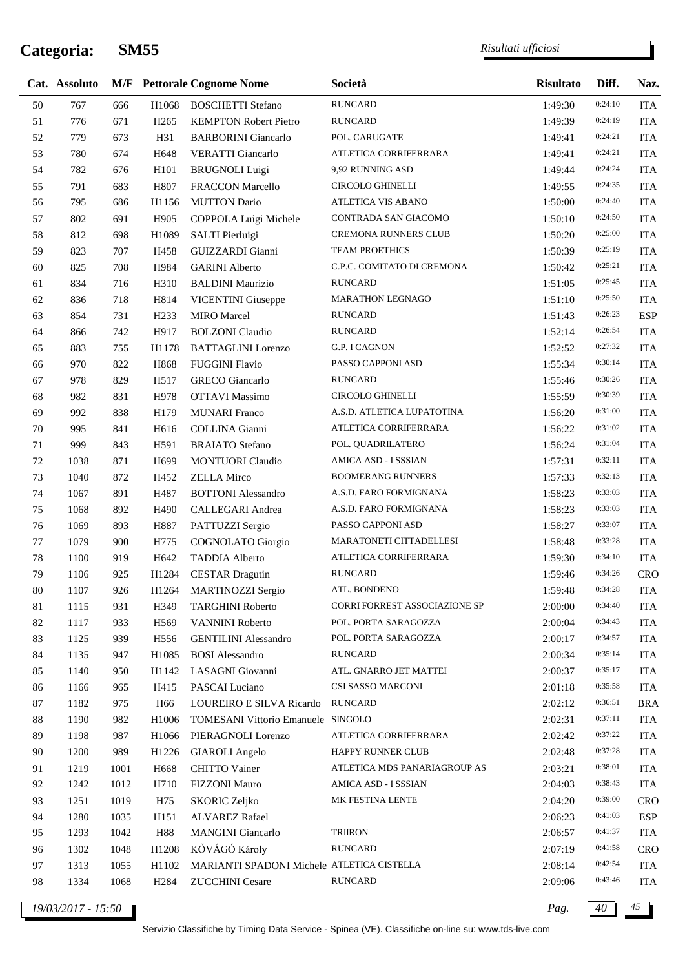*Risultati ufficiosi*

|        | Cat. Assoluto |      |                   | <b>M/F</b> Pettorale Cognome Nome          | Società                       | <b>Risultato</b> | Diff.   | Naz.       |
|--------|---------------|------|-------------------|--------------------------------------------|-------------------------------|------------------|---------|------------|
| 50     | 767           | 666  | H1068             | <b>BOSCHETTI Stefano</b>                   | <b>RUNCARD</b>                | 1:49:30          | 0:24:10 | <b>ITA</b> |
| 51     | 776           | 671  | H <sub>265</sub>  | <b>KEMPTON Robert Pietro</b>               | <b>RUNCARD</b>                | 1:49:39          | 0:24:19 | <b>ITA</b> |
| 52     | 779           | 673  | H31               | <b>BARBORINI</b> Giancarlo                 | POL. CARUGATE                 | 1:49:41          | 0:24:21 | <b>ITA</b> |
| 53     | 780           | 674  | H648              | <b>VERATTI Giancarlo</b>                   | ATLETICA CORRIFERRARA         | 1:49:41          | 0:24:21 | <b>ITA</b> |
| 54     | 782           | 676  | H101              | <b>BRUGNOLI</b> Luigi                      | 9,92 RUNNING ASD              | 1:49:44          | 0:24:24 | <b>ITA</b> |
| 55     | 791           | 683  | H807              | FRACCON Marcello                           | <b>CIRCOLO GHINELLI</b>       | 1:49:55          | 0:24:35 | <b>ITA</b> |
| 56     | 795           | 686  | H1156             | <b>MUTTON Dario</b>                        | ATLETICA VIS ABANO            | 1:50:00          | 0:24:40 | <b>ITA</b> |
| 57     | 802           | 691  | H905              | COPPOLA Luigi Michele                      | CONTRADA SAN GIACOMO          | 1:50:10          | 0:24:50 | <b>ITA</b> |
| 58     | 812           | 698  | H1089             | SALTI Pierluigi                            | CREMONA RUNNERS CLUB          | 1:50:20          | 0:25:00 | <b>ITA</b> |
| 59     | 823           | 707  | H458              | GUIZZARDI Gianni                           | TEAM PROETHICS                | 1:50:39          | 0:25:19 | <b>ITA</b> |
| 60     | 825           | 708  | H984              | <b>GARINI</b> Alberto                      | C.P.C. COMITATO DI CREMONA    | 1:50:42          | 0:25:21 | <b>ITA</b> |
| 61     | 834           | 716  | H310              | <b>BALDINI Maurizio</b>                    | <b>RUNCARD</b>                | 1:51:05          | 0:25:45 | <b>ITA</b> |
| 62     | 836           | 718  | H814              | <b>VICENTINI</b> Giuseppe                  | <b>MARATHON LEGNAGO</b>       | 1:51:10          | 0:25:50 | <b>ITA</b> |
| 63     | 854           | 731  | H <sub>2</sub> 33 | <b>MIRO</b> Marcel                         | <b>RUNCARD</b>                | 1:51:43          | 0:26:23 | <b>ESP</b> |
| 64     | 866           | 742  | H917              | <b>BOLZONI</b> Claudio                     | <b>RUNCARD</b>                | 1:52:14          | 0:26:54 | <b>ITA</b> |
| 65     | 883           | 755  | H1178             | <b>BATTAGLINI</b> Lorenzo                  | G.P. I CAGNON                 | 1:52:52          | 0:27:32 | <b>ITA</b> |
| 66     | 970           | 822  | H868              | <b>FUGGINI Flavio</b>                      | PASSO CAPPONI ASD             | 1:55:34          | 0:30:14 | <b>ITA</b> |
| 67     | 978           | 829  | H <sub>517</sub>  | <b>GRECO</b> Giancarlo                     | <b>RUNCARD</b>                | 1:55:46          | 0:30:26 | <b>ITA</b> |
| 68     | 982           | 831  | H978              | <b>OTTAVI</b> Massimo                      | <b>CIRCOLO GHINELLI</b>       | 1:55:59          | 0:30:39 | <b>ITA</b> |
| 69     | 992           | 838  | H179              | <b>MUNARI</b> Franco                       | A.S.D. ATLETICA LUPATOTINA    | 1:56:20          | 0:31:00 | <b>ITA</b> |
| 70     | 995           | 841  | H616              | COLLINA Gianni                             | ATLETICA CORRIFERRARA         | 1:56:22          | 0:31:02 | <b>ITA</b> |
| 71     | 999           | 843  | H591              | <b>BRAIATO</b> Stefano                     | POL. QUADRILATERO             | 1:56:24          | 0:31:04 | <b>ITA</b> |
| $72\,$ | 1038          | 871  | H <sub>699</sub>  | <b>MONTUORI</b> Claudio                    | AMICA ASD - I SSSIAN          | 1:57:31          | 0:32:11 | <b>ITA</b> |
| 73     | 1040          | 872  | H452              | <b>ZELLA</b> Mirco                         | <b>BOOMERANG RUNNERS</b>      | 1:57:33          | 0:32:13 | <b>ITA</b> |
| 74     | 1067          | 891  | H487              | <b>BOTTONI</b> Alessandro                  | A.S.D. FARO FORMIGNANA        | 1:58:23          | 0:33:03 | <b>ITA</b> |
| 75     | 1068          | 892  | H490              | CALLEGARI Andrea                           | A.S.D. FARO FORMIGNANA        | 1:58:23          | 0:33:03 | <b>ITA</b> |
| 76     | 1069          | 893  | H887              | PATTUZZI Sergio                            | PASSO CAPPONI ASD             | 1:58:27          | 0:33:07 | <b>ITA</b> |
| 77     | 1079          | 900  | H775              | <b>COGNOLATO</b> Giorgio                   | MARATONETI CITTADELLESI       | 1:58:48          | 0:33:28 | <b>ITA</b> |
| 78     | 1100          | 919  | H <sub>642</sub>  | <b>TADDIA Alberto</b>                      | ATLETICA CORRIFERRARA         | 1:59:30          | 0:34:10 | <b>ITA</b> |
| 79     | 1106          | 925  | H1284             | <b>CESTAR Dragutin</b>                     | <b>RUNCARD</b>                | 1:59:46          | 0:34:26 | <b>CRO</b> |
| $80\,$ | 1107          | 926  | H <sub>1264</sub> | MARTINOZZI Sergio                          | ATL. BONDENO                  | 1:59:48          | 0:34:28 | <b>ITA</b> |
| $81\,$ | 1115          | 931  | H349              | <b>TARGHINI Roberto</b>                    | CORRI FORREST ASSOCIAZIONE SP | 2:00:00          | 0:34:40 | <b>ITA</b> |
| $82\,$ | 1117          | 933  | H <sub>569</sub>  | <b>VANNINI Roberto</b>                     | POL. PORTA SARAGOZZA          | 2:00:04          | 0:34:43 | <b>ITA</b> |
| 83     | 1125          | 939  | H <sub>556</sub>  | <b>GENTILINI</b> Alessandro                | POL. PORTA SARAGOZZA          | 2:00:17          | 0:34:57 | <b>ITA</b> |
| 84     | 1135          | 947  | H1085             | <b>BOSI</b> Alessandro                     | <b>RUNCARD</b>                | 2:00:34          | 0:35:14 | <b>ITA</b> |
| 85     | 1140          | 950  | H1142             | LASAGNI Giovanni                           | ATL. GNARRO JET MATTEI        | 2:00:37          | 0:35:17 | <b>ITA</b> |
| 86     | 1166          | 965  | H415              | PASCAI Luciano                             | CSI SASSO MARCONI             | 2:01:18          | 0:35:58 | <b>ITA</b> |
| 87     | 1182          | 975  | H66               | LOUREIRO E SILVA Ricardo                   | <b>RUNCARD</b>                | 2:02:12          | 0:36:51 | <b>BRA</b> |
| $88\,$ | 1190          | 982  | H1006             | TOMESANI Vittorio Emanuele SINGOLO         |                               | 2:02:31          | 0:37:11 | ITA        |
| 89     | 1198          | 987  | H1066             | PIERAGNOLI Lorenzo                         | ATLETICA CORRIFERRARA         | 2:02:42          | 0:37:22 | ITA        |
| 90     | 1200          | 989  | H1226             | <b>GIAROLI</b> Angelo                      | HAPPY RUNNER CLUB             | 2:02:48          | 0:37:28 | <b>ITA</b> |
| 91     | 1219          | 1001 | H <sub>668</sub>  | <b>CHITTO Vainer</b>                       | ATLETICA MDS PANARIAGROUP AS  | 2:03:21          | 0:38:01 | ITA        |
| 92     | 1242          | 1012 | H710              | FIZZONI Mauro                              | AMICA ASD - I SSSIAN          | 2:04:03          | 0:38:43 | <b>ITA</b> |
| 93     | 1251          | 1019 | H75               | <b>SKORIC Zeljko</b>                       | MK FESTINA LENTE              | 2:04:20          | 0:39:00 | <b>CRO</b> |
| 94     | 1280          | 1035 | H <sub>151</sub>  | <b>ALVAREZ Rafael</b>                      |                               | 2:06:23          | 0:41:03 | <b>ESP</b> |
| 95     | 1293          | 1042 | H88               | <b>MANGINI</b> Giancarlo                   | <b>TRIIRON</b>                | 2:06:57          | 0:41:37 | <b>ITA</b> |
| 96     | 1302          | 1048 | H1208             | KŐVÁGÓ Károly                              | <b>RUNCARD</b>                | 2:07:19          | 0:41:58 | <b>CRO</b> |
| 97     | 1313          | 1055 | H1102             | MARIANTI SPADONI Michele ATLETICA CISTELLA |                               | 2:08:14          | 0:42:54 | <b>ITA</b> |
| 98     | 1334          | 1068 | H <sub>2</sub> 84 | <b>ZUCCHINI</b> Cesare                     | <b>RUNCARD</b>                | 2:09:06          | 0:43:46 | <b>ITA</b> |
|        |               |      |                   |                                            |                               |                  |         |            |

*19/03/2017 - 15:50 Pag. 40 45*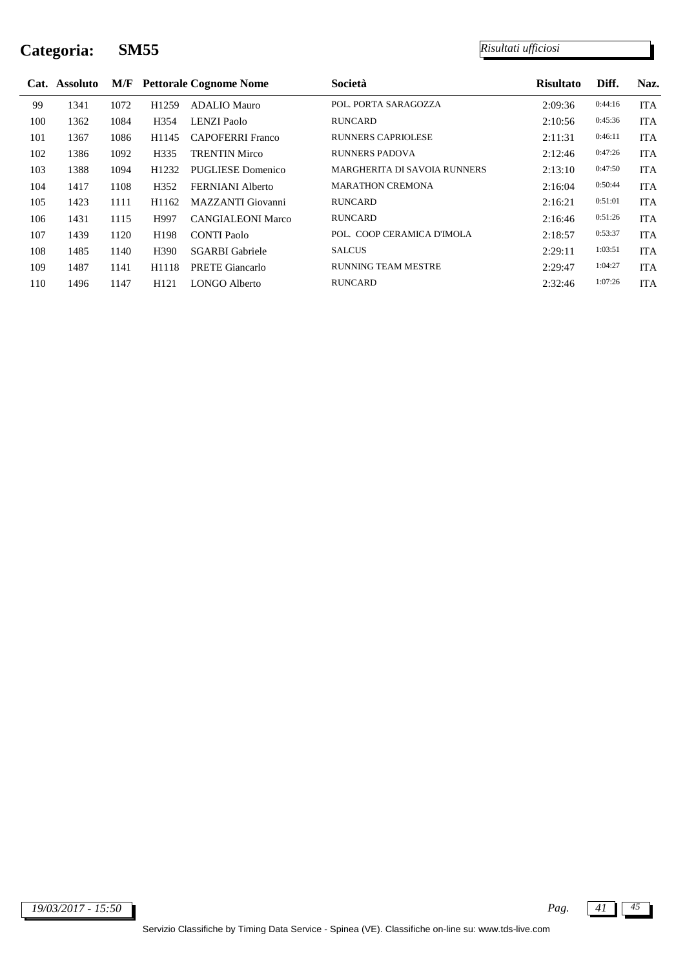|     | Cat. Assoluto |      |                   | <b>M/F</b> Pettorale Cognome Nome | Società                             | <b>Risultato</b> | Diff.   | Naz.       |
|-----|---------------|------|-------------------|-----------------------------------|-------------------------------------|------------------|---------|------------|
| 99  | 1341          | 1072 | H <sub>1259</sub> | ADALIO Mauro                      | POL. PORTA SARAGOZZA                | 2:09:36          | 0:44:16 | <b>ITA</b> |
| 100 | 1362          | 1084 | H <sub>354</sub>  | LENZI Paolo                       | <b>RUNCARD</b>                      | 2:10:56          | 0:45:36 | <b>ITA</b> |
| 101 | 1367          | 1086 | H1145             | <b>CAPOFERRI Franco</b>           | <b>RUNNERS CAPRIOLESE</b>           | 2:11:31          | 0:46:11 | <b>ITA</b> |
| 102 | 1386          | 1092 | H <sub>335</sub>  | <b>TRENTIN Mirco</b>              | <b>RUNNERS PADOVA</b>               | 2:12:46          | 0:47:26 | <b>ITA</b> |
| 103 | 1388          | 1094 | H <sub>1232</sub> | PUGLIESE Domenico                 | <b>MARGHERITA DI SAVOIA RUNNERS</b> | 2:13:10          | 0:47:50 | <b>ITA</b> |
| 104 | 1417          | 1108 | H <sub>352</sub>  | FERNIANI Alberto                  | <b>MARATHON CREMONA</b>             | 2:16:04          | 0:50:44 | <b>ITA</b> |
| 105 | 1423          | 1111 | H1162             | MAZZANTI Giovanni                 | <b>RUNCARD</b>                      | 2:16:21          | 0:51:01 | <b>ITA</b> |
| 106 | 1431          | 1115 | H997              | <b>CANGIALEONI Marco</b>          | <b>RUNCARD</b>                      | 2:16:46          | 0:51:26 | <b>ITA</b> |
| 107 | 1439          | 1120 | H <sub>198</sub>  | <b>CONTI Paolo</b>                | POL. COOP CERAMICA D'IMOLA          | 2:18:57          | 0:53:37 | <b>ITA</b> |
| 108 | 1485          | 1140 | H <sub>390</sub>  | <b>SGARBI</b> Gabriele            | <b>SALCUS</b>                       | 2:29:11          | 1:03:51 | <b>ITA</b> |
| 109 | 1487          | 1141 | H1118             | <b>PRETE Giancarlo</b>            | <b>RUNNING TEAM MESTRE</b>          | 2:29:47          | 1:04:27 | <b>ITA</b> |
| 110 | 1496          | 1147 | H <sub>121</sub>  | LONGO Alberto                     | <b>RUNCARD</b>                      | 2:32:46          | 1:07:26 | <b>ITA</b> |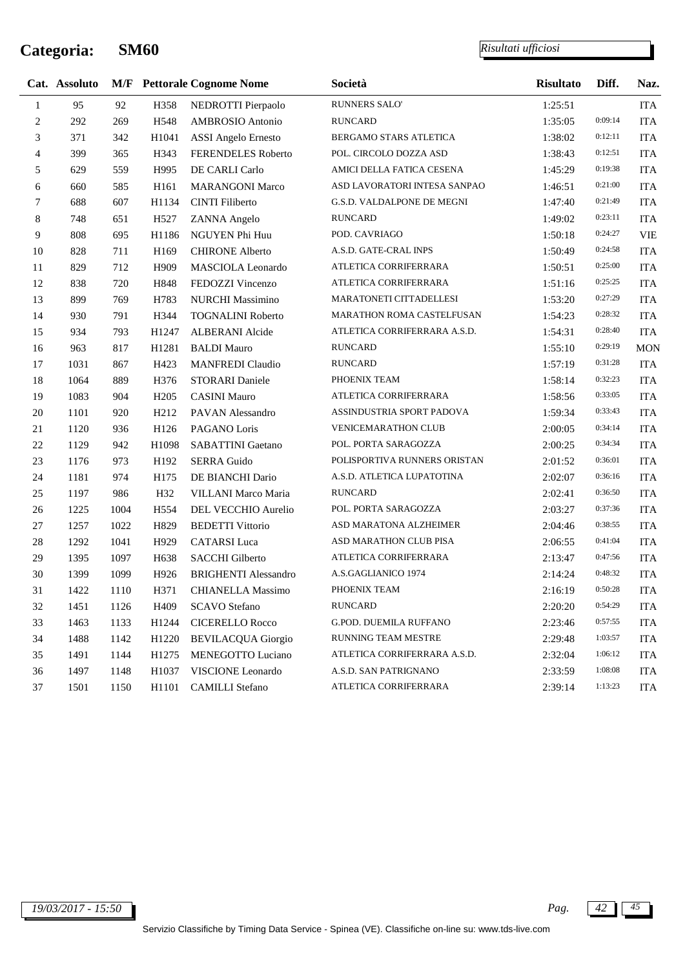÷

|                | Cat. Assoluto |      |                   | <b>M/F</b> Pettorale Cognome Nome | Società                       | <b>Risultato</b> | Diff.   | Naz.       |
|----------------|---------------|------|-------------------|-----------------------------------|-------------------------------|------------------|---------|------------|
| $\mathbf{1}$   | 95            | 92   | H358              | NEDROTTI Pierpaolo                | RUNNERS SALO'                 | 1:25:51          |         | <b>ITA</b> |
| $\overline{c}$ | 292           | 269  | H548              | <b>AMBROSIO</b> Antonio           | <b>RUNCARD</b>                | 1:35:05          | 0:09:14 | <b>ITA</b> |
| 3              | 371           | 342  | H1041             | <b>ASSI</b> Angelo Ernesto        | BERGAMO STARS ATLETICA        | 1:38:02          | 0:12:11 | <b>ITA</b> |
| $\overline{4}$ | 399           | 365  | H343              | FERENDELES Roberto                | POL. CIRCOLO DOZZA ASD        | 1:38:43          | 0:12:51 | <b>ITA</b> |
| 5              | 629           | 559  | H995              | DE CARLI Carlo                    | AMICI DELLA FATICA CESENA     | 1:45:29          | 0:19:38 | <b>ITA</b> |
| 6              | 660           | 585  | H161              | <b>MARANGONI Marco</b>            | ASD LAVORATORI INTESA SANPAO  | 1:46:51          | 0:21:00 | <b>ITA</b> |
| $\overline{7}$ | 688           | 607  | H1134             | <b>CINTI Filiberto</b>            | G.S.D. VALDALPONE DE MEGNI    | 1:47:40          | 0:21:49 | <b>ITA</b> |
| 8              | 748           | 651  | H527              | ZANNA Angelo                      | <b>RUNCARD</b>                | 1:49:02          | 0:23:11 | <b>ITA</b> |
| 9              | 808           | 695  | H1186             | NGUYEN Phi Huu                    | POD. CAVRIAGO                 | 1:50:18          | 0:24:27 | <b>VIE</b> |
| 10             | 828           | 711  | H169              | <b>CHIRONE Alberto</b>            | A.S.D. GATE-CRAL INPS         | 1:50:49          | 0:24:58 | <b>ITA</b> |
| $11\,$         | 829           | 712  | H909              | MASCIOLA Leonardo                 | ATLETICA CORRIFERRARA         | 1:50:51          | 0:25:00 | <b>ITA</b> |
| 12             | 838           | 720  | H848              | FEDOZZI Vincenzo                  | ATLETICA CORRIFERRARA         | 1:51:16          | 0:25:25 | <b>ITA</b> |
| 13             | 899           | 769  | H783              | NURCHI Massimino                  | MARATONETI CITTADELLESI       | 1:53:20          | 0:27:29 | <b>ITA</b> |
| 14             | 930           | 791  | H344              | <b>TOGNALINI Roberto</b>          | MARATHON ROMA CASTELFUSAN     | 1:54:23          | 0:28:32 | <b>ITA</b> |
| 15             | 934           | 793  | H1247             | <b>ALBERANI</b> Alcide            | ATLETICA CORRIFERRARA A.S.D.  | 1:54:31          | 0:28:40 | <b>ITA</b> |
| 16             | 963           | 817  | H1281             | <b>BALDI</b> Mauro                | <b>RUNCARD</b>                | 1:55:10          | 0:29:19 | <b>MON</b> |
| 17             | 1031          | 867  | H423              | <b>MANFREDI Claudio</b>           | <b>RUNCARD</b>                | 1:57:19          | 0:31:28 | <b>ITA</b> |
| 18             | 1064          | 889  | H376              | <b>STORARI</b> Daniele            | PHOENIX TEAM                  | 1:58:14          | 0:32:23 | <b>ITA</b> |
| 19             | 1083          | 904  | H <sub>205</sub>  | <b>CASINI Mauro</b>               | ATLETICA CORRIFERRARA         | 1:58:56          | 0:33:05 | <b>ITA</b> |
| $20\,$         | 1101          | 920  | H <sub>2</sub> 12 | PAVAN Alessandro                  | ASSINDUSTRIA SPORT PADOVA     | 1:59:34          | 0:33:43 | <b>ITA</b> |
| $21\,$         | 1120          | 936  | H126              | PAGANO Loris                      | <b>VENICEMARATHON CLUB</b>    | 2:00:05          | 0:34:14 | <b>ITA</b> |
| 22             | 1129          | 942  | H1098             | SABATTINI Gaetano                 | POL. PORTA SARAGOZZA          | 2:00:25          | 0:34:34 | <b>ITA</b> |
| 23             | 1176          | 973  | H192              | <b>SERRA Guido</b>                | POLISPORTIVA RUNNERS ORISTAN  | 2:01:52          | 0:36:01 | <b>ITA</b> |
| 24             | 1181          | 974  | H175              | DE BIANCHI Dario                  | A.S.D. ATLETICA LUPATOTINA    | 2:02:07          | 0:36:16 | <b>ITA</b> |
| 25             | 1197          | 986  | H32               | VILLANI Marco Maria               | <b>RUNCARD</b>                | 2:02:41          | 0:36:50 | <b>ITA</b> |
| $26\,$         | 1225          | 1004 | H <sub>554</sub>  | DEL VECCHIO Aurelio               | POL. PORTA SARAGOZZA          | 2:03:27          | 0:37:36 | <b>ITA</b> |
| 27             | 1257          | 1022 | H829              | <b>BEDETTI Vittorio</b>           | ASD MARATONA ALZHEIMER        | 2:04:46          | 0:38:55 | <b>ITA</b> |
| $28\,$         | 1292          | 1041 | H929              | <b>CATARSI</b> Luca               | ASD MARATHON CLUB PISA        | 2:06:55          | 0:41:04 | <b>ITA</b> |
| 29             | 1395          | 1097 | H638              | <b>SACCHI</b> Gilberto            | ATLETICA CORRIFERRARA         | 2:13:47          | 0:47:56 | <b>ITA</b> |
| 30             | 1399          | 1099 | H926              | <b>BRIGHENTI Alessandro</b>       | A.S.GAGLIANICO 1974           | 2:14:24          | 0:48:32 | <b>ITA</b> |
| 31             | 1422          | 1110 | H371              | <b>CHIANELLA Massimo</b>          | PHOENIX TEAM                  | 2:16:19          | 0:50:28 | <b>ITA</b> |
| 32             | 1451          | 1126 | H <sub>409</sub>  | <b>SCAVO Stefano</b>              | <b>RUNCARD</b>                | 2:20:20          | 0:54:29 | <b>ITA</b> |
| 33             | 1463          | 1133 | H1244             | <b>CICERELLO Rocco</b>            | <b>G.POD. DUEMILA RUFFANO</b> | 2:23:46          | 0:57:55 | <b>ITA</b> |
| 34             | 1488          | 1142 | H1220             | <b>BEVILACQUA Giorgio</b>         | RUNNING TEAM MESTRE           | 2:29:48          | 1:03:57 | <b>ITA</b> |
| 35             | 1491          | 1144 | H <sub>1275</sub> | MENEGOTTO Luciano                 | ATLETICA CORRIFERRARA A.S.D.  | 2:32:04          | 1:06:12 | <b>ITA</b> |
| 36             | 1497          | 1148 | H1037             | VISCIONE Leonardo                 | A.S.D. SAN PATRIGNANO         | 2:33:59          | 1:08:08 | <b>ITA</b> |
| 37             | 1501          | 1150 | H1101             | <b>CAMILLI</b> Stefano            | ATLETICA CORRIFERRARA         | 2:39:14          | 1:13:23 | <b>ITA</b> |
|                |               |      |                   |                                   |                               |                  |         |            |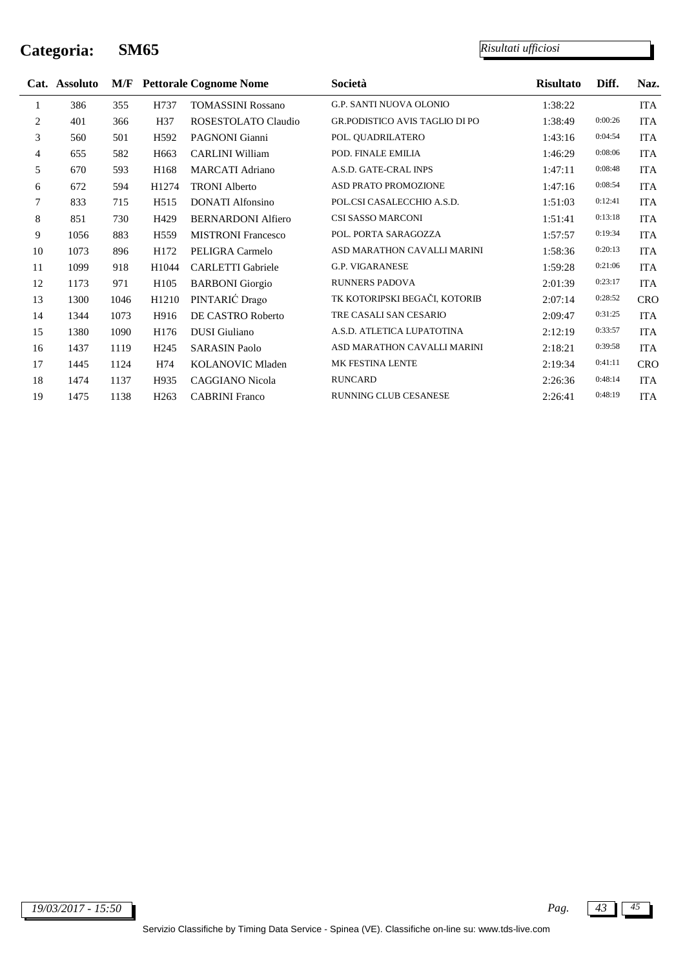÷

|              | Cat. Assoluto |      |                   | <b>M/F</b> Pettorale Cognome Nome | Società                               | <b>Risultato</b> | Diff.   | Naz.       |
|--------------|---------------|------|-------------------|-----------------------------------|---------------------------------------|------------------|---------|------------|
| $\mathbf{1}$ | 386           | 355  | H737              | <b>TOMASSINI Rossano</b>          | <b>G.P. SANTI NUOVA OLONIO</b>        | 1:38:22          |         | <b>ITA</b> |
| 2            | 401           | 366  | H37               | ROSESTOLATO Claudio               | <b>GR.PODISTICO AVIS TAGLIO DI PO</b> | 1:38:49          | 0:00:26 | <b>ITA</b> |
| 3            | 560           | 501  | H <sub>592</sub>  | PAGNONI Gianni                    | POL. QUADRILATERO                     | 1:43:16          | 0:04:54 | <b>ITA</b> |
| 4            | 655           | 582  | H <sub>663</sub>  | <b>CARLINI William</b>            | POD. FINALE EMILIA                    | 1:46:29          | 0:08:06 | <b>ITA</b> |
| 5            | 670           | 593  | H168              | <b>MARCATI</b> Adriano            | A.S.D. GATE-CRAL INPS                 | 1:47:11          | 0:08:48 | <b>ITA</b> |
| 6            | 672           | 594  | H <sub>1274</sub> | <b>TRONI Alberto</b>              | ASD PRATO PROMOZIONE                  | 1:47:16          | 0:08:54 | <b>ITA</b> |
| 7            | 833           | 715  | H <sub>515</sub>  | <b>DONATI</b> Alfonsino           | POL.CSI CASALECCHIO A.S.D.            | 1:51:03          | 0:12:41 | <b>ITA</b> |
| 8            | 851           | 730  | H429              | <b>BERNARDONI Alfiero</b>         | CSI SASSO MARCONI                     | 1:51:41          | 0:13:18 | <b>ITA</b> |
| 9            | 1056          | 883  | H <sub>559</sub>  | <b>MISTRONI Francesco</b>         | POL. PORTA SARAGOZZA                  | 1:57:57          | 0:19:34 | <b>ITA</b> |
| 10           | 1073          | 896  | H172              | PELIGRA Carmelo                   | ASD MARATHON CAVALLI MARINI           | 1:58:36          | 0:20:13 | <b>ITA</b> |
| 11           | 1099          | 918  | H1044             | <b>CARLETTI</b> Gabriele          | <b>G.P. VIGARANESE</b>                | 1:59:28          | 0:21:06 | <b>ITA</b> |
| 12           | 1173          | 971  | H <sub>105</sub>  | <b>BARBONI</b> Giorgio            | <b>RUNNERS PADOVA</b>                 | 2:01:39          | 0:23:17 | <b>ITA</b> |
| 13           | 1300          | 1046 | H1210             | PINTARIĆ Drago                    | TK KOTORIPSKI BEGAČI, KOTORIB         | 2:07:14          | 0:28:52 | <b>CRO</b> |
| 14           | 1344          | 1073 | H916              | DE CASTRO Roberto                 | TRE CASALI SAN CESARIO                | 2:09:47          | 0:31:25 | <b>ITA</b> |
| 15           | 1380          | 1090 | H176              | <b>DUSI</b> Giuliano              | A.S.D. ATLETICA LUPATOTINA            | 2:12:19          | 0:33:57 | <b>ITA</b> |
| 16           | 1437          | 1119 | H <sub>245</sub>  | <b>SARASIN Paolo</b>              | ASD MARATHON CAVALLI MARINI           | 2:18:21          | 0:39:58 | <b>ITA</b> |
| 17           | 1445          | 1124 | H74               | KOLANOVIC Mladen                  | MK FESTINA LENTE                      | 2:19:34          | 0:41:11 | <b>CRO</b> |
| 18           | 1474          | 1137 | H935              | <b>CAGGIANO Nicola</b>            | <b>RUNCARD</b>                        | 2:26:36          | 0:48:14 | <b>ITA</b> |
| 19           | 1475          | 1138 | H <sub>263</sub>  | <b>CABRINI</b> Franco             | RUNNING CLUB CESANESE                 | 2:26:41          | 0:48:19 | <b>ITA</b> |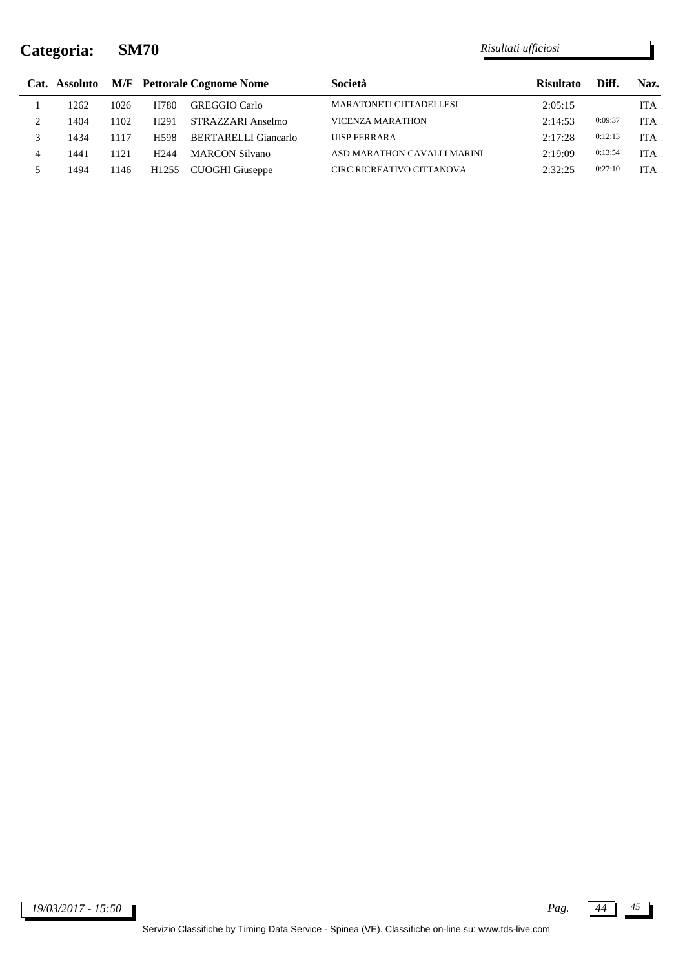|   | Cat. Assoluto |      |                   | <b>M/F</b> Pettorale Cognome Nome | Società                        | <b>Risultato</b> | Diff.   | Naz.       |
|---|---------------|------|-------------------|-----------------------------------|--------------------------------|------------------|---------|------------|
|   | 1262          | 1026 | H780              | <b>GREGGIO</b> Carlo              | <b>MARATONETI CITTADELLESI</b> | 2:05:15          |         | <b>ITA</b> |
|   | 1404          | 102  | H <sub>291</sub>  | STRAZZARI Anselmo                 | VICENZA MARATHON               | 2:14:53          | 0:09:37 | <b>ITA</b> |
|   | 1434          | 1117 | H <sub>598</sub>  | BERTARELLI Giancarlo              | <b>UISP FERRARA</b>            | 2:17:28          | 0:12:13 | <b>ITA</b> |
| 4 | 1441          | 121  | H <sub>244</sub>  | <b>MARCON Silvano</b>             | ASD MARATHON CAVALLI MARINI    | 2:19:09          | 0:13:54 | <b>ITA</b> |
|   | 1494          | 146  | H <sub>1255</sub> | CUOGHI Giuseppe                   | CIRC.RICREATIVO CITTANOVA      | 2:32:25          | 0:27:10 | ITA        |